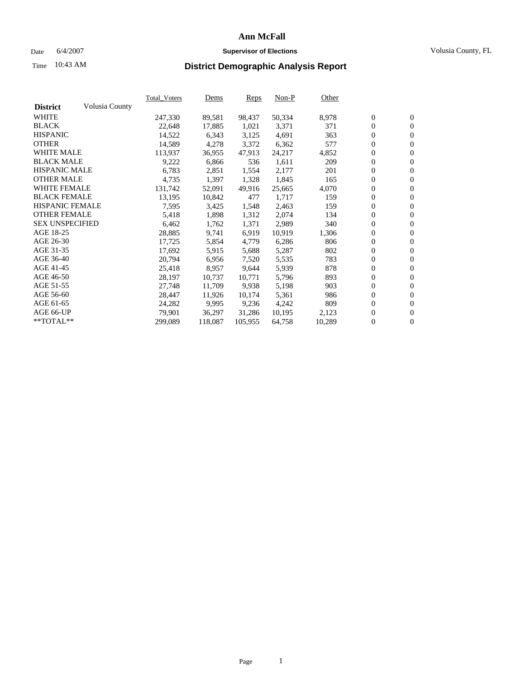### Date 6/4/2007 **Supervisor of Elections Supervisor of Elections** Volusia County, FL

# Time **District Demographic Analysis Report** 10:43 AM

| Volusia County<br>247,330<br>98,437<br>50,334<br>8,978<br>$\boldsymbol{0}$<br>$\mathbf{0}$<br>89,581<br>$\mathbf{0}$<br>$\mathbf{0}$<br>22,648<br>1,021<br>17,885<br>3,371<br>371<br>$\mathbf{0}$<br>$\mathbf{0}$<br>14,522<br>6,343<br>3,125<br>4,691<br>363<br>$\boldsymbol{0}$<br>14,589<br>3,372<br>6,362<br>577<br>$\boldsymbol{0}$<br>4,278<br><b>WHITE MALE</b><br>0<br>113,937<br>47,913<br>24,217<br>4,852<br>$\mathbf{0}$<br>36,955<br><b>BLACK MALE</b><br>$\boldsymbol{0}$<br>9,222<br>6,866<br>536<br>1,611<br>209<br>$\mathbf{0}$<br><b>HISPANIC MALE</b><br>0<br>6,783<br>2,177<br>$\overline{0}$<br>2,851<br>1,554<br>201<br><b>OTHER MALE</b><br>$\boldsymbol{0}$<br>4,735<br>1,397<br>1,845<br>1,328<br>165<br>$\mathbf{0}$<br><b>WHITE FEMALE</b><br>0<br>$\mathbf{0}$<br>131,742<br>52,091<br>49,916<br>4,070<br>25,665<br><b>BLACK FEMALE</b><br>$\mathbf{0}$<br>1,717<br>13,195<br>10,842<br>477<br>$\mathbf{0}$<br>159<br><b>HISPANIC FEMALE</b><br>$\boldsymbol{0}$<br>7,595<br>3,425<br>1,548<br>2,463<br>159<br>$\boldsymbol{0}$<br><b>OTHER FEMALE</b><br>0<br>5,418<br>1,898<br>1,312<br>2,074<br>134<br>$\overline{0}$<br><b>SEX UNSPECIFIED</b><br>$\overline{0}$<br>6,462<br>1,762<br>1,371<br>2,989<br>340<br>$\mathbf{0}$<br>0<br>$\mathbf{0}$<br>28,885<br>9,741<br>6,919<br>10,919<br>1,306<br>$\boldsymbol{0}$<br>$\boldsymbol{0}$<br>17,725<br>5,854<br>4,779<br>6,286<br>806<br>5,287<br>802<br>0<br>$\boldsymbol{0}$<br>17,692<br>5,915<br>5,688<br>$\boldsymbol{0}$<br>20,794<br>5,535<br>783<br>6,956<br>7,520<br>$\mathbf{0}$<br>0<br>5,939<br>25,418<br>8,957<br>9,644<br>878<br>$\mathbf{0}$<br>0<br>893<br>$\overline{0}$<br>28,197<br>10,737<br>10,771<br>5,796<br>$\boldsymbol{0}$<br>27,748<br>11,709<br>5,198<br>903<br>$\mathbf{0}$<br>9,938<br>0<br>5,361<br>$\mathbf{0}$<br>28,447<br>11,926<br>10,174<br>986<br>$\mathbf{0}$<br>809<br>$\boldsymbol{0}$<br>9,995<br>9,236<br>4,242<br>24,282<br>$\boldsymbol{0}$<br>79,901<br>36,297<br>31,286<br>10,195<br>2,123<br>$\boldsymbol{0}$<br>0<br>$\mathbf{0}$<br>64,758<br>10,289<br>299,089<br>118,087<br>105,955 |                 | <b>Total Voters</b> | Dems | Reps | $Non-P$ | Other |  |  |
|----------------------------------------------------------------------------------------------------------------------------------------------------------------------------------------------------------------------------------------------------------------------------------------------------------------------------------------------------------------------------------------------------------------------------------------------------------------------------------------------------------------------------------------------------------------------------------------------------------------------------------------------------------------------------------------------------------------------------------------------------------------------------------------------------------------------------------------------------------------------------------------------------------------------------------------------------------------------------------------------------------------------------------------------------------------------------------------------------------------------------------------------------------------------------------------------------------------------------------------------------------------------------------------------------------------------------------------------------------------------------------------------------------------------------------------------------------------------------------------------------------------------------------------------------------------------------------------------------------------------------------------------------------------------------------------------------------------------------------------------------------------------------------------------------------------------------------------------------------------------------------------------------------------------------------------------------------------------------------------------------------------------------------------------------------------------------------------------------------------------|-----------------|---------------------|------|------|---------|-------|--|--|
|                                                                                                                                                                                                                                                                                                                                                                                                                                                                                                                                                                                                                                                                                                                                                                                                                                                                                                                                                                                                                                                                                                                                                                                                                                                                                                                                                                                                                                                                                                                                                                                                                                                                                                                                                                                                                                                                                                                                                                                                                                                                                                                      | <b>District</b> |                     |      |      |         |       |  |  |
|                                                                                                                                                                                                                                                                                                                                                                                                                                                                                                                                                                                                                                                                                                                                                                                                                                                                                                                                                                                                                                                                                                                                                                                                                                                                                                                                                                                                                                                                                                                                                                                                                                                                                                                                                                                                                                                                                                                                                                                                                                                                                                                      | <b>WHITE</b>    |                     |      |      |         |       |  |  |
|                                                                                                                                                                                                                                                                                                                                                                                                                                                                                                                                                                                                                                                                                                                                                                                                                                                                                                                                                                                                                                                                                                                                                                                                                                                                                                                                                                                                                                                                                                                                                                                                                                                                                                                                                                                                                                                                                                                                                                                                                                                                                                                      | <b>BLACK</b>    |                     |      |      |         |       |  |  |
|                                                                                                                                                                                                                                                                                                                                                                                                                                                                                                                                                                                                                                                                                                                                                                                                                                                                                                                                                                                                                                                                                                                                                                                                                                                                                                                                                                                                                                                                                                                                                                                                                                                                                                                                                                                                                                                                                                                                                                                                                                                                                                                      | <b>HISPANIC</b> |                     |      |      |         |       |  |  |
|                                                                                                                                                                                                                                                                                                                                                                                                                                                                                                                                                                                                                                                                                                                                                                                                                                                                                                                                                                                                                                                                                                                                                                                                                                                                                                                                                                                                                                                                                                                                                                                                                                                                                                                                                                                                                                                                                                                                                                                                                                                                                                                      | <b>OTHER</b>    |                     |      |      |         |       |  |  |
|                                                                                                                                                                                                                                                                                                                                                                                                                                                                                                                                                                                                                                                                                                                                                                                                                                                                                                                                                                                                                                                                                                                                                                                                                                                                                                                                                                                                                                                                                                                                                                                                                                                                                                                                                                                                                                                                                                                                                                                                                                                                                                                      |                 |                     |      |      |         |       |  |  |
|                                                                                                                                                                                                                                                                                                                                                                                                                                                                                                                                                                                                                                                                                                                                                                                                                                                                                                                                                                                                                                                                                                                                                                                                                                                                                                                                                                                                                                                                                                                                                                                                                                                                                                                                                                                                                                                                                                                                                                                                                                                                                                                      |                 |                     |      |      |         |       |  |  |
|                                                                                                                                                                                                                                                                                                                                                                                                                                                                                                                                                                                                                                                                                                                                                                                                                                                                                                                                                                                                                                                                                                                                                                                                                                                                                                                                                                                                                                                                                                                                                                                                                                                                                                                                                                                                                                                                                                                                                                                                                                                                                                                      |                 |                     |      |      |         |       |  |  |
|                                                                                                                                                                                                                                                                                                                                                                                                                                                                                                                                                                                                                                                                                                                                                                                                                                                                                                                                                                                                                                                                                                                                                                                                                                                                                                                                                                                                                                                                                                                                                                                                                                                                                                                                                                                                                                                                                                                                                                                                                                                                                                                      |                 |                     |      |      |         |       |  |  |
|                                                                                                                                                                                                                                                                                                                                                                                                                                                                                                                                                                                                                                                                                                                                                                                                                                                                                                                                                                                                                                                                                                                                                                                                                                                                                                                                                                                                                                                                                                                                                                                                                                                                                                                                                                                                                                                                                                                                                                                                                                                                                                                      |                 |                     |      |      |         |       |  |  |
|                                                                                                                                                                                                                                                                                                                                                                                                                                                                                                                                                                                                                                                                                                                                                                                                                                                                                                                                                                                                                                                                                                                                                                                                                                                                                                                                                                                                                                                                                                                                                                                                                                                                                                                                                                                                                                                                                                                                                                                                                                                                                                                      |                 |                     |      |      |         |       |  |  |
|                                                                                                                                                                                                                                                                                                                                                                                                                                                                                                                                                                                                                                                                                                                                                                                                                                                                                                                                                                                                                                                                                                                                                                                                                                                                                                                                                                                                                                                                                                                                                                                                                                                                                                                                                                                                                                                                                                                                                                                                                                                                                                                      |                 |                     |      |      |         |       |  |  |
|                                                                                                                                                                                                                                                                                                                                                                                                                                                                                                                                                                                                                                                                                                                                                                                                                                                                                                                                                                                                                                                                                                                                                                                                                                                                                                                                                                                                                                                                                                                                                                                                                                                                                                                                                                                                                                                                                                                                                                                                                                                                                                                      |                 |                     |      |      |         |       |  |  |
|                                                                                                                                                                                                                                                                                                                                                                                                                                                                                                                                                                                                                                                                                                                                                                                                                                                                                                                                                                                                                                                                                                                                                                                                                                                                                                                                                                                                                                                                                                                                                                                                                                                                                                                                                                                                                                                                                                                                                                                                                                                                                                                      |                 |                     |      |      |         |       |  |  |
|                                                                                                                                                                                                                                                                                                                                                                                                                                                                                                                                                                                                                                                                                                                                                                                                                                                                                                                                                                                                                                                                                                                                                                                                                                                                                                                                                                                                                                                                                                                                                                                                                                                                                                                                                                                                                                                                                                                                                                                                                                                                                                                      | AGE 18-25       |                     |      |      |         |       |  |  |
|                                                                                                                                                                                                                                                                                                                                                                                                                                                                                                                                                                                                                                                                                                                                                                                                                                                                                                                                                                                                                                                                                                                                                                                                                                                                                                                                                                                                                                                                                                                                                                                                                                                                                                                                                                                                                                                                                                                                                                                                                                                                                                                      | AGE 26-30       |                     |      |      |         |       |  |  |
|                                                                                                                                                                                                                                                                                                                                                                                                                                                                                                                                                                                                                                                                                                                                                                                                                                                                                                                                                                                                                                                                                                                                                                                                                                                                                                                                                                                                                                                                                                                                                                                                                                                                                                                                                                                                                                                                                                                                                                                                                                                                                                                      | AGE 31-35       |                     |      |      |         |       |  |  |
|                                                                                                                                                                                                                                                                                                                                                                                                                                                                                                                                                                                                                                                                                                                                                                                                                                                                                                                                                                                                                                                                                                                                                                                                                                                                                                                                                                                                                                                                                                                                                                                                                                                                                                                                                                                                                                                                                                                                                                                                                                                                                                                      | AGE 36-40       |                     |      |      |         |       |  |  |
|                                                                                                                                                                                                                                                                                                                                                                                                                                                                                                                                                                                                                                                                                                                                                                                                                                                                                                                                                                                                                                                                                                                                                                                                                                                                                                                                                                                                                                                                                                                                                                                                                                                                                                                                                                                                                                                                                                                                                                                                                                                                                                                      | AGE 41-45       |                     |      |      |         |       |  |  |
|                                                                                                                                                                                                                                                                                                                                                                                                                                                                                                                                                                                                                                                                                                                                                                                                                                                                                                                                                                                                                                                                                                                                                                                                                                                                                                                                                                                                                                                                                                                                                                                                                                                                                                                                                                                                                                                                                                                                                                                                                                                                                                                      | AGE 46-50       |                     |      |      |         |       |  |  |
|                                                                                                                                                                                                                                                                                                                                                                                                                                                                                                                                                                                                                                                                                                                                                                                                                                                                                                                                                                                                                                                                                                                                                                                                                                                                                                                                                                                                                                                                                                                                                                                                                                                                                                                                                                                                                                                                                                                                                                                                                                                                                                                      | AGE 51-55       |                     |      |      |         |       |  |  |
|                                                                                                                                                                                                                                                                                                                                                                                                                                                                                                                                                                                                                                                                                                                                                                                                                                                                                                                                                                                                                                                                                                                                                                                                                                                                                                                                                                                                                                                                                                                                                                                                                                                                                                                                                                                                                                                                                                                                                                                                                                                                                                                      | AGE 56-60       |                     |      |      |         |       |  |  |
|                                                                                                                                                                                                                                                                                                                                                                                                                                                                                                                                                                                                                                                                                                                                                                                                                                                                                                                                                                                                                                                                                                                                                                                                                                                                                                                                                                                                                                                                                                                                                                                                                                                                                                                                                                                                                                                                                                                                                                                                                                                                                                                      | AGE 61-65       |                     |      |      |         |       |  |  |
|                                                                                                                                                                                                                                                                                                                                                                                                                                                                                                                                                                                                                                                                                                                                                                                                                                                                                                                                                                                                                                                                                                                                                                                                                                                                                                                                                                                                                                                                                                                                                                                                                                                                                                                                                                                                                                                                                                                                                                                                                                                                                                                      | AGE 66-UP       |                     |      |      |         |       |  |  |
|                                                                                                                                                                                                                                                                                                                                                                                                                                                                                                                                                                                                                                                                                                                                                                                                                                                                                                                                                                                                                                                                                                                                                                                                                                                                                                                                                                                                                                                                                                                                                                                                                                                                                                                                                                                                                                                                                                                                                                                                                                                                                                                      | **TOTAL**       |                     |      |      |         |       |  |  |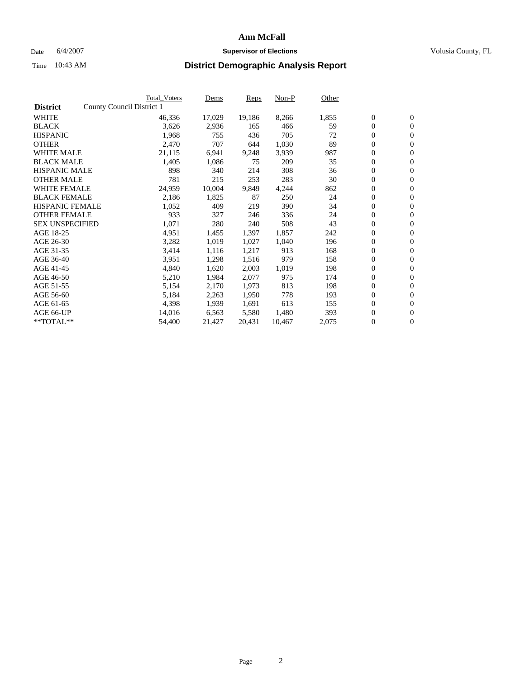#### Date 6/4/2007 **Supervisor of Elections Supervisor of Elections** Volusia County, FL

|                        |                           | Total_Voters | Dems   | <b>Reps</b> | Non-P  | Other |                  |                  |  |
|------------------------|---------------------------|--------------|--------|-------------|--------|-------|------------------|------------------|--|
| <b>District</b>        | County Council District 1 |              |        |             |        |       |                  |                  |  |
| <b>WHITE</b>           |                           | 46,336       | 17,029 | 19,186      | 8,266  | 1,855 | $\boldsymbol{0}$ | $\mathbf{0}$     |  |
| <b>BLACK</b>           |                           | 3,626        | 2,936  | 165         | 466    | 59    | $\overline{0}$   | $\mathbf{0}$     |  |
| <b>HISPANIC</b>        |                           | 1,968        | 755    | 436         | 705    | 72    | $\boldsymbol{0}$ | $\mathbf{0}$     |  |
| <b>OTHER</b>           |                           | 2,470        | 707    | 644         | 1,030  | 89    | $\boldsymbol{0}$ | $\mathbf{0}$     |  |
| <b>WHITE MALE</b>      |                           | 21,115       | 6,941  | 9,248       | 3,939  | 987   | $\boldsymbol{0}$ | $\mathbf{0}$     |  |
| <b>BLACK MALE</b>      |                           | 1,405        | 1,086  | 75          | 209    | 35    | $\boldsymbol{0}$ | $\mathbf{0}$     |  |
| <b>HISPANIC MALE</b>   |                           | 898          | 340    | 214         | 308    | 36    | $\overline{0}$   | $\mathbf{0}$     |  |
| <b>OTHER MALE</b>      |                           | 781          | 215    | 253         | 283    | 30    | $\boldsymbol{0}$ | $\mathbf{0}$     |  |
| <b>WHITE FEMALE</b>    |                           | 24,959       | 10,004 | 9,849       | 4,244  | 862   | $\mathbf{0}$     | $\mathbf{0}$     |  |
| <b>BLACK FEMALE</b>    |                           | 2,186        | 1,825  | 87          | 250    | 24    | $\boldsymbol{0}$ | $\mathbf{0}$     |  |
| <b>HISPANIC FEMALE</b> |                           | 1,052        | 409    | 219         | 390    | 34    | $\boldsymbol{0}$ | $\mathbf{0}$     |  |
| <b>OTHER FEMALE</b>    |                           | 933          | 327    | 246         | 336    | 24    | 0                | $\mathbf{0}$     |  |
| <b>SEX UNSPECIFIED</b> |                           | 1,071        | 280    | 240         | 508    | 43    | $\boldsymbol{0}$ | $\mathbf{0}$     |  |
| AGE 18-25              |                           | 4,951        | 1,455  | 1,397       | 1,857  | 242   | $\boldsymbol{0}$ | $\mathbf{0}$     |  |
| AGE 26-30              |                           | 3,282        | 1,019  | 1,027       | 1,040  | 196   | $\overline{0}$   | $\mathbf{0}$     |  |
| AGE 31-35              |                           | 3,414        | 1,116  | 1,217       | 913    | 168   | $\boldsymbol{0}$ | $\mathbf{0}$     |  |
| AGE 36-40              |                           | 3,951        | 1,298  | 1,516       | 979    | 158   | $\boldsymbol{0}$ | $\mathbf{0}$     |  |
| AGE 41-45              |                           | 4,840        | 1,620  | 2,003       | 1,019  | 198   | $\boldsymbol{0}$ | $\mathbf{0}$     |  |
| AGE 46-50              |                           | 5,210        | 1,984  | 2,077       | 975    | 174   | 0                | $\mathbf{0}$     |  |
| AGE 51-55              |                           | 5,154        | 2,170  | 1,973       | 813    | 198   | $\boldsymbol{0}$ | $\mathbf{0}$     |  |
| AGE 56-60              |                           | 5,184        | 2,263  | 1,950       | 778    | 193   | $\overline{0}$   | $\mathbf{0}$     |  |
| AGE 61-65              |                           | 4,398        | 1,939  | 1,691       | 613    | 155   | $\mathbf{0}$     | $\boldsymbol{0}$ |  |
| AGE 66-UP              |                           | 14,016       | 6,563  | 5,580       | 1,480  | 393   | $\boldsymbol{0}$ | $\mathbf{0}$     |  |
| **TOTAL**              |                           | 54,400       | 21,427 | 20,431      | 10,467 | 2,075 | $\boldsymbol{0}$ | $\overline{0}$   |  |
|                        |                           |              |        |             |        |       |                  |                  |  |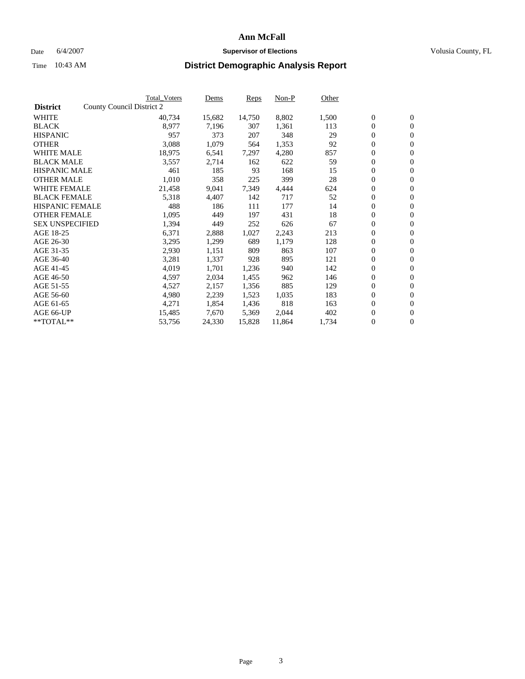#### Date 6/4/2007 **Supervisor of Elections Supervisor of Elections** Volusia County, FL

|                        |                           | Total_Voters | Dems   | <b>Reps</b> | Non-P  | Other |                  |                  |  |
|------------------------|---------------------------|--------------|--------|-------------|--------|-------|------------------|------------------|--|
| <b>District</b>        | County Council District 2 |              |        |             |        |       |                  |                  |  |
| <b>WHITE</b>           |                           | 40,734       | 15,682 | 14,750      | 8,802  | 1,500 | $\boldsymbol{0}$ | $\mathbf{0}$     |  |
| <b>BLACK</b>           |                           | 8,977        | 7,196  | 307         | 1,361  | 113   | $\boldsymbol{0}$ | $\mathbf{0}$     |  |
| <b>HISPANIC</b>        |                           | 957          | 373    | 207         | 348    | 29    | $\boldsymbol{0}$ | $\mathbf{0}$     |  |
| <b>OTHER</b>           |                           | 3,088        | 1,079  | 564         | 1,353  | 92    | $\boldsymbol{0}$ | $\mathbf{0}$     |  |
| <b>WHITE MALE</b>      |                           | 18,975       | 6,541  | 7,297       | 4,280  | 857   | $\boldsymbol{0}$ | $\mathbf{0}$     |  |
| <b>BLACK MALE</b>      |                           | 3,557        | 2,714  | 162         | 622    | 59    | $\boldsymbol{0}$ | $\mathbf{0}$     |  |
| <b>HISPANIC MALE</b>   |                           | 461          | 185    | 93          | 168    | 15    | $\overline{0}$   | $\mathbf{0}$     |  |
| <b>OTHER MALE</b>      |                           | 1,010        | 358    | 225         | 399    | 28    | $\overline{0}$   | $\mathbf{0}$     |  |
| <b>WHITE FEMALE</b>    |                           | 21,458       | 9,041  | 7,349       | 4,444  | 624   | $\mathbf{0}$     | $\mathbf{0}$     |  |
| <b>BLACK FEMALE</b>    |                           | 5,318        | 4,407  | 142         | 717    | 52    | $\boldsymbol{0}$ | $\mathbf{0}$     |  |
| <b>HISPANIC FEMALE</b> |                           | 488          | 186    | 111         | 177    | 14    | $\boldsymbol{0}$ | $\mathbf{0}$     |  |
| <b>OTHER FEMALE</b>    |                           | 1,095        | 449    | 197         | 431    | 18    | 0                | $\mathbf{0}$     |  |
| <b>SEX UNSPECIFIED</b> |                           | 1,394        | 449    | 252         | 626    | 67    | $\boldsymbol{0}$ | $\mathbf{0}$     |  |
| AGE 18-25              |                           | 6,371        | 2,888  | 1,027       | 2,243  | 213   | $\boldsymbol{0}$ | $\mathbf{0}$     |  |
| AGE 26-30              |                           | 3,295        | 1,299  | 689         | 1,179  | 128   | $\overline{0}$   | $\mathbf{0}$     |  |
| AGE 31-35              |                           | 2,930        | 1,151  | 809         | 863    | 107   | $\boldsymbol{0}$ | $\mathbf{0}$     |  |
| AGE 36-40              |                           | 3,281        | 1,337  | 928         | 895    | 121   | $\boldsymbol{0}$ | $\mathbf{0}$     |  |
| AGE 41-45              |                           | 4,019        | 1,701  | 1,236       | 940    | 142   | $\boldsymbol{0}$ | $\mathbf{0}$     |  |
| AGE 46-50              |                           | 4,597        | 2,034  | 1,455       | 962    | 146   | 0                | $\mathbf{0}$     |  |
| AGE 51-55              |                           | 4,527        | 2,157  | 1,356       | 885    | 129   | $\boldsymbol{0}$ | $\mathbf{0}$     |  |
| AGE 56-60              |                           | 4,980        | 2,239  | 1,523       | 1,035  | 183   | $\overline{0}$   | $\mathbf{0}$     |  |
| AGE 61-65              |                           | 4,271        | 1,854  | 1,436       | 818    | 163   | $\mathbf{0}$     | $\boldsymbol{0}$ |  |
| AGE 66-UP              |                           | 15,485       | 7,670  | 5,369       | 2,044  | 402   | $\boldsymbol{0}$ | $\mathbf{0}$     |  |
| **TOTAL**              |                           | 53,756       | 24,330 | 15,828      | 11,864 | 1,734 | 0                | $\overline{0}$   |  |
|                        |                           |              |        |             |        |       |                  |                  |  |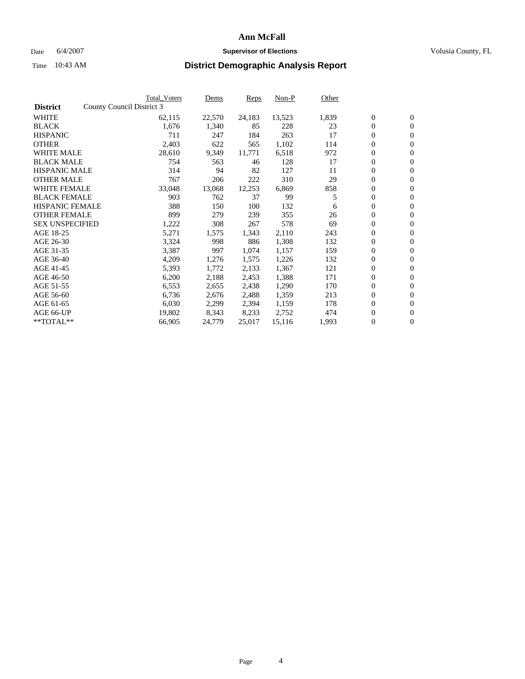#### Date 6/4/2007 **Supervisor of Elections Supervisor of Elections** Volusia County, FL

|                        |                           | <b>Total_Voters</b> | Dems   | <b>Reps</b> | Non-P  | Other |                  |                |
|------------------------|---------------------------|---------------------|--------|-------------|--------|-------|------------------|----------------|
| <b>District</b>        | County Council District 3 |                     |        |             |        |       |                  |                |
| <b>WHITE</b>           |                           | 62,115              | 22,570 | 24,183      | 13,523 | 1,839 | $\overline{0}$   | $\mathbf{0}$   |
| <b>BLACK</b>           |                           | 1,676               | 1,340  | 85          | 228    | 23    | $\overline{0}$   | $\mathbf{0}$   |
| <b>HISPANIC</b>        |                           | 711                 | 247    | 184         | 263    | 17    | $\boldsymbol{0}$ | $\mathbf{0}$   |
| <b>OTHER</b>           |                           | 2,403               | 622    | 565         | 1,102  | 114   | 0                | $\mathbf{0}$   |
| <b>WHITE MALE</b>      |                           | 28,610              | 9,349  | 11,771      | 6,518  | 972   | 0                | $\mathbf{0}$   |
| <b>BLACK MALE</b>      |                           | 754                 | 563    | 46          | 128    | 17    | $\boldsymbol{0}$ | $\mathbf{0}$   |
| <b>HISPANIC MALE</b>   |                           | 314                 | 94     | 82          | 127    | 11    | $\overline{0}$   | $\mathbf{0}$   |
| <b>OTHER MALE</b>      |                           | 767                 | 206    | 222         | 310    | 29    | $\overline{0}$   | $\mathbf{0}$   |
| <b>WHITE FEMALE</b>    |                           | 33,048              | 13,068 | 12,253      | 6,869  | 858   | $\overline{0}$   | $\mathbf{0}$   |
| <b>BLACK FEMALE</b>    |                           | 903                 | 762    | 37          | 99     | 5     | $\boldsymbol{0}$ | $\mathbf{0}$   |
| <b>HISPANIC FEMALE</b> |                           | 388                 | 150    | 100         | 132    | 6     | $\boldsymbol{0}$ | $\mathbf{0}$   |
| <b>OTHER FEMALE</b>    |                           | 899                 | 279    | 239         | 355    | 26    | 0                | $\overline{0}$ |
| <b>SEX UNSPECIFIED</b> |                           | 1,222               | 308    | 267         | 578    | 69    | $\boldsymbol{0}$ | $\mathbf{0}$   |
| AGE 18-25              |                           | 5,271               | 1,575  | 1,343       | 2,110  | 243   | $\boldsymbol{0}$ | $\mathbf{0}$   |
| AGE 26-30              |                           | 3,324               | 998    | 886         | 1,308  | 132   | $\overline{0}$   | $\mathbf{0}$   |
| AGE 31-35              |                           | 3,387               | 997    | 1,074       | 1,157  | 159   | $\boldsymbol{0}$ | $\mathbf{0}$   |
| AGE 36-40              |                           | 4,209               | 1,276  | 1,575       | 1,226  | 132   | $\boldsymbol{0}$ | $\mathbf{0}$   |
| AGE 41-45              |                           | 5,393               | 1,772  | 2,133       | 1,367  | 121   | $\boldsymbol{0}$ | $\mathbf{0}$   |
| AGE 46-50              |                           | 6,200               | 2,188  | 2,453       | 1,388  | 171   | 0                | $\mathbf{0}$   |
| AGE 51-55              |                           | 6,553               | 2,655  | 2,438       | 1,290  | 170   | $\boldsymbol{0}$ | $\mathbf{0}$   |
| AGE 56-60              |                           | 6,736               | 2,676  | 2,488       | 1,359  | 213   | $\overline{0}$   | $\mathbf{0}$   |
| AGE 61-65              |                           | 6,030               | 2,299  | 2,394       | 1,159  | 178   | $\mathbf{0}$     | $\mathbf{0}$   |
| AGE 66-UP              |                           | 19,802              | 8,343  | 8,233       | 2,752  | 474   | $\boldsymbol{0}$ | $\mathbf{0}$   |
| **TOTAL**              |                           | 66,905              | 24,779 | 25,017      | 15,116 | 1,993 | 0                | $\overline{0}$ |
|                        |                           |                     |        |             |        |       |                  |                |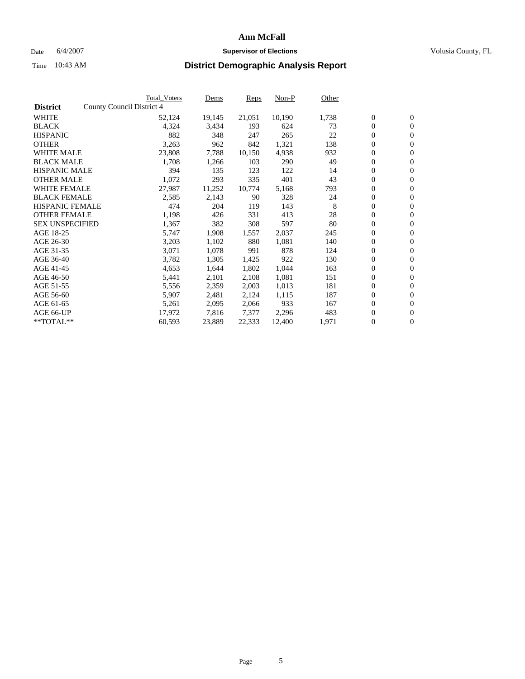#### Date 6/4/2007 **Supervisor of Elections Supervisor of Elections** Volusia County, FL

|                        | <b>Total_Voters</b>       | Dems   | <b>Reps</b> | Non-P  | Other |                  |                |  |
|------------------------|---------------------------|--------|-------------|--------|-------|------------------|----------------|--|
| <b>District</b>        | County Council District 4 |        |             |        |       |                  |                |  |
| <b>WHITE</b>           | 52,124                    | 19,145 | 21,051      | 10,190 | 1,738 | $\boldsymbol{0}$ | $\mathbf{0}$   |  |
| <b>BLACK</b>           | 4,324                     | 3,434  | 193         | 624    | 73    | $\overline{0}$   | $\overline{0}$ |  |
| <b>HISPANIC</b>        | 882                       | 348    | 247         | 265    | 22    | $\boldsymbol{0}$ | $\overline{0}$ |  |
| <b>OTHER</b>           | 3,263                     | 962    | 842         | 1,321  | 138   | 0                | $\mathbf{0}$   |  |
| <b>WHITE MALE</b>      | 23,808                    | 7,788  | 10,150      | 4,938  | 932   | 0                | $\mathbf{0}$   |  |
| <b>BLACK MALE</b>      | 1,708                     | 1,266  | 103         | 290    | 49    | $\boldsymbol{0}$ | $\mathbf{0}$   |  |
| <b>HISPANIC MALE</b>   | 394                       | 135    | 123         | 122    | 14    | 0                | $\mathbf{0}$   |  |
| <b>OTHER MALE</b>      | 1,072                     | 293    | 335         | 401    | 43    | $\boldsymbol{0}$ | $\mathbf{0}$   |  |
| <b>WHITE FEMALE</b>    | 27,987                    | 11,252 | 10,774      | 5,168  | 793   | $\overline{0}$   | $\overline{0}$ |  |
| <b>BLACK FEMALE</b>    | 2,585                     | 2,143  | 90          | 328    | 24    | $\boldsymbol{0}$ | $\mathbf{0}$   |  |
| <b>HISPANIC FEMALE</b> | 474                       | 204    | 119         | 143    | 8     | $\boldsymbol{0}$ | $\mathbf{0}$   |  |
| <b>OTHER FEMALE</b>    | 1,198                     | 426    | 331         | 413    | 28    | 0                | $\overline{0}$ |  |
| <b>SEX UNSPECIFIED</b> | 1,367                     | 382    | 308         | 597    | 80    | 0                | $\mathbf{0}$   |  |
| AGE 18-25              | 5,747                     | 1,908  | 1,557       | 2,037  | 245   | $\boldsymbol{0}$ | $\mathbf{0}$   |  |
| AGE 26-30              | 3,203                     | 1,102  | 880         | 1,081  | 140   | $\overline{0}$   | $\mathbf{0}$   |  |
| AGE 31-35              | 3,071                     | 1,078  | 991         | 878    | 124   | $\boldsymbol{0}$ | $\overline{0}$ |  |
| AGE 36-40              | 3,782                     | 1,305  | 1,425       | 922    | 130   | $\boldsymbol{0}$ | $\mathbf{0}$   |  |
| AGE 41-45              | 4,653                     | 1,644  | 1,802       | 1,044  | 163   | 0                | $\mathbf{0}$   |  |
| AGE 46-50              | 5,441                     | 2,101  | 2,108       | 1,081  | 151   | 0                | $\mathbf{0}$   |  |
| AGE 51-55              | 5,556                     | 2,359  | 2,003       | 1,013  | 181   | $\boldsymbol{0}$ | $\mathbf{0}$   |  |
| AGE 56-60              | 5,907                     | 2,481  | 2,124       | 1,115  | 187   | $\overline{0}$   | $\mathbf{0}$   |  |
| AGE 61-65              | 5,261                     | 2,095  | 2,066       | 933    | 167   | $\overline{0}$   | $\mathbf{0}$   |  |
| AGE 66-UP              | 17,972                    | 7,816  | 7,377       | 2,296  | 483   | $\boldsymbol{0}$ | $\mathbf{0}$   |  |
| **TOTAL**              | 60,593                    | 23,889 | 22,333      | 12,400 | 1,971 | 0                | $\overline{0}$ |  |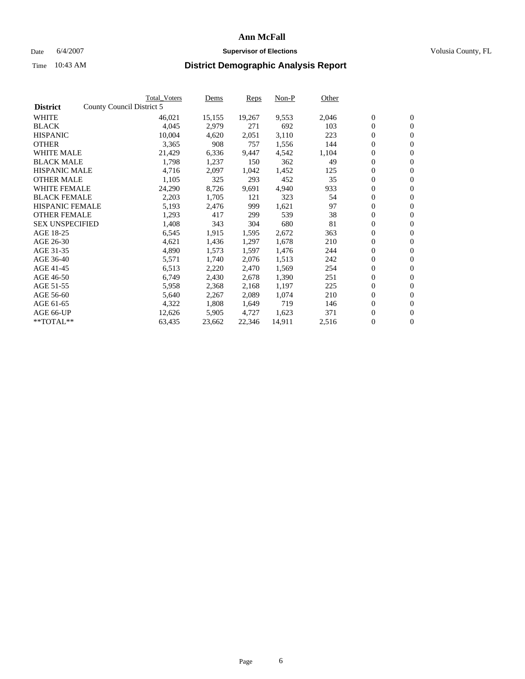#### Date 6/4/2007 **Supervisor of Elections Supervisor of Elections** Volusia County, FL

|                        | <b>Total Voters</b>       | Dems   | <b>Reps</b> | Non-P  | Other |                  |                  |  |
|------------------------|---------------------------|--------|-------------|--------|-------|------------------|------------------|--|
| <b>District</b>        | County Council District 5 |        |             |        |       |                  |                  |  |
| <b>WHITE</b>           | 46,021                    | 15,155 | 19,267      | 9,553  | 2,046 | $\overline{0}$   | $\mathbf{0}$     |  |
| <b>BLACK</b>           | 4,045                     | 2,979  | 271         | 692    | 103   | $\overline{0}$   | $\mathbf{0}$     |  |
| <b>HISPANIC</b>        | 10,004                    | 4,620  | 2,051       | 3,110  | 223   | $\boldsymbol{0}$ | $\mathbf{0}$     |  |
| <b>OTHER</b>           | 3,365                     | 908    | 757         | 1,556  | 144   | $\boldsymbol{0}$ | $\mathbf{0}$     |  |
| <b>WHITE MALE</b>      | 21,429                    | 6,336  | 9,447       | 4,542  | 1,104 | 0                | $\mathbf{0}$     |  |
| <b>BLACK MALE</b>      | 1,798                     | 1,237  | 150         | 362    | 49    | $\boldsymbol{0}$ | $\mathbf{0}$     |  |
| <b>HISPANIC MALE</b>   | 4,716                     | 2,097  | 1,042       | 1,452  | 125   | $\overline{0}$   | $\mathbf{0}$     |  |
| <b>OTHER MALE</b>      | 1,105                     | 325    | 293         | 452    | 35    | $\overline{0}$   | $\mathbf{0}$     |  |
| <b>WHITE FEMALE</b>    | 24,290                    | 8,726  | 9,691       | 4,940  | 933   | $\mathbf{0}$     | $\mathbf{0}$     |  |
| <b>BLACK FEMALE</b>    | 2,203                     | 1,705  | 121         | 323    | 54    | $\boldsymbol{0}$ | $\mathbf{0}$     |  |
| <b>HISPANIC FEMALE</b> | 5,193                     | 2,476  | 999         | 1,621  | 97    | $\boldsymbol{0}$ | $\mathbf{0}$     |  |
| <b>OTHER FEMALE</b>    | 1,293                     | 417    | 299         | 539    | 38    | 0                | $\mathbf{0}$     |  |
| <b>SEX UNSPECIFIED</b> | 1,408                     | 343    | 304         | 680    | 81    | $\boldsymbol{0}$ | $\mathbf{0}$     |  |
| AGE 18-25              | 6,545                     | 1,915  | 1,595       | 2,672  | 363   | $\boldsymbol{0}$ | $\mathbf{0}$     |  |
| AGE 26-30              | 4,621                     | 1,436  | 1,297       | 1,678  | 210   | $\overline{0}$   | $\mathbf{0}$     |  |
| AGE 31-35              | 4,890                     | 1,573  | 1,597       | 1,476  | 244   | $\overline{0}$   | $\mathbf{0}$     |  |
| AGE 36-40              | 5,571                     | 1,740  | 2,076       | 1,513  | 242   | $\boldsymbol{0}$ | $\mathbf{0}$     |  |
| AGE 41-45              | 6,513                     | 2,220  | 2,470       | 1,569  | 254   | $\boldsymbol{0}$ | $\mathbf{0}$     |  |
| AGE 46-50              | 6,749                     | 2,430  | 2,678       | 1,390  | 251   | $\boldsymbol{0}$ | $\mathbf{0}$     |  |
| AGE 51-55              | 5,958                     | 2,368  | 2,168       | 1,197  | 225   | $\boldsymbol{0}$ | $\mathbf{0}$     |  |
| AGE 56-60              | 5,640                     | 2,267  | 2,089       | 1,074  | 210   | $\overline{0}$   | $\mathbf{0}$     |  |
| AGE 61-65              | 4,322                     | 1,808  | 1,649       | 719    | 146   | $\mathbf{0}$     | $\boldsymbol{0}$ |  |
| AGE 66-UP              | 12,626                    | 5,905  | 4,727       | 1,623  | 371   | $\boldsymbol{0}$ | $\mathbf{0}$     |  |
| **TOTAL**              | 63,435                    | 23,662 | 22,346      | 14,911 | 2,516 | 0                | $\overline{0}$   |  |
|                        |                           |        |             |        |       |                  |                  |  |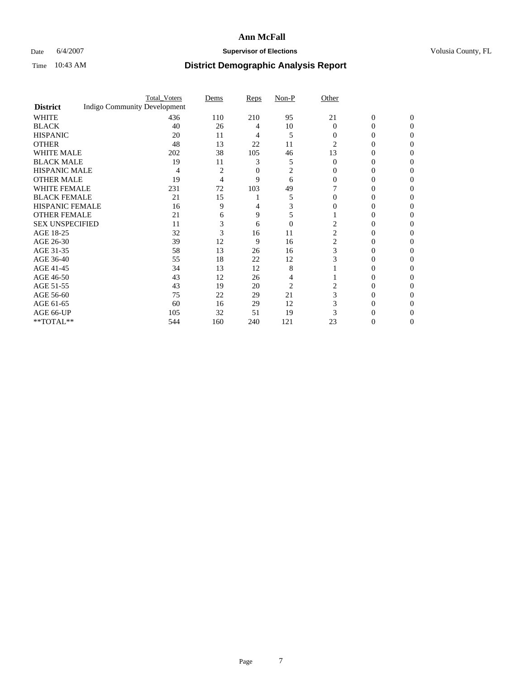### Date 6/4/2007 **Supervisor of Elections Supervisor of Elections** Volusia County, FL

|                        |                                     | <b>Total_Voters</b> | Dems | <b>Reps</b> | Non-P          | Other    |                |              |  |
|------------------------|-------------------------------------|---------------------|------|-------------|----------------|----------|----------------|--------------|--|
| <b>District</b>        | <b>Indigo Community Development</b> |                     |      |             |                |          |                |              |  |
| <b>WHITE</b>           |                                     | 436                 | 110  | 210         | 95             | 21       | $\overline{0}$ | $\mathbf{0}$ |  |
| <b>BLACK</b>           |                                     | 40                  | 26   | 4           | 10             | $\Omega$ | 0              | $\Omega$     |  |
| <b>HISPANIC</b>        |                                     | 20                  | 11   | 4           | 5              | 0        | 0              | 0            |  |
| <b>OTHER</b>           |                                     | 48                  | 13   | 22          | 11             | 2        |                |              |  |
| <b>WHITE MALE</b>      |                                     | 202                 | 38   | 105         | 46             | 13       | 0              |              |  |
| <b>BLACK MALE</b>      |                                     | 19                  | 11   | 3           | 5              | 0        | 0              |              |  |
| HISPANIC MALE          |                                     | 4                   | 2    | 0           | 2              |          | $\theta$       |              |  |
| <b>OTHER MALE</b>      |                                     | 19                  | 4    | 9           | 6              | 0        | 0              |              |  |
| WHITE FEMALE           |                                     | 231                 | 72   | 103         | 49             |          |                |              |  |
| <b>BLACK FEMALE</b>    |                                     | 21                  | 15   |             | 5              | 0        | 0              | 0            |  |
| <b>HISPANIC FEMALE</b> |                                     | 16                  | 9    |             |                |          |                | $\mathbf{0}$ |  |
| <b>OTHER FEMALE</b>    |                                     | 21                  | 6    | 9           | 5              |          | 0              |              |  |
| <b>SEX UNSPECIFIED</b> |                                     | 11                  | 3    | 6           | $\overline{0}$ |          |                |              |  |
| AGE 18-25              |                                     | 32                  | 3    | 16          | 11             | 2        | 0              |              |  |
| AGE 26-30              |                                     | 39                  | 12   | 9           | 16             | 2        | 0              |              |  |
| AGE 31-35              |                                     | 58                  | 13   | 26          | 16             | 3        | 0              |              |  |
| AGE 36-40              |                                     | 55                  | 18   | 22          | 12             | 3        | 0              | $\theta$     |  |
| AGE 41-45              |                                     | 34                  | 13   | 12          | 8              |          |                |              |  |
| AGE 46-50              |                                     | 43                  | 12   | 26          |                |          | 0              | 0            |  |
| AGE 51-55              |                                     | 43                  | 19   | 20          | 2              |          |                |              |  |
| AGE 56-60              |                                     | 75                  | 22   | 29          | 21             | 3        | 0              |              |  |
| AGE 61-65              |                                     | 60                  | 16   | 29          | 12             |          | 0              |              |  |
| AGE 66-UP              |                                     | 105                 | 32   | 51          | 19             |          |                |              |  |
| **TOTAL**              |                                     | 544                 | 160  | 240         | 121            | 23       | 0              | 0            |  |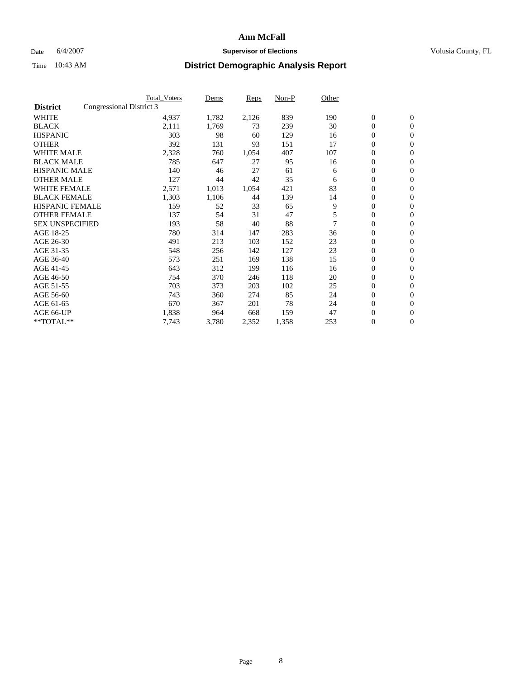### Date 6/4/2007 **Supervisor of Elections Supervisor of Elections** Volusia County, FL

|                        |                          | <b>Total_Voters</b> | Dems  | <b>Reps</b> | Non-P | Other |                  |                  |  |
|------------------------|--------------------------|---------------------|-------|-------------|-------|-------|------------------|------------------|--|
| <b>District</b>        | Congressional District 3 |                     |       |             |       |       |                  |                  |  |
| <b>WHITE</b>           |                          | 4,937               | 1,782 | 2,126       | 839   | 190   | $\boldsymbol{0}$ | $\mathbf{0}$     |  |
| <b>BLACK</b>           |                          | 2,111               | 1,769 | 73          | 239   | 30    | $\overline{0}$   | $\mathbf{0}$     |  |
| <b>HISPANIC</b>        |                          | 303                 | 98    | 60          | 129   | 16    | $\overline{0}$   | $\mathbf{0}$     |  |
| <b>OTHER</b>           |                          | 392                 | 131   | 93          | 151   | 17    | 0                | $\mathbf{0}$     |  |
| <b>WHITE MALE</b>      |                          | 2,328               | 760   | 1,054       | 407   | 107   | $\overline{0}$   | $\mathbf{0}$     |  |
| <b>BLACK MALE</b>      |                          | 785                 | 647   | 27          | 95    | 16    | 0                | $\mathbf{0}$     |  |
| <b>HISPANIC MALE</b>   |                          | 140                 | 46    | 27          | 61    | 6     | 0                | $\mathbf{0}$     |  |
| <b>OTHER MALE</b>      |                          | 127                 | 44    | 42          | 35    | 6     | $\boldsymbol{0}$ | $\mathbf{0}$     |  |
| <b>WHITE FEMALE</b>    |                          | 2,571               | 1,013 | 1,054       | 421   | 83    | $\overline{0}$   | $\mathbf{0}$     |  |
| <b>BLACK FEMALE</b>    |                          | 1,303               | 1,106 | 44          | 139   | 14    | $\overline{0}$   | $\mathbf{0}$     |  |
| <b>HISPANIC FEMALE</b> |                          | 159                 | 52    | 33          | 65    | 9     | 0                | $\mathbf{0}$     |  |
| <b>OTHER FEMALE</b>    |                          | 137                 | 54    | 31          | 47    | 5     | $\overline{0}$   | $\mathbf{0}$     |  |
| <b>SEX UNSPECIFIED</b> |                          | 193                 | 58    | 40          | 88    | 7     | $\boldsymbol{0}$ | $\mathbf{0}$     |  |
| AGE 18-25              |                          | 780                 | 314   | 147         | 283   | 36    | 0                | $\mathbf{0}$     |  |
| AGE 26-30              |                          | 491                 | 213   | 103         | 152   | 23    | $\boldsymbol{0}$ | $\mathbf{0}$     |  |
| AGE 31-35              |                          | 548                 | 256   | 142         | 127   | 23    | 0                | $\mathbf{0}$     |  |
| AGE 36-40              |                          | 573                 | 251   | 169         | 138   | 15    | $\boldsymbol{0}$ | $\mathbf{0}$     |  |
| AGE 41-45              |                          | 643                 | 312   | 199         | 116   | 16    | $\mathbf{0}$     | $\mathbf{0}$     |  |
| AGE 46-50              |                          | 754                 | 370   | 246         | 118   | 20    | $\overline{0}$   | $\mathbf{0}$     |  |
| AGE 51-55              |                          | 703                 | 373   | 203         | 102   | 25    | 0                | $\mathbf{0}$     |  |
| AGE 56-60              |                          | 743                 | 360   | 274         | 85    | 24    | $\boldsymbol{0}$ | $\mathbf{0}$     |  |
| AGE 61-65              |                          | 670                 | 367   | 201         | 78    | 24    | 0                | $\mathbf{0}$     |  |
| AGE 66-UP              |                          | 1,838               | 964   | 668         | 159   | 47    | 0                | $\bf{0}$         |  |
| $*$ TOTAL $**$         |                          | 7,743               | 3,780 | 2,352       | 1,358 | 253   | 0                | $\boldsymbol{0}$ |  |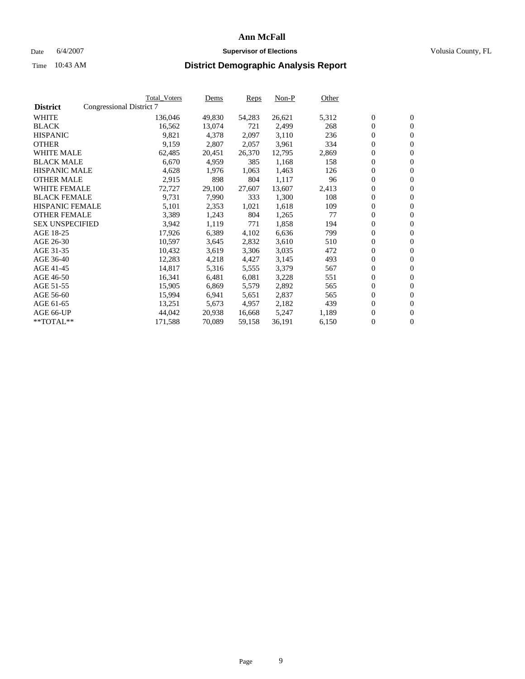### Date 6/4/2007 **Supervisor of Elections Supervisor of Elections** Volusia County, FL

|                        |                          | Total_Voters | Dems   | Reps   | Non-P  | Other |                  |                  |  |
|------------------------|--------------------------|--------------|--------|--------|--------|-------|------------------|------------------|--|
| <b>District</b>        | Congressional District 7 |              |        |        |        |       |                  |                  |  |
| <b>WHITE</b>           |                          | 136,046      | 49,830 | 54,283 | 26,621 | 5,312 | $\boldsymbol{0}$ | $\mathbf{0}$     |  |
| <b>BLACK</b>           |                          | 16,562       | 13,074 | 721    | 2,499  | 268   | $\overline{0}$   | $\mathbf{0}$     |  |
| <b>HISPANIC</b>        |                          | 9,821        | 4,378  | 2,097  | 3,110  | 236   | $\overline{0}$   | $\mathbf{0}$     |  |
| <b>OTHER</b>           |                          | 9,159        | 2,807  | 2,057  | 3,961  | 334   | $\overline{0}$   | $\mathbf{0}$     |  |
| <b>WHITE MALE</b>      |                          | 62,485       | 20,451 | 26,370 | 12,795 | 2,869 | $\overline{0}$   | $\mathbf{0}$     |  |
| <b>BLACK MALE</b>      |                          | 6,670        | 4,959  | 385    | 1,168  | 158   | $\boldsymbol{0}$ | $\mathbf{0}$     |  |
| <b>HISPANIC MALE</b>   |                          | 4,628        | 1,976  | 1,063  | 1,463  | 126   | 0                | $\mathbf{0}$     |  |
| <b>OTHER MALE</b>      |                          | 2,915        | 898    | 804    | 1,117  | 96    | $\boldsymbol{0}$ | $\mathbf{0}$     |  |
| <b>WHITE FEMALE</b>    |                          | 72,727       | 29,100 | 27,607 | 13,607 | 2,413 | 0                | $\mathbf{0}$     |  |
| <b>BLACK FEMALE</b>    |                          | 9,731        | 7,990  | 333    | 1,300  | 108   | $\overline{0}$   | $\mathbf{0}$     |  |
| <b>HISPANIC FEMALE</b> |                          | 5,101        | 2,353  | 1,021  | 1,618  | 109   | $\overline{0}$   | $\mathbf{0}$     |  |
| <b>OTHER FEMALE</b>    |                          | 3,389        | 1,243  | 804    | 1,265  | 77    | $\mathbf{0}$     | $\mathbf{0}$     |  |
| <b>SEX UNSPECIFIED</b> |                          | 3,942        | 1,119  | 771    | 1,858  | 194   | $\boldsymbol{0}$ | $\boldsymbol{0}$ |  |
| AGE 18-25              |                          | 17,926       | 6,389  | 4,102  | 6,636  | 799   | $\overline{0}$   | $\mathbf{0}$     |  |
| AGE 26-30              |                          | 10,597       | 3,645  | 2,832  | 3,610  | 510   | $\boldsymbol{0}$ | $\mathbf{0}$     |  |
| AGE 31-35              |                          | 10,432       | 3,619  | 3,306  | 3,035  | 472   | 0                | $\mathbf{0}$     |  |
| AGE 36-40              |                          | 12,283       | 4,218  | 4,427  | 3,145  | 493   | $\boldsymbol{0}$ | $\mathbf{0}$     |  |
| AGE 41-45              |                          | 14,817       | 5,316  | 5,555  | 3,379  | 567   | $\overline{0}$   | $\mathbf{0}$     |  |
| AGE 46-50              |                          | 16,341       | 6,481  | 6,081  | 3,228  | 551   | $\overline{0}$   | $\mathbf{0}$     |  |
| AGE 51-55              |                          | 15,905       | 6,869  | 5,579  | 2,892  | 565   | $\mathbf{0}$     | $\mathbf{0}$     |  |
| AGE 56-60              |                          | 15,994       | 6,941  | 5,651  | 2,837  | 565   | $\boldsymbol{0}$ | $\mathbf{0}$     |  |
| AGE 61-65              |                          | 13,251       | 5,673  | 4,957  | 2,182  | 439   | 0                | $\mathbf{0}$     |  |
| AGE 66-UP              |                          | 44,042       | 20,938 | 16,668 | 5,247  | 1,189 | 0                | $\mathbf{0}$     |  |
| $*$ TOTAL $**$         |                          | 171,588      | 70,089 | 59,158 | 36,191 | 6,150 | 0                | $\boldsymbol{0}$ |  |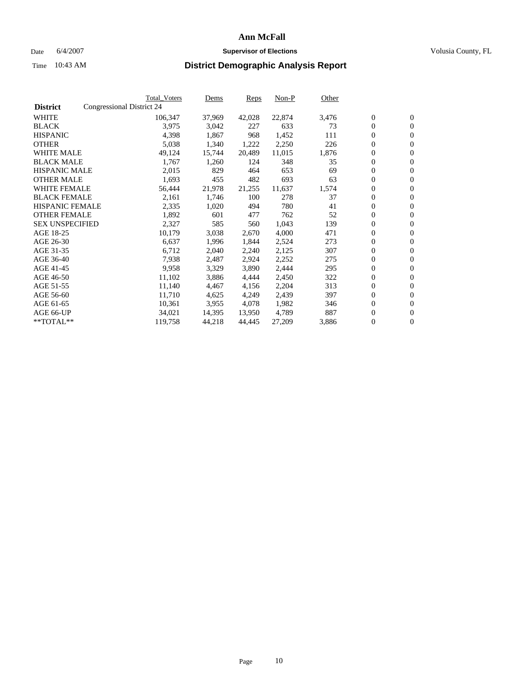#### Date 6/4/2007 **Supervisor of Elections Supervisor of Elections** Volusia County, FL

|                        |                           | <b>Total_Voters</b> | Dems   | <b>Reps</b> | Non-P  | Other |                  |                |
|------------------------|---------------------------|---------------------|--------|-------------|--------|-------|------------------|----------------|
| <b>District</b>        | Congressional District 24 |                     |        |             |        |       |                  |                |
| <b>WHITE</b>           |                           | 106,347             | 37,969 | 42,028      | 22,874 | 3,476 | $\boldsymbol{0}$ | $\mathbf{0}$   |
| <b>BLACK</b>           |                           | 3,975               | 3,042  | 227         | 633    | 73    | $\overline{0}$   | $\mathbf{0}$   |
| <b>HISPANIC</b>        |                           | 4,398               | 1,867  | 968         | 1,452  | 111   | $\boldsymbol{0}$ | $\mathbf{0}$   |
| <b>OTHER</b>           |                           | 5,038               | 1,340  | 1,222       | 2,250  | 226   | $\boldsymbol{0}$ | $\mathbf{0}$   |
| <b>WHITE MALE</b>      |                           | 49,124              | 15,744 | 20,489      | 11,015 | 1,876 | 0                | $\mathbf{0}$   |
| <b>BLACK MALE</b>      |                           | 1,767               | 1,260  | 124         | 348    | 35    | $\boldsymbol{0}$ | $\mathbf{0}$   |
| <b>HISPANIC MALE</b>   |                           | 2,015               | 829    | 464         | 653    | 69    | $\overline{0}$   | $\mathbf{0}$   |
| <b>OTHER MALE</b>      |                           | 1,693               | 455    | 482         | 693    | 63    | $\overline{0}$   | $\mathbf{0}$   |
| <b>WHITE FEMALE</b>    |                           | 56,444              | 21,978 | 21,255      | 11,637 | 1,574 | $\mathbf{0}$     | $\mathbf{0}$   |
| <b>BLACK FEMALE</b>    |                           | 2,161               | 1,746  | 100         | 278    | 37    | $\overline{0}$   | $\mathbf{0}$   |
| <b>HISPANIC FEMALE</b> |                           | 2,335               | 1,020  | 494         | 780    | 41    | $\boldsymbol{0}$ | $\mathbf{0}$   |
| <b>OTHER FEMALE</b>    |                           | 1,892               | 601    | 477         | 762    | 52    | 0                | $\mathbf{0}$   |
| <b>SEX UNSPECIFIED</b> |                           | 2,327               | 585    | 560         | 1,043  | 139   | $\boldsymbol{0}$ | $\mathbf{0}$   |
| AGE 18-25              |                           | 10,179              | 3,038  | 2,670       | 4,000  | 471   | $\boldsymbol{0}$ | $\mathbf{0}$   |
| AGE 26-30              |                           | 6,637               | 1,996  | 1,844       | 2,524  | 273   | $\overline{0}$   | $\mathbf{0}$   |
| AGE 31-35              |                           | 6,712               | 2,040  | 2,240       | 2,125  | 307   | $\overline{0}$   | $\mathbf{0}$   |
| AGE 36-40              |                           | 7,938               | 2,487  | 2,924       | 2,252  | 275   | $\boldsymbol{0}$ | $\mathbf{0}$   |
| AGE 41-45              |                           | 9,958               | 3,329  | 3,890       | 2,444  | 295   | $\boldsymbol{0}$ | $\mathbf{0}$   |
| AGE 46-50              |                           | 11,102              | 3,886  | 4,444       | 2,450  | 322   | 0                | $\mathbf{0}$   |
| AGE 51-55              |                           | 11,140              | 4,467  | 4,156       | 2,204  | 313   | $\boldsymbol{0}$ | $\mathbf{0}$   |
| AGE 56-60              |                           | 11,710              | 4,625  | 4,249       | 2,439  | 397   | $\overline{0}$   | $\mathbf{0}$   |
| AGE 61-65              |                           | 10,361              | 3,955  | 4,078       | 1,982  | 346   | $\mathbf{0}$     | $\mathbf{0}$   |
| AGE 66-UP              |                           | 34,021              | 14,395 | 13,950      | 4,789  | 887   | $\boldsymbol{0}$ | $\mathbf{0}$   |
| **TOTAL**              |                           | 119,758             | 44,218 | 44,445      | 27,209 | 3,886 | 0                | $\overline{0}$ |
|                        |                           |                     |        |             |        |       |                  |                |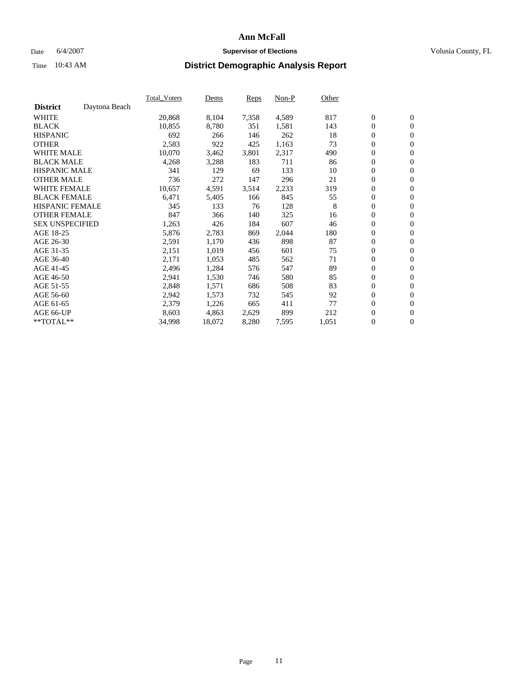#### Date 6/4/2007 **Supervisor of Elections Supervisor of Elections** Volusia County, FL

|                        |               | Total Voters | Dems   | <b>Reps</b> | Non-P | Other |                  |                  |  |
|------------------------|---------------|--------------|--------|-------------|-------|-------|------------------|------------------|--|
| <b>District</b>        | Daytona Beach |              |        |             |       |       |                  |                  |  |
| <b>WHITE</b>           |               | 20,868       | 8,104  | 7,358       | 4,589 | 817   | $\boldsymbol{0}$ | $\mathbf{0}$     |  |
| <b>BLACK</b>           |               | 10,855       | 8,780  | 351         | 1,581 | 143   | $\boldsymbol{0}$ | $\mathbf{0}$     |  |
| <b>HISPANIC</b>        |               | 692          | 266    | 146         | 262   | 18    | $\boldsymbol{0}$ | $\mathbf{0}$     |  |
| <b>OTHER</b>           |               | 2,583        | 922    | 425         | 1,163 | 73    | $\boldsymbol{0}$ | $\mathbf{0}$     |  |
| <b>WHITE MALE</b>      |               | 10,070       | 3,462  | 3,801       | 2,317 | 490   | 0                | $\mathbf{0}$     |  |
| <b>BLACK MALE</b>      |               | 4,268        | 3,288  | 183         | 711   | 86    | $\boldsymbol{0}$ | $\mathbf{0}$     |  |
| <b>HISPANIC MALE</b>   |               | 341          | 129    | 69          | 133   | 10    | $\overline{0}$   | $\mathbf{0}$     |  |
| <b>OTHER MALE</b>      |               | 736          | 272    | 147         | 296   | 21    | $\overline{0}$   | $\mathbf{0}$     |  |
| <b>WHITE FEMALE</b>    |               | 10,657       | 4,591  | 3,514       | 2,233 | 319   | $\mathbf{0}$     | $\mathbf{0}$     |  |
| <b>BLACK FEMALE</b>    |               | 6,471        | 5,405  | 166         | 845   | 55    | $\boldsymbol{0}$ | $\mathbf{0}$     |  |
| <b>HISPANIC FEMALE</b> |               | 345          | 133    | 76          | 128   | 8     | $\boldsymbol{0}$ | $\mathbf{0}$     |  |
| <b>OTHER FEMALE</b>    |               | 847          | 366    | 140         | 325   | 16    | 0                | $\mathbf{0}$     |  |
| <b>SEX UNSPECIFIED</b> |               | 1,263        | 426    | 184         | 607   | 46    | $\boldsymbol{0}$ | $\mathbf{0}$     |  |
| AGE 18-25              |               | 5,876        | 2,783  | 869         | 2,044 | 180   | $\boldsymbol{0}$ | $\mathbf{0}$     |  |
| AGE 26-30              |               | 2,591        | 1,170  | 436         | 898   | 87    | $\mathbf{0}$     | $\mathbf{0}$     |  |
| AGE 31-35              |               | 2,151        | 1,019  | 456         | 601   | 75    | $\boldsymbol{0}$ | $\mathbf{0}$     |  |
| AGE 36-40              |               | 2,171        | 1,053  | 485         | 562   | 71    | $\boldsymbol{0}$ | $\mathbf{0}$     |  |
| AGE 41-45              |               | 2,496        | 1,284  | 576         | 547   | 89    | $\boldsymbol{0}$ | $\mathbf{0}$     |  |
| AGE 46-50              |               | 2,941        | 1,530  | 746         | 580   | 85    | $\boldsymbol{0}$ | $\mathbf{0}$     |  |
| AGE 51-55              |               | 2,848        | 1,571  | 686         | 508   | 83    | $\boldsymbol{0}$ | $\mathbf{0}$     |  |
| AGE 56-60              |               | 2,942        | 1,573  | 732         | 545   | 92    | $\overline{0}$   | $\mathbf{0}$     |  |
| AGE 61-65              |               | 2,379        | 1,226  | 665         | 411   | 77    | $\mathbf{0}$     | $\boldsymbol{0}$ |  |
| AGE 66-UP              |               | 8,603        | 4,863  | 2,629       | 899   | 212   | $\boldsymbol{0}$ | $\mathbf{0}$     |  |
| **TOTAL**              |               | 34,998       | 18,072 | 8,280       | 7,595 | 1,051 | $\boldsymbol{0}$ | $\overline{0}$   |  |
|                        |               |              |        |             |       |       |                  |                  |  |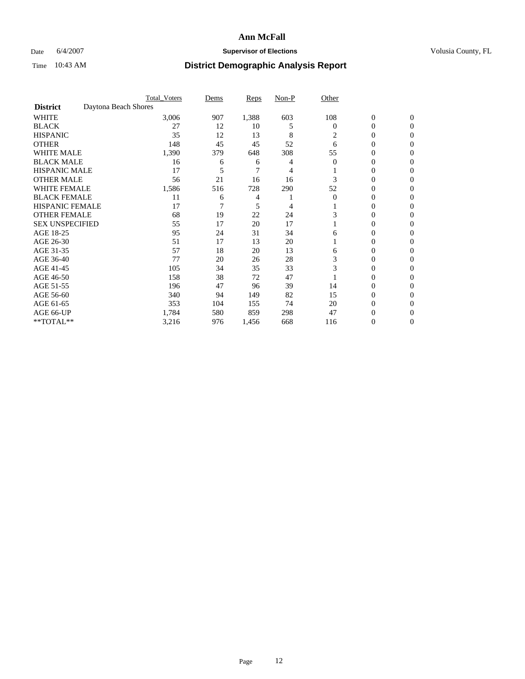### Date 6/4/2007 **Supervisor of Elections Supervisor of Elections** Volusia County, FL

|                        |                      | <b>Total_Voters</b> | Dems | <b>Reps</b> | Non-P | Other    |                  |              |  |
|------------------------|----------------------|---------------------|------|-------------|-------|----------|------------------|--------------|--|
| <b>District</b>        | Daytona Beach Shores |                     |      |             |       |          |                  |              |  |
| <b>WHITE</b>           |                      | 3,006               | 907  | 1,388       | 603   | 108      | $\boldsymbol{0}$ | $\mathbf{0}$ |  |
| <b>BLACK</b>           |                      | 27                  | 12   | 10          | 5     | $\bf{0}$ | 0                | $\mathbf{0}$ |  |
| <b>HISPANIC</b>        |                      | 35                  | 12   | 13          | 8     | 2        | 0                | $\Omega$     |  |
| <b>OTHER</b>           |                      | 148                 | 45   | 45          | 52    | 6        | 0                | $\Omega$     |  |
| <b>WHITE MALE</b>      |                      | 1,390               | 379  | 648         | 308   | 55       | 0                | 0            |  |
| <b>BLACK MALE</b>      |                      | 16                  | 6    | 6           |       | $\Omega$ | 0                | 0            |  |
| <b>HISPANIC MALE</b>   |                      | 17                  | 5    | 7           |       |          | 0                | 0            |  |
| <b>OTHER MALE</b>      |                      | 56                  | 21   | 16          | 16    |          | 0                | 0            |  |
| WHITE FEMALE           |                      | 1,586               | 516  | 728         | 290   | 52       | 0                | 0            |  |
| <b>BLACK FEMALE</b>    |                      | 11                  | 6    | 4           |       | $\Omega$ | 0                | 0            |  |
| <b>HISPANIC FEMALE</b> |                      | 17                  |      | 5           | 4     |          | 0                | $\Omega$     |  |
| <b>OTHER FEMALE</b>    |                      | 68                  | 19   | 22          | 24    |          | 0                | $\Omega$     |  |
| <b>SEX UNSPECIFIED</b> |                      | 55                  | 17   | 20          | 17    |          | 0                | $\Omega$     |  |
| AGE 18-25              |                      | 95                  | 24   | 31          | 34    | 6        | 0                | $_{0}$       |  |
| AGE 26-30              |                      | 51                  | 17   | 13          | 20    |          | 0                | 0            |  |
| AGE 31-35              |                      | 57                  | 18   | 20          | 13    | 6        | 0                | 0            |  |
| AGE 36-40              |                      | 77                  | 20   | 26          | 28    | 3        | 0                | 0            |  |
| AGE 41-45              |                      | 105                 | 34   | 35          | 33    | 3        | 0                | 0            |  |
| AGE 46-50              |                      | 158                 | 38   | 72          | 47    |          | 0                | $\Omega$     |  |
| AGE 51-55              |                      | 196                 | 47   | 96          | 39    | 14       | 0                | $\Omega$     |  |
| AGE 56-60              |                      | 340                 | 94   | 149         | 82    | 15       | 0                | $\Omega$     |  |
| AGE 61-65              |                      | 353                 | 104  | 155         | 74    | 20       | 0                | 0            |  |
| AGE 66-UP              |                      | 1,784               | 580  | 859         | 298   | 47       | 0                |              |  |
| **TOTAL**              |                      | 3,216               | 976  | 1,456       | 668   | 116      | 0                | 0            |  |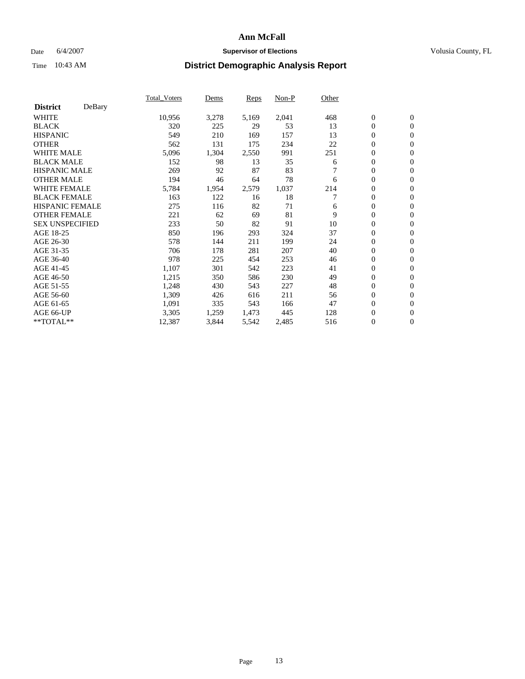### Date 6/4/2007 **Supervisor of Elections Supervisor of Elections** Volusia County, FL

|                        |        | Total Voters | Dems  | <b>Reps</b> | Non-P | Other |                  |                  |  |
|------------------------|--------|--------------|-------|-------------|-------|-------|------------------|------------------|--|
| <b>District</b>        | DeBary |              |       |             |       |       |                  |                  |  |
| <b>WHITE</b>           |        | 10,956       | 3,278 | 5,169       | 2,041 | 468   | $\boldsymbol{0}$ | $\mathbf{0}$     |  |
| <b>BLACK</b>           |        | 320          | 225   | 29          | 53    | 13    | $\overline{0}$   | $\mathbf{0}$     |  |
| <b>HISPANIC</b>        |        | 549          | 210   | 169         | 157   | 13    | $\overline{0}$   | $\mathbf{0}$     |  |
| <b>OTHER</b>           |        | 562          | 131   | 175         | 234   | 22    | $\overline{0}$   | $\mathbf{0}$     |  |
| <b>WHITE MALE</b>      |        | 5,096        | 1,304 | 2,550       | 991   | 251   | $\overline{0}$   | $\mathbf{0}$     |  |
| <b>BLACK MALE</b>      |        | 152          | 98    | 13          | 35    | 6     | $\boldsymbol{0}$ | $\mathbf{0}$     |  |
| <b>HISPANIC MALE</b>   |        | 269          | 92    | 87          | 83    |       | 0                | $\mathbf{0}$     |  |
| <b>OTHER MALE</b>      |        | 194          | 46    | 64          | 78    | 6     | $\boldsymbol{0}$ | $\mathbf{0}$     |  |
| <b>WHITE FEMALE</b>    |        | 5,784        | 1,954 | 2,579       | 1,037 | 214   | 0                | $\mathbf{0}$     |  |
| <b>BLACK FEMALE</b>    |        | 163          | 122   | 16          | 18    |       | $\overline{0}$   | $\mathbf{0}$     |  |
| <b>HISPANIC FEMALE</b> |        | 275          | 116   | 82          | 71    | 6     | $\overline{0}$   | $\mathbf{0}$     |  |
| <b>OTHER FEMALE</b>    |        | 221          | 62    | 69          | 81    | 9     | $\mathbf{0}$     | $\mathbf{0}$     |  |
| <b>SEX UNSPECIFIED</b> |        | 233          | 50    | 82          | 91    | 10    | $\boldsymbol{0}$ | $\mathbf{0}$     |  |
| AGE 18-25              |        | 850          | 196   | 293         | 324   | 37    | $\overline{0}$   | $\mathbf{0}$     |  |
| AGE 26-30              |        | 578          | 144   | 211         | 199   | 24    | $\boldsymbol{0}$ | $\mathbf{0}$     |  |
| AGE 31-35              |        | 706          | 178   | 281         | 207   | 40    | 0                | $\mathbf{0}$     |  |
| AGE 36-40              |        | 978          | 225   | 454         | 253   | 46    | $\boldsymbol{0}$ | $\mathbf{0}$     |  |
| AGE 41-45              |        | 1,107        | 301   | 542         | 223   | 41    | $\mathbf{0}$     | $\mathbf{0}$     |  |
| AGE 46-50              |        | 1,215        | 350   | 586         | 230   | 49    | $\overline{0}$   | $\mathbf{0}$     |  |
| AGE 51-55              |        | 1,248        | 430   | 543         | 227   | 48    | $\mathbf{0}$     | $\mathbf{0}$     |  |
| AGE 56-60              |        | 1,309        | 426   | 616         | 211   | 56    | $\boldsymbol{0}$ | $\mathbf{0}$     |  |
| AGE 61-65              |        | 1,091        | 335   | 543         | 166   | 47    | $\boldsymbol{0}$ | $\mathbf{0}$     |  |
| AGE 66-UP              |        | 3,305        | 1,259 | 1,473       | 445   | 128   | 0                | $\mathbf{0}$     |  |
| $*$ TOTAL $**$         |        | 12,387       | 3,844 | 5,542       | 2,485 | 516   | 0                | $\boldsymbol{0}$ |  |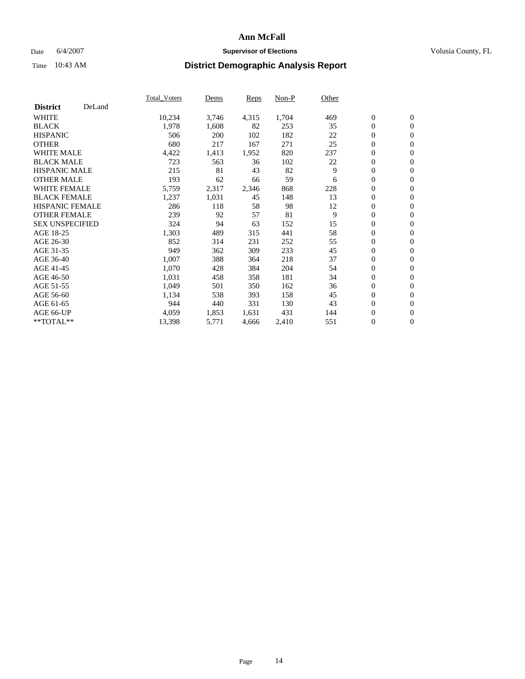### Date 6/4/2007 **Supervisor of Elections Supervisor of Elections** Volusia County, FL

|                        |        | Total_Voters | Dems  | <b>Reps</b> | Non-P | Other |                  |                  |  |
|------------------------|--------|--------------|-------|-------------|-------|-------|------------------|------------------|--|
| <b>District</b>        | DeLand |              |       |             |       |       |                  |                  |  |
| <b>WHITE</b>           |        | 10,234       | 3,746 | 4,315       | 1,704 | 469   | $\boldsymbol{0}$ | $\mathbf{0}$     |  |
| <b>BLACK</b>           |        | 1,978        | 1,608 | 82          | 253   | 35    | $\overline{0}$   | $\mathbf{0}$     |  |
| <b>HISPANIC</b>        |        | 506          | 200   | 102         | 182   | 22    | $\overline{0}$   | $\mathbf{0}$     |  |
| <b>OTHER</b>           |        | 680          | 217   | 167         | 271   | 25    | $\overline{0}$   | $\mathbf{0}$     |  |
| <b>WHITE MALE</b>      |        | 4,422        | 1,413 | 1,952       | 820   | 237   | $\overline{0}$   | $\mathbf{0}$     |  |
| <b>BLACK MALE</b>      |        | 723          | 563   | 36          | 102   | 22    | $\boldsymbol{0}$ | $\mathbf{0}$     |  |
| <b>HISPANIC MALE</b>   |        | 215          | 81    | 43          | 82    | 9     | 0                | $\mathbf{0}$     |  |
| <b>OTHER MALE</b>      |        | 193          | 62    | 66          | 59    | 6     | $\boldsymbol{0}$ | $\mathbf{0}$     |  |
| <b>WHITE FEMALE</b>    |        | 5,759        | 2,317 | 2,346       | 868   | 228   | $\overline{0}$   | $\mathbf{0}$     |  |
| <b>BLACK FEMALE</b>    |        | 1,237        | 1,031 | 45          | 148   | 13    | $\overline{0}$   | $\mathbf{0}$     |  |
| <b>HISPANIC FEMALE</b> |        | 286          | 118   | 58          | 98    | 12    | $\mathbf{0}$     | $\mathbf{0}$     |  |
| <b>OTHER FEMALE</b>    |        | 239          | 92    | 57          | 81    | 9     | $\mathbf{0}$     | $\mathbf{0}$     |  |
| <b>SEX UNSPECIFIED</b> |        | 324          | 94    | 63          | 152   | 15    | $\boldsymbol{0}$ | $\boldsymbol{0}$ |  |
| AGE 18-25              |        | 1,303        | 489   | 315         | 441   | 58    | $\overline{0}$   | $\mathbf{0}$     |  |
| AGE 26-30              |        | 852          | 314   | 231         | 252   | 55    | $\boldsymbol{0}$ | $\mathbf{0}$     |  |
| AGE 31-35              |        | 949          | 362   | 309         | 233   | 45    | 0                | $\mathbf{0}$     |  |
| AGE 36-40              |        | 1,007        | 388   | 364         | 218   | 37    | $\boldsymbol{0}$ | $\mathbf{0}$     |  |
| AGE 41-45              |        | 1,070        | 428   | 384         | 204   | 54    | $\mathbf{0}$     | $\mathbf{0}$     |  |
| AGE 46-50              |        | 1,031        | 458   | 358         | 181   | 34    | $\overline{0}$   | $\mathbf{0}$     |  |
| AGE 51-55              |        | 1,049        | 501   | 350         | 162   | 36    | $\mathbf{0}$     | $\mathbf{0}$     |  |
| AGE 56-60              |        | 1,134        | 538   | 393         | 158   | 45    | $\boldsymbol{0}$ | $\mathbf{0}$     |  |
| AGE 61-65              |        | 944          | 440   | 331         | 130   | 43    | $\boldsymbol{0}$ | $\mathbf{0}$     |  |
| AGE 66-UP              |        | 4,059        | 1,853 | 1,631       | 431   | 144   | 0                | $\mathbf{0}$     |  |
| $*$ TOTAL $**$         |        | 13,398       | 5,771 | 4,666       | 2,410 | 551   | 0                | $\boldsymbol{0}$ |  |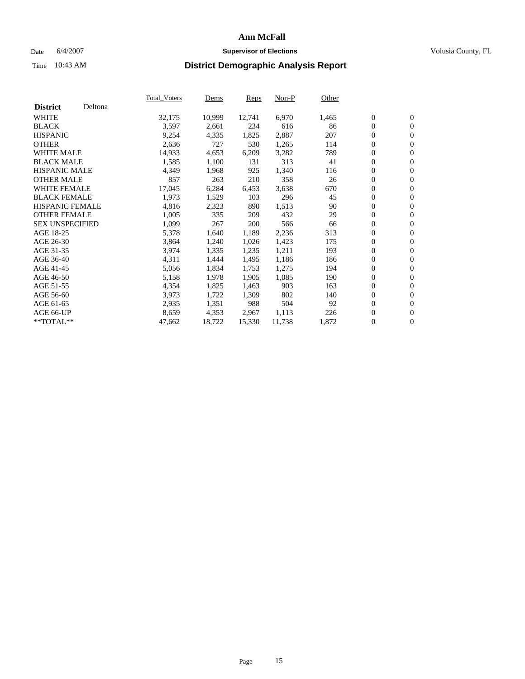### Date 6/4/2007 **Supervisor of Elections Supervisor of Elections** Volusia County, FL

|                        |         | Total_Voters | Dems   | <b>Reps</b> | Non-P  | Other |                  |                  |  |
|------------------------|---------|--------------|--------|-------------|--------|-------|------------------|------------------|--|
| <b>District</b>        | Deltona |              |        |             |        |       |                  |                  |  |
| <b>WHITE</b>           |         | 32,175       | 10,999 | 12,741      | 6,970  | 1,465 | $\boldsymbol{0}$ | $\mathbf{0}$     |  |
| <b>BLACK</b>           |         | 3,597        | 2,661  | 234         | 616    | 86    | $\overline{0}$   | $\mathbf{0}$     |  |
| <b>HISPANIC</b>        |         | 9,254        | 4,335  | 1,825       | 2,887  | 207   | $\overline{0}$   | $\mathbf{0}$     |  |
| <b>OTHER</b>           |         | 2,636        | 727    | 530         | 1,265  | 114   | $\overline{0}$   | $\mathbf{0}$     |  |
| <b>WHITE MALE</b>      |         | 14,933       | 4,653  | 6,209       | 3,282  | 789   | $\overline{0}$   | $\mathbf{0}$     |  |
| <b>BLACK MALE</b>      |         | 1,585        | 1,100  | 131         | 313    | 41    | $\boldsymbol{0}$ | $\mathbf{0}$     |  |
| <b>HISPANIC MALE</b>   |         | 4,349        | 1,968  | 925         | 1,340  | 116   | 0                | $\mathbf{0}$     |  |
| <b>OTHER MALE</b>      |         | 857          | 263    | 210         | 358    | 26    | $\boldsymbol{0}$ | $\boldsymbol{0}$ |  |
| <b>WHITE FEMALE</b>    |         | 17,045       | 6,284  | 6,453       | 3,638  | 670   | $\overline{0}$   | $\mathbf{0}$     |  |
| <b>BLACK FEMALE</b>    |         | 1,973        | 1,529  | 103         | 296    | 45    | $\overline{0}$   | $\mathbf{0}$     |  |
| <b>HISPANIC FEMALE</b> |         | 4,816        | 2,323  | 890         | 1,513  | 90    | $\mathbf{0}$     | $\mathbf{0}$     |  |
| <b>OTHER FEMALE</b>    |         | 1,005        | 335    | 209         | 432    | 29    | $\mathbf{0}$     | $\mathbf{0}$     |  |
| <b>SEX UNSPECIFIED</b> |         | 1,099        | 267    | 200         | 566    | 66    | $\boldsymbol{0}$ | $\boldsymbol{0}$ |  |
| AGE 18-25              |         | 5,378        | 1,640  | 1,189       | 2,236  | 313   | $\overline{0}$   | $\mathbf{0}$     |  |
| AGE 26-30              |         | 3,864        | 1,240  | 1,026       | 1,423  | 175   | $\boldsymbol{0}$ | $\mathbf{0}$     |  |
| AGE 31-35              |         | 3,974        | 1,335  | 1,235       | 1,211  | 193   | 0                | $\mathbf{0}$     |  |
| AGE 36-40              |         | 4,311        | 1,444  | 1,495       | 1,186  | 186   | $\boldsymbol{0}$ | $\mathbf{0}$     |  |
| AGE 41-45              |         | 5,056        | 1,834  | 1,753       | 1,275  | 194   | 0                | $\mathbf{0}$     |  |
| AGE 46-50              |         | 5,158        | 1,978  | 1,905       | 1,085  | 190   | $\overline{0}$   | $\mathbf{0}$     |  |
| AGE 51-55              |         | 4,354        | 1,825  | 1,463       | 903    | 163   | $\overline{0}$   | $\mathbf{0}$     |  |
| AGE 56-60              |         | 3,973        | 1,722  | 1,309       | 802    | 140   | $\boldsymbol{0}$ | $\mathbf{0}$     |  |
| AGE 61-65              |         | 2,935        | 1,351  | 988         | 504    | 92    | $\boldsymbol{0}$ | $\mathbf{0}$     |  |
| AGE 66-UP              |         | 8,659        | 4,353  | 2,967       | 1,113  | 226   | 0                | $\mathbf{0}$     |  |
| $*$ TOTAL $**$         |         | 47,662       | 18,722 | 15,330      | 11,738 | 1,872 | 0                | $\boldsymbol{0}$ |  |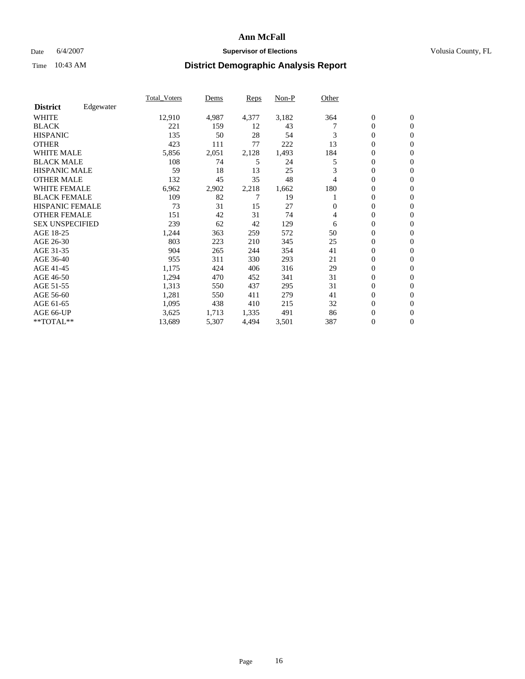### Date 6/4/2007 **Supervisor of Elections Supervisor of Elections** Volusia County, FL

|                        |           | <b>Total Voters</b> | Dems  | <b>Reps</b> | Non-P | Other    |                  |                  |  |
|------------------------|-----------|---------------------|-------|-------------|-------|----------|------------------|------------------|--|
| <b>District</b>        | Edgewater |                     |       |             |       |          |                  |                  |  |
| <b>WHITE</b>           |           | 12,910              | 4,987 | 4,377       | 3,182 | 364      | $\boldsymbol{0}$ | $\mathbf{0}$     |  |
| <b>BLACK</b>           |           | 221                 | 159   | 12          | 43    |          | $\mathbf{0}$     | $\mathbf{0}$     |  |
| <b>HISPANIC</b>        |           | 135                 | 50    | 28          | 54    | 3        | $\mathbf{0}$     | $\mathbf{0}$     |  |
| <b>OTHER</b>           |           | 423                 | 111   | 77          | 222   | 13       | 0                | $\mathbf{0}$     |  |
| <b>WHITE MALE</b>      |           | 5,856               | 2,051 | 2,128       | 1,493 | 184      | 0                | $\mathbf{0}$     |  |
| <b>BLACK MALE</b>      |           | 108                 | 74    | 5           | 24    | 5        | 0                | $\mathbf{0}$     |  |
| <b>HISPANIC MALE</b>   |           | 59                  | 18    | 13          | 25    | 3        | 0                | $\mathbf{0}$     |  |
| <b>OTHER MALE</b>      |           | 132                 | 45    | 35          | 48    | 4        | 0                | $\mathbf{0}$     |  |
| <b>WHITE FEMALE</b>    |           | 6,962               | 2,902 | 2,218       | 1,662 | 180      | 0                | $\mathbf{0}$     |  |
| <b>BLACK FEMALE</b>    |           | 109                 | 82    |             | 19    |          | $\mathbf{0}$     | $\mathbf{0}$     |  |
| <b>HISPANIC FEMALE</b> |           | 73                  | 31    | 15          | 27    | $\Omega$ | 0                | $\mathbf{0}$     |  |
| <b>OTHER FEMALE</b>    |           | 151                 | 42    | 31          | 74    | 4        | 0                | $\mathbf{0}$     |  |
| <b>SEX UNSPECIFIED</b> |           | 239                 | 62    | 42          | 129   | 6        | $\boldsymbol{0}$ | $\mathbf{0}$     |  |
| AGE 18-25              |           | 1,244               | 363   | 259         | 572   | 50       | 0                | $\mathbf{0}$     |  |
| AGE 26-30              |           | 803                 | 223   | 210         | 345   | 25       | 0                | $\mathbf{0}$     |  |
| AGE 31-35              |           | 904                 | 265   | 244         | 354   | 41       | 0                | $\mathbf{0}$     |  |
| AGE 36-40              |           | 955                 | 311   | 330         | 293   | 21       | $\boldsymbol{0}$ | $\mathbf{0}$     |  |
| AGE 41-45              |           | 1,175               | 424   | 406         | 316   | 29       | 0                | $\mathbf{0}$     |  |
| AGE 46-50              |           | 1,294               | 470   | 452         | 341   | 31       | $\mathbf{0}$     | $\mathbf{0}$     |  |
| AGE 51-55              |           | 1,313               | 550   | 437         | 295   | 31       | $\overline{0}$   | $\mathbf{0}$     |  |
| AGE 56-60              |           | 1,281               | 550   | 411         | 279   | 41       | 0                | $\mathbf{0}$     |  |
| AGE 61-65              |           | 1,095               | 438   | 410         | 215   | 32       | 0                | $\mathbf{0}$     |  |
| AGE 66-UP              |           | 3,625               | 1,713 | 1,335       | 491   | 86       | 0                | 0                |  |
| $*$ TOTAL $**$         |           | 13,689              | 5,307 | 4,494       | 3,501 | 387      | $\boldsymbol{0}$ | $\boldsymbol{0}$ |  |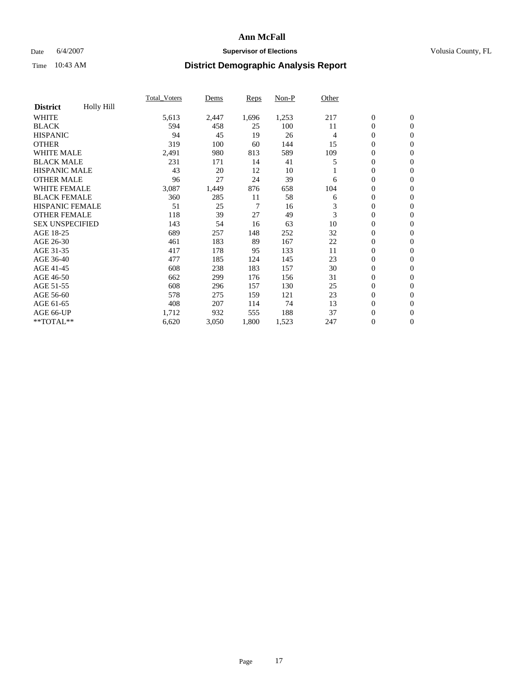### Date 6/4/2007 **Supervisor of Elections Supervisor of Elections** Volusia County, FL

|                        |                   | <b>Total Voters</b> | Dems  | <b>Reps</b> | Non-P | Other |                  |                  |  |
|------------------------|-------------------|---------------------|-------|-------------|-------|-------|------------------|------------------|--|
| <b>District</b>        | <b>Holly Hill</b> |                     |       |             |       |       |                  |                  |  |
| <b>WHITE</b>           |                   | 5,613               | 2,447 | 1,696       | 1,253 | 217   | $\boldsymbol{0}$ | $\boldsymbol{0}$ |  |
| <b>BLACK</b>           |                   | 594                 | 458   | 25          | 100   | 11    | $\mathbf{0}$     | $\mathbf{0}$     |  |
| <b>HISPANIC</b>        |                   | 94                  | 45    | 19          | 26    | 4     | $\mathbf{0}$     | $\mathbf{0}$     |  |
| <b>OTHER</b>           |                   | 319                 | 100   | 60          | 144   | 15    | 0                | $\mathbf{0}$     |  |
| <b>WHITE MALE</b>      |                   | 2,491               | 980   | 813         | 589   | 109   | 0                | $\mathbf{0}$     |  |
| <b>BLACK MALE</b>      |                   | 231                 | 171   | 14          | 41    | 5     | 0                | $\mathbf{0}$     |  |
| <b>HISPANIC MALE</b>   |                   | 43                  | 20    | 12          | 10    |       | 0                | $\mathbf{0}$     |  |
| <b>OTHER MALE</b>      |                   | 96                  | 27    | 24          | 39    | 6     | 0                | $\mathbf{0}$     |  |
| <b>WHITE FEMALE</b>    |                   | 3,087               | 1,449 | 876         | 658   | 104   | 0                | $\mathbf{0}$     |  |
| <b>BLACK FEMALE</b>    |                   | 360                 | 285   | 11          | 58    | 6     | $\boldsymbol{0}$ | $\mathbf{0}$     |  |
| <b>HISPANIC FEMALE</b> |                   | 51                  | 25    | 7           | 16    | 3     | $\overline{0}$   | $\mathbf{0}$     |  |
| <b>OTHER FEMALE</b>    |                   | 118                 | 39    | 27          | 49    | 3     | $\overline{0}$   | $\mathbf{0}$     |  |
| <b>SEX UNSPECIFIED</b> |                   | 143                 | 54    | 16          | 63    | 10    | $\boldsymbol{0}$ | $\mathbf{0}$     |  |
| AGE 18-25              |                   | 689                 | 257   | 148         | 252   | 32    | 0                | $\mathbf{0}$     |  |
| AGE 26-30              |                   | 461                 | 183   | 89          | 167   | 22    | 0                | $\mathbf{0}$     |  |
| AGE 31-35              |                   | 417                 | 178   | 95          | 133   | 11    | 0                | $\mathbf{0}$     |  |
| AGE 36-40              |                   | 477                 | 185   | 124         | 145   | 23    | $\boldsymbol{0}$ | $\mathbf{0}$     |  |
| AGE 41-45              |                   | 608                 | 238   | 183         | 157   | 30    | 0                | $\mathbf{0}$     |  |
| AGE 46-50              |                   | 662                 | 299   | 176         | 156   | 31    | $\mathbf{0}$     | $\mathbf{0}$     |  |
| AGE 51-55              |                   | 608                 | 296   | 157         | 130   | 25    | $\overline{0}$   | $\mathbf{0}$     |  |
| AGE 56-60              |                   | 578                 | 275   | 159         | 121   | 23    | $\boldsymbol{0}$ | $\mathbf{0}$     |  |
| AGE 61-65              |                   | 408                 | 207   | 114         | 74    | 13    | 0                | $\mathbf{0}$     |  |
| AGE 66-UP              |                   | 1,712               | 932   | 555         | 188   | 37    | 0                | 0                |  |
| $*$ TOTAL $**$         |                   | 6,620               | 3,050 | 1,800       | 1,523 | 247   | $\boldsymbol{0}$ | $\boldsymbol{0}$ |  |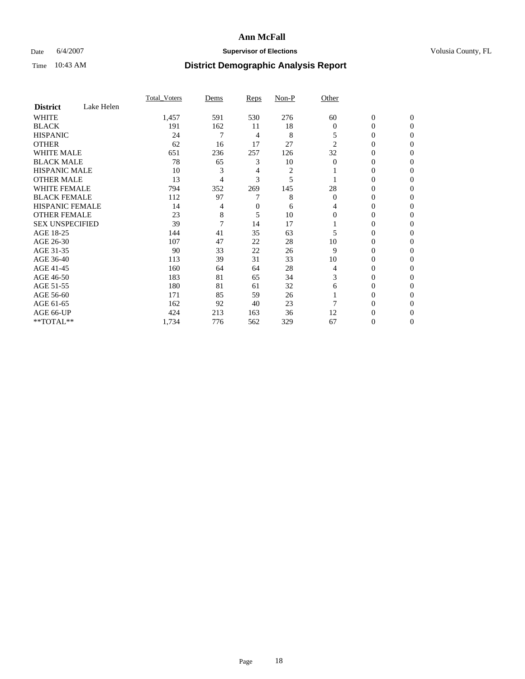### Date 6/4/2007 **Supervisor of Elections Supervisor of Elections** Volusia County, FL

|                        |            | <b>Total Voters</b> | Dems | Reps | Non-P          | Other          |                  |              |  |
|------------------------|------------|---------------------|------|------|----------------|----------------|------------------|--------------|--|
| <b>District</b>        | Lake Helen |                     |      |      |                |                |                  |              |  |
| <b>WHITE</b>           |            | 1,457               | 591  | 530  | 276            | 60             | $\boldsymbol{0}$ | $\mathbf{0}$ |  |
| <b>BLACK</b>           |            | 191                 | 162  | 11   | 18             | $\overline{0}$ | 0                | $\mathbf{0}$ |  |
| <b>HISPANIC</b>        |            | 24                  | 7    | 4    | 8              | 5              | 0                | $\Omega$     |  |
| <b>OTHER</b>           |            | 62                  | 16   | 17   | 27             | $\overline{2}$ | $\overline{0}$   | $\theta$     |  |
| <b>WHITE MALE</b>      |            | 651                 | 236  | 257  | 126            | 32             | 0                | $\theta$     |  |
| <b>BLACK MALE</b>      |            | 78                  | 65   | 3    | 10             | 0              | 0                | 0            |  |
| <b>HISPANIC MALE</b>   |            | 10                  | 3    | 4    | $\overline{c}$ |                | 0                | 0            |  |
| <b>OTHER MALE</b>      |            | 13                  | 4    | 3    | 5              |                | 0                | 0            |  |
| <b>WHITE FEMALE</b>    |            | 794                 | 352  | 269  | 145            | 28             | 0                | 0            |  |
| <b>BLACK FEMALE</b>    |            | 112                 | 97   |      | 8              | $\Omega$       | 0                | 0            |  |
| <b>HISPANIC FEMALE</b> |            | 14                  | 4    | 0    | 6              | 4              | 0                | $\Omega$     |  |
| <b>OTHER FEMALE</b>    |            | 23                  | 8    | 5    | 10             | $\Omega$       | 0                | $\theta$     |  |
| <b>SEX UNSPECIFIED</b> |            | 39                  |      | 14   | 17             |                | 0                | $\theta$     |  |
| AGE 18-25              |            | 144                 | 41   | 35   | 63             | 5              | 0                | 0            |  |
| AGE 26-30              |            | 107                 | 47   | 22   | 28             | 10             | 0                | $\Omega$     |  |
| AGE 31-35              |            | 90                  | 33   | 22   | 26             | 9              | 0                | 0            |  |
| AGE 36-40              |            | 113                 | 39   | 31   | 33             | 10             | 0                | 0            |  |
| AGE 41-45              |            | 160                 | 64   | 64   | 28             | 4              | 0                | 0            |  |
| AGE 46-50              |            | 183                 | 81   | 65   | 34             | 3              | 0                | $\Omega$     |  |
| AGE 51-55              |            | 180                 | 81   | 61   | 32             | 6              | 0                | $\Omega$     |  |
| AGE 56-60              |            | 171                 | 85   | 59   | 26             |                | 0                | $\theta$     |  |
| AGE 61-65              |            | 162                 | 92   | 40   | 23             |                | 0                | 0            |  |
| AGE 66-UP              |            | 424                 | 213  | 163  | 36             | 12             | 0                |              |  |
| **TOTAL**              |            | 1,734               | 776  | 562  | 329            | 67             | 0                | 0            |  |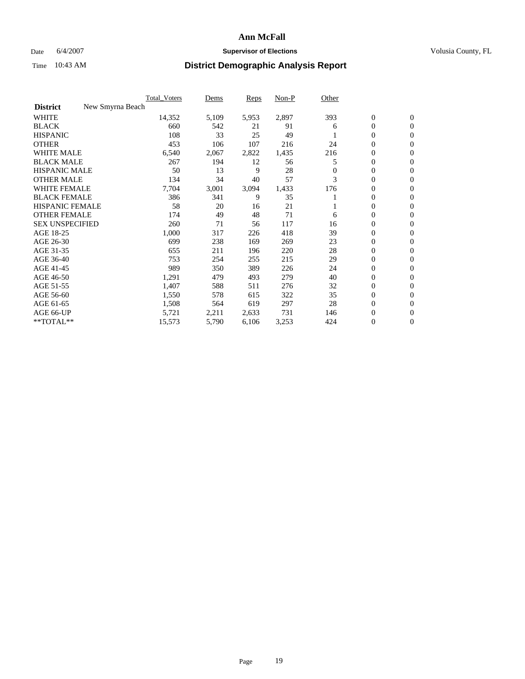### Date 6/4/2007 **Supervisor of Elections Supervisor of Elections** Volusia County, FL

|                                     | <b>Total Voters</b> | Dems  | Reps  | Non-P | Other    |                  |                  |  |
|-------------------------------------|---------------------|-------|-------|-------|----------|------------------|------------------|--|
| <b>District</b><br>New Smyrna Beach |                     |       |       |       |          |                  |                  |  |
| <b>WHITE</b>                        | 14,352              | 5,109 | 5,953 | 2,897 | 393      | $\boldsymbol{0}$ | $\mathbf{0}$     |  |
| <b>BLACK</b>                        | 660                 | 542   | 21    | 91    | 6        | $\mathbf{0}$     | $\mathbf{0}$     |  |
| <b>HISPANIC</b>                     | 108                 | 33    | 25    | 49    |          | $\mathbf{0}$     | $\mathbf{0}$     |  |
| <b>OTHER</b>                        | 453                 | 106   | 107   | 216   | 24       | 0                | $\overline{0}$   |  |
| <b>WHITE MALE</b>                   | 6,540               | 2,067 | 2,822 | 1,435 | 216      | 0                | $\mathbf{0}$     |  |
| <b>BLACK MALE</b>                   | 267                 | 194   | 12    | 56    | 5        | 0                | 0                |  |
| <b>HISPANIC MALE</b>                | 50                  | 13    | 9     | 28    | $\Omega$ | 0                | $\mathbf{0}$     |  |
| <b>OTHER MALE</b>                   | 134                 | 34    | 40    | 57    | 3        | 0                | $\mathbf{0}$     |  |
| <b>WHITE FEMALE</b>                 | 7,704               | 3,001 | 3,094 | 1,433 | 176      | 0                | $\mathbf{0}$     |  |
| <b>BLACK FEMALE</b>                 | 386                 | 341   | 9     | 35    |          | $\mathbf{0}$     | $\mathbf{0}$     |  |
| <b>HISPANIC FEMALE</b>              | 58                  | 20    | 16    | 21    |          | 0                | $\mathbf{0}$     |  |
| <b>OTHER FEMALE</b>                 | 174                 | 49    | 48    | 71    | 6        | $\mathbf{0}$     | $\mathbf{0}$     |  |
| <b>SEX UNSPECIFIED</b>              | 260                 | 71    | 56    | 117   | 16       | $\boldsymbol{0}$ | $\mathbf{0}$     |  |
| AGE 18-25                           | 1,000               | 317   | 226   | 418   | 39       | 0                | $\mathbf{0}$     |  |
| AGE 26-30                           | 699                 | 238   | 169   | 269   | 23       | 0                | $\mathbf{0}$     |  |
| AGE 31-35                           | 655                 | 211   | 196   | 220   | 28       | 0                | $\mathbf{0}$     |  |
| AGE 36-40                           | 753                 | 254   | 255   | 215   | 29       | $\mathbf{0}$     | $\mathbf{0}$     |  |
| AGE 41-45                           | 989                 | 350   | 389   | 226   | 24       | 0                | $\mathbf{0}$     |  |
| AGE 46-50                           | 1,291               | 479   | 493   | 279   | 40       | $\mathbf{0}$     | $\mathbf{0}$     |  |
| AGE 51-55                           | 1,407               | 588   | 511   | 276   | 32       | $\overline{0}$   | $\mathbf{0}$     |  |
| AGE 56-60                           | 1,550               | 578   | 615   | 322   | 35       | $\boldsymbol{0}$ | $\mathbf{0}$     |  |
| AGE 61-65                           | 1,508               | 564   | 619   | 297   | 28       | 0                | $\mathbf{0}$     |  |
| AGE 66-UP                           | 5,721               | 2,211 | 2,633 | 731   | 146      | 0                | 0                |  |
| **TOTAL**                           | 15,573              | 5,790 | 6,106 | 3,253 | 424      | 0                | $\boldsymbol{0}$ |  |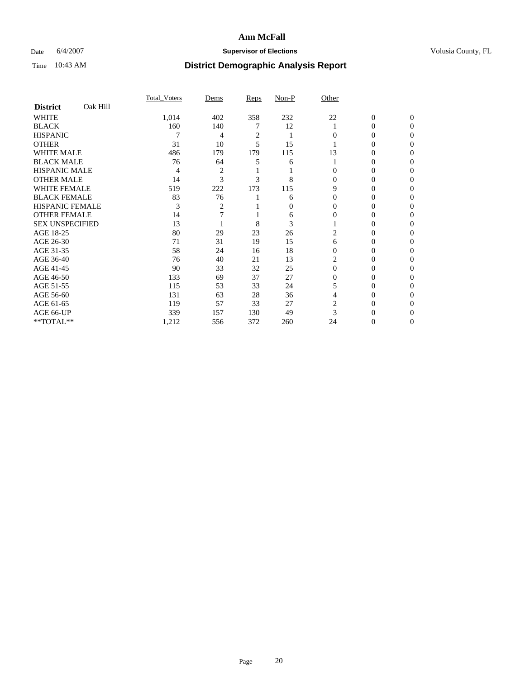### Date 6/4/2007 **Supervisor of Elections Supervisor of Elections** Volusia County, FL

|                        |          | <b>Total Voters</b> | Dems           | Reps           | Non-P | Other    |              |              |  |
|------------------------|----------|---------------------|----------------|----------------|-------|----------|--------------|--------------|--|
| <b>District</b>        | Oak Hill |                     |                |                |       |          |              |              |  |
| <b>WHITE</b>           |          | 1,014               | 402            | 358            | 232   | 22       | $\mathbf{0}$ | $\mathbf{0}$ |  |
| <b>BLACK</b>           |          | 160                 | 140            |                | 12    |          | 0            | $\Omega$     |  |
| <b>HISPANIC</b>        |          |                     | 4              | $\overline{c}$ |       | 0        | 0            | $\theta$     |  |
| <b>OTHER</b>           |          | 31                  | 10             | 5              | 15    |          | 0            | 0            |  |
| <b>WHITE MALE</b>      |          | 486                 | 179            | 179            | 115   | 13       | 0            |              |  |
| <b>BLACK MALE</b>      |          | 76                  | 64             | 5              | 6     |          | 0            | 0            |  |
| <b>HISPANIC MALE</b>   |          | 4                   | $\overline{c}$ |                |       |          | 0            |              |  |
| <b>OTHER MALE</b>      |          | 14                  | $\mathcal{R}$  | 3              | 8     | 0        | 0            | 0            |  |
| <b>WHITE FEMALE</b>    |          | 519                 | 222            | 173            | 115   | 9        | 0            | 0            |  |
| <b>BLACK FEMALE</b>    |          | 83                  | 76             |                | 6     | $\Omega$ | 0            | 0            |  |
| <b>HISPANIC FEMALE</b> |          | 3                   | 2              |                | 0     | 0        | 0            | 0            |  |
| <b>OTHER FEMALE</b>    |          | 14                  |                |                | 6     | $\Omega$ | 0            | 0            |  |
| <b>SEX UNSPECIFIED</b> |          | 13                  |                | 8              | 3     |          | 0            | 0            |  |
| AGE 18-25              |          | 80                  | 29             | 23             | 26    | 2        | 0            |              |  |
| AGE 26-30              |          | 71                  | 31             | 19             | 15    | 6        | 0            |              |  |
| AGE 31-35              |          | 58                  | 24             | 16             | 18    | 0        | 0            |              |  |
| AGE 36-40              |          | 76                  | 40             | 21             | 13    |          | 0            | 0            |  |
| AGE 41-45              |          | 90                  | 33             | 32             | 25    | $\Omega$ | 0            | 0            |  |
| AGE 46-50              |          | 133                 | 69             | 37             | 27    | 0        | 0            | 0            |  |
| AGE 51-55              |          | 115                 | 53             | 33             | 24    |          | 0            | $\theta$     |  |
| AGE 56-60              |          | 131                 | 63             | 28             | 36    | 4        | 0            | 0            |  |
| AGE 61-65              |          | 119                 | 57             | 33             | 27    | 2        | 0            |              |  |
| AGE 66-UP              |          | 339                 | 157            | 130            | 49    |          |              |              |  |
| **TOTAL**              |          | 1,212               | 556            | 372            | 260   | 24       | 0            | 0            |  |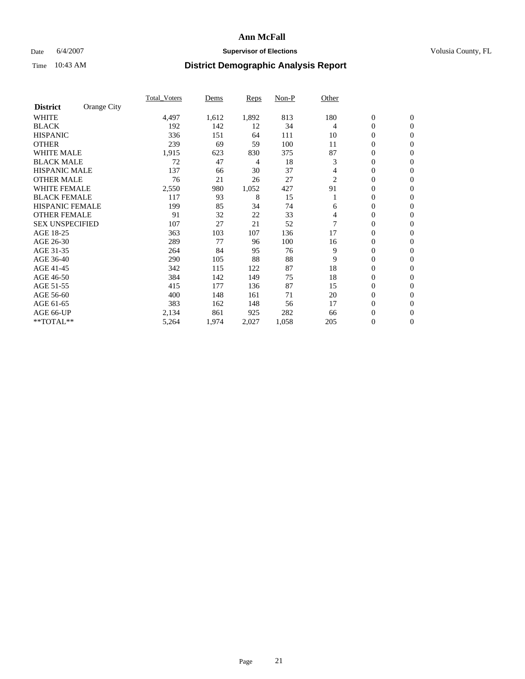### Date 6/4/2007 **Supervisor of Elections Supervisor of Elections** Volusia County, FL

|                        |             | <b>Total Voters</b> | Dems  | Reps  | Non-P | Other |                  |                  |  |
|------------------------|-------------|---------------------|-------|-------|-------|-------|------------------|------------------|--|
| <b>District</b>        | Orange City |                     |       |       |       |       |                  |                  |  |
| <b>WHITE</b>           |             | 4,497               | 1,612 | 1,892 | 813   | 180   | $\boldsymbol{0}$ | $\mathbf{0}$     |  |
| <b>BLACK</b>           |             | 192                 | 142   | 12    | 34    | 4     | 0                | $\mathbf{0}$     |  |
| <b>HISPANIC</b>        |             | 336                 | 151   | 64    | 111   | 10    | 0                | $\mathbf{0}$     |  |
| <b>OTHER</b>           |             | 239                 | 69    | 59    | 100   | 11    | 0                | $\mathbf{0}$     |  |
| <b>WHITE MALE</b>      |             | 1,915               | 623   | 830   | 375   | 87    | 0                | $\mathbf{0}$     |  |
| <b>BLACK MALE</b>      |             | 72                  | 47    | 4     | 18    | 3     | 0                | $\mathbf{0}$     |  |
| <b>HISPANIC MALE</b>   |             | 137                 | 66    | 30    | 37    | 4     | 0                | $\mathbf{0}$     |  |
| <b>OTHER MALE</b>      |             | 76                  | 21    | 26    | 27    | 2     | $\mathbf{0}$     | $\mathbf{0}$     |  |
| <b>WHITE FEMALE</b>    |             | 2,550               | 980   | 1,052 | 427   | 91    | 0                | $\mathbf{0}$     |  |
| <b>BLACK FEMALE</b>    |             | 117                 | 93    | 8     | 15    |       | $\mathbf{0}$     | $\mathbf{0}$     |  |
| <b>HISPANIC FEMALE</b> |             | 199                 | 85    | 34    | 74    | 6     | 0                | $\mathbf{0}$     |  |
| <b>OTHER FEMALE</b>    |             | 91                  | 32    | 22    | 33    | 4     | 0                | $\mathbf{0}$     |  |
| <b>SEX UNSPECIFIED</b> |             | 107                 | 27    | 21    | 52    |       | 0                | $\mathbf{0}$     |  |
| AGE 18-25              |             | 363                 | 103   | 107   | 136   | 17    | 0                | $\Omega$         |  |
| AGE 26-30              |             | 289                 | 77    | 96    | 100   | 16    | $\mathbf{0}$     | $\mathbf{0}$     |  |
| AGE 31-35              |             | 264                 | 84    | 95    | 76    | 9     | 0                | $\mathbf{0}$     |  |
| AGE 36-40              |             | 290                 | 105   | 88    | 88    | 9     | 0                | $\mathbf{0}$     |  |
| AGE 41-45              |             | 342                 | 115   | 122   | 87    | 18    | 0                | $\mathbf{0}$     |  |
| AGE 46-50              |             | 384                 | 142   | 149   | 75    | 18    | 0                | $\Omega$         |  |
| AGE 51-55              |             | 415                 | 177   | 136   | 87    | 15    | $\boldsymbol{0}$ | $\mathbf{0}$     |  |
| AGE 56-60              |             | 400                 | 148   | 161   | 71    | 20    | 0                | $\mathbf{0}$     |  |
| AGE 61-65              |             | 383                 | 162   | 148   | 56    | 17    | $\mathbf{0}$     | $\mathbf{0}$     |  |
| AGE 66-UP              |             | 2,134               | 861   | 925   | 282   | 66    | $\boldsymbol{0}$ | $\mathbf{0}$     |  |
| **TOTAL**              |             | 5,264               | 1,974 | 2,027 | 1,058 | 205   | 0                | $\boldsymbol{0}$ |  |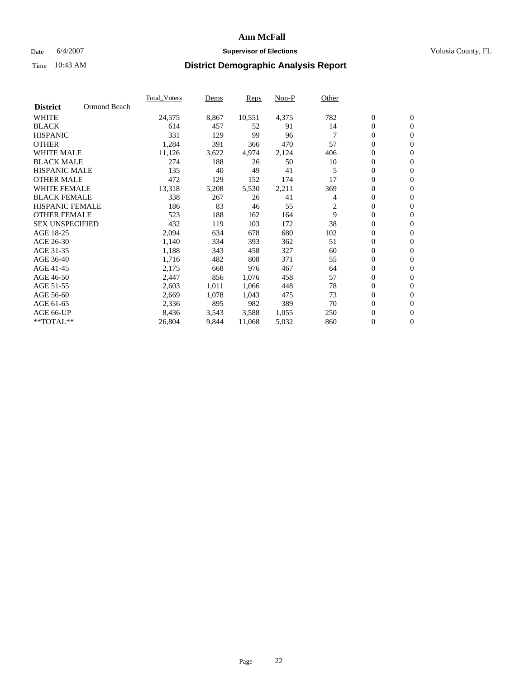### Date 6/4/2007 **Supervisor of Elections Supervisor of Elections** Volusia County, FL

|                        |              | Total Voters | Dems  | <b>Reps</b> | Non-P | Other          |                  |                  |  |
|------------------------|--------------|--------------|-------|-------------|-------|----------------|------------------|------------------|--|
| <b>District</b>        | Ormond Beach |              |       |             |       |                |                  |                  |  |
| <b>WHITE</b>           |              | 24,575       | 8,867 | 10,551      | 4,375 | 782            | $\overline{0}$   | $\mathbf{0}$     |  |
| <b>BLACK</b>           |              | 614          | 457   | 52          | 91    | 14             | $\overline{0}$   | $\mathbf{0}$     |  |
| <b>HISPANIC</b>        |              | 331          | 129   | 99          | 96    | $\overline{7}$ | $\boldsymbol{0}$ | $\mathbf{0}$     |  |
| <b>OTHER</b>           |              | 1,284        | 391   | 366         | 470   | 57             | 0                | $\mathbf{0}$     |  |
| <b>WHITE MALE</b>      |              | 11,126       | 3,622 | 4,974       | 2,124 | 406            | 0                | $\mathbf{0}$     |  |
| <b>BLACK MALE</b>      |              | 274          | 188   | 26          | 50    | 10             | $\boldsymbol{0}$ | $\mathbf{0}$     |  |
| <b>HISPANIC MALE</b>   |              | 135          | 40    | 49          | 41    | 5              | $\overline{0}$   | $\mathbf{0}$     |  |
| <b>OTHER MALE</b>      |              | 472          | 129   | 152         | 174   | 17             | $\overline{0}$   | $\mathbf{0}$     |  |
| <b>WHITE FEMALE</b>    |              | 13,318       | 5,208 | 5,530       | 2,211 | 369            | 0                | $\mathbf{0}$     |  |
| <b>BLACK FEMALE</b>    |              | 338          | 267   | 26          | 41    | 4              | $\overline{0}$   | $\mathbf{0}$     |  |
| <b>HISPANIC FEMALE</b> |              | 186          | 83    | 46          | 55    | 2              | $\boldsymbol{0}$ | $\boldsymbol{0}$ |  |
| <b>OTHER FEMALE</b>    |              | 523          | 188   | 162         | 164   | 9              | 0                | $\mathbf{0}$     |  |
| <b>SEX UNSPECIFIED</b> |              | 432          | 119   | 103         | 172   | 38             | $\overline{0}$   | $\mathbf{0}$     |  |
| AGE 18-25              |              | 2,094        | 634   | 678         | 680   | 102            | $\overline{0}$   | $\mathbf{0}$     |  |
| AGE 26-30              |              | 1,140        | 334   | 393         | 362   | 51             | $\overline{0}$   | $\mathbf{0}$     |  |
| AGE 31-35              |              | 1,188        | 343   | 458         | 327   | 60             | $\overline{0}$   | $\mathbf{0}$     |  |
| AGE 36-40              |              | 1,716        | 482   | 808         | 371   | 55             | $\boldsymbol{0}$ | $\mathbf{0}$     |  |
| AGE 41-45              |              | 2,175        | 668   | 976         | 467   | 64             | $\boldsymbol{0}$ | $\mathbf{0}$     |  |
| AGE 46-50              |              | 2,447        | 856   | 1,076       | 458   | 57             | 0                | $\mathbf{0}$     |  |
| AGE 51-55              |              | 2,603        | 1,011 | 1,066       | 448   | 78             | $\boldsymbol{0}$ | $\boldsymbol{0}$ |  |
| AGE 56-60              |              | 2,669        | 1,078 | 1,043       | 475   | 73             | $\overline{0}$   | $\mathbf{0}$     |  |
| AGE 61-65              |              | 2,336        | 895   | 982         | 389   | 70             | $\mathbf{0}$     | $\mathbf{0}$     |  |
| AGE 66-UP              |              | 8,436        | 3,543 | 3,588       | 1,055 | 250            | $\boldsymbol{0}$ | $\boldsymbol{0}$ |  |
| **TOTAL**              |              | 26,804       | 9,844 | 11,068      | 5,032 | 860            | 0                | $\overline{0}$   |  |
|                        |              |              |       |             |       |                |                  |                  |  |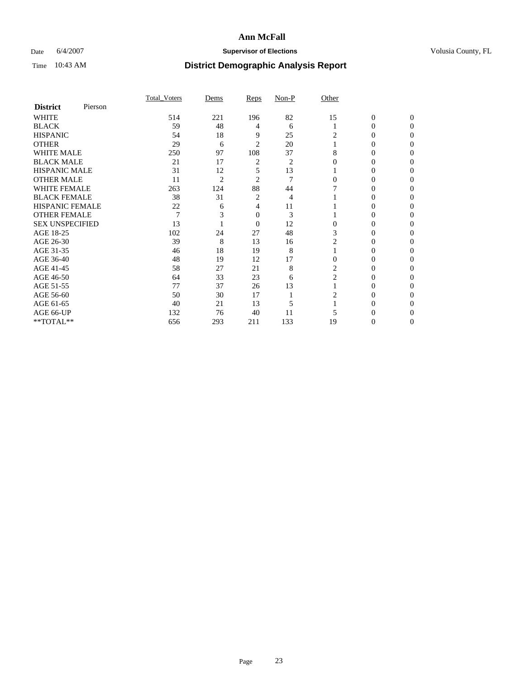### Date 6/4/2007 **Supervisor of Elections Supervisor of Elections** Volusia County, FL

|                        |         | <b>Total Voters</b> | Dems           | Reps           | Non-P | Other          |                  |              |  |
|------------------------|---------|---------------------|----------------|----------------|-------|----------------|------------------|--------------|--|
| <b>District</b>        | Pierson |                     |                |                |       |                |                  |              |  |
| <b>WHITE</b>           |         | 514                 | 221            | 196            | 82    | 15             | $\boldsymbol{0}$ | $\mathbf{0}$ |  |
| <b>BLACK</b>           |         | 59                  | 48             | 4              | 6     |                | $\theta$         | $\Omega$     |  |
| <b>HISPANIC</b>        |         | 54                  | 18             | 9              | 25    | 2              | 0                | $\theta$     |  |
| <b>OTHER</b>           |         | 29                  | 6              | 2              | 20    |                | 0                | 0            |  |
| <b>WHITE MALE</b>      |         | 250                 | 97             | 108            | 37    | 8              | 0                |              |  |
| <b>BLACK MALE</b>      |         | 21                  | 17             | 2              | 2     |                | 0                |              |  |
| <b>HISPANIC MALE</b>   |         | 31                  | 12             | 5              | 13    |                | 0                |              |  |
| <b>OTHER MALE</b>      |         | 11                  | $\overline{2}$ | 2              | 7     | 0              | $\theta$         |              |  |
| <b>WHITE FEMALE</b>    |         | 263                 | 124            | 88             | 44    |                | 0                |              |  |
| <b>BLACK FEMALE</b>    |         | 38                  | 31             | 2              | 4     |                | 0                | 0            |  |
| <b>HISPANIC FEMALE</b> |         | 22                  | 6              | 4              | 11    |                | 0                | 0            |  |
| <b>OTHER FEMALE</b>    |         | $\overline{7}$      |                | 0              | 3     |                | 0                | 0            |  |
| <b>SEX UNSPECIFIED</b> |         | 13                  |                | $\overline{0}$ | 12    | $\theta$       | 0                |              |  |
| AGE 18-25              |         | 102                 | 24             | 27             | 48    | 3              | 0                |              |  |
| AGE 26-30              |         | 39                  | 8              | 13             | 16    | 2              | 0                |              |  |
| AGE 31-35              |         | 46                  | 18             | 19             | 8     |                | 0                |              |  |
| AGE 36-40              |         | 48                  | 19             | 12             | 17    | $\Omega$       | 0                | 0            |  |
| AGE 41-45              |         | 58                  | 27             | 21             | 8     | 2              | 0                |              |  |
| AGE 46-50              |         | 64                  | 33             | 23             | 6     | $\overline{c}$ | 0                | 0            |  |
| AGE 51-55              |         | 77                  | 37             | 26             | 13    |                | 0                | 0            |  |
| AGE 56-60              |         | 50                  | 30             | 17             |       | 2              | 0                | 0            |  |
| AGE 61-65              |         | 40                  | 21             | 13             | 5     |                | 0                |              |  |
| AGE 66-UP              |         | 132                 | 76             | 40             | 11    |                |                  |              |  |
| **TOTAL**              |         | 656                 | 293            | 211            | 133   | 19             | 0                | 0            |  |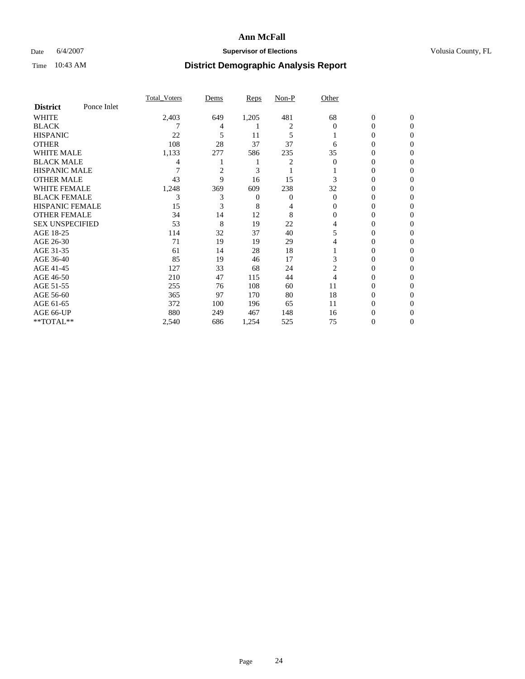### Date 6/4/2007 **Supervisor of Elections Supervisor of Elections** Volusia County, FL

|                        |             | Total Voters | Dems | <b>Reps</b> | Non-P | Other    |                  |                  |
|------------------------|-------------|--------------|------|-------------|-------|----------|------------------|------------------|
| <b>District</b>        | Ponce Inlet |              |      |             |       |          |                  |                  |
| <b>WHITE</b>           |             | 2,403        | 649  | 1,205       | 481   | 68       | $\boldsymbol{0}$ | $\mathbf{0}$     |
| <b>BLACK</b>           |             |              | 4    |             | 2     | $\Omega$ | $\theta$         | $\Omega$         |
| <b>HISPANIC</b>        |             | 22           | 5    | 11          | 5     |          | 0                | $\Omega$         |
| <b>OTHER</b>           |             | 108          | 28   | 37          | 37    | 6        | $\overline{0}$   | $\theta$         |
| WHITE MALE             |             | 1,133        | 277  | 586         | 235   | 35       | 0                | $\theta$         |
| <b>BLACK MALE</b>      |             | 4            |      |             | 2     | $\theta$ | 0                | 0                |
| <b>HISPANIC MALE</b>   |             |              | 2    | 3           |       |          | $\theta$         | 0                |
| <b>OTHER MALE</b>      |             | 43           | 9    | 16          | 15    | 3        | 0                | 0                |
| <b>WHITE FEMALE</b>    |             | 1,248        | 369  | 609         | 238   | 32       | 0                | $\Omega$         |
| <b>BLACK FEMALE</b>    |             | 3            | 3    | 0           | 0     | $\Omega$ | 0                | $\theta$         |
| <b>HISPANIC FEMALE</b> |             | 15           | 3    | 8           | 4     | 0        | 0                | 0                |
| <b>OTHER FEMALE</b>    |             | 34           | 14   | 12          | 8     | 0        | 0                | 0                |
| <b>SEX UNSPECIFIED</b> |             | 53           | 8    | 19          | 22    | 4        | 0                | 0                |
| AGE 18-25              |             | 114          | 32   | 37          | 40    | 5        | 0                | $\mathbf{0}$     |
| AGE 26-30              |             | 71           | 19   | 19          | 29    | 4        | 0                | $\Omega$         |
| AGE 31-35              |             | 61           | 14   | 28          | 18    |          | $\overline{0}$   | $\theta$         |
| AGE 36-40              |             | 85           | 19   | 46          | 17    | 3        | 0                | $\boldsymbol{0}$ |
| AGE 41-45              |             | 127          | 33   | 68          | 24    | 2        | 0                | 0                |
| AGE 46-50              |             | 210          | 47   | 115         | 44    | 4        | 0                | $\mathbf{0}$     |
| AGE 51-55              |             | 255          | 76   | 108         | 60    | 11       | 0                | $\Omega$         |
| AGE 56-60              |             | 365          | 97   | 170         | 80    | 18       | 0                | $\mathbf{0}$     |
| AGE 61-65              |             | 372          | 100  | 196         | 65    | 11       | 0                | $\boldsymbol{0}$ |
| AGE 66-UP              |             | 880          | 249  | 467         | 148   | 16       | 0                |                  |
| **TOTAL**              |             | 2,540        | 686  | 1,254       | 525   | 75       | 0                | $\boldsymbol{0}$ |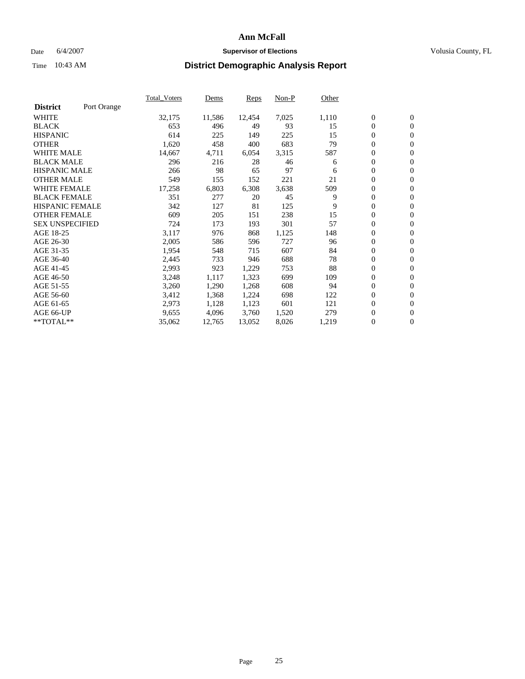#### Date 6/4/2007 **Supervisor of Elections Supervisor of Elections** Volusia County, FL

|                        |             | Total Voters | Dems   | <b>Reps</b> | Non-P | Other |                  |                  |  |
|------------------------|-------------|--------------|--------|-------------|-------|-------|------------------|------------------|--|
| <b>District</b>        | Port Orange |              |        |             |       |       |                  |                  |  |
| <b>WHITE</b>           |             | 32,175       | 11,586 | 12,454      | 7,025 | 1,110 | $\boldsymbol{0}$ | $\mathbf{0}$     |  |
| <b>BLACK</b>           |             | 653          | 496    | 49          | 93    | 15    | $\overline{0}$   | $\mathbf{0}$     |  |
| <b>HISPANIC</b>        |             | 614          | 225    | 149         | 225   | 15    | $\boldsymbol{0}$ | $\mathbf{0}$     |  |
| <b>OTHER</b>           |             | 1,620        | 458    | 400         | 683   | 79    | 0                | $\mathbf{0}$     |  |
| <b>WHITE MALE</b>      |             | 14,667       | 4,711  | 6,054       | 3,315 | 587   | 0                | $\mathbf{0}$     |  |
| <b>BLACK MALE</b>      |             | 296          | 216    | 28          | 46    | 6     | $\boldsymbol{0}$ | $\boldsymbol{0}$ |  |
| <b>HISPANIC MALE</b>   |             | 266          | 98     | 65          | 97    | 6     | $\overline{0}$   | $\mathbf{0}$     |  |
| <b>OTHER MALE</b>      |             | 549          | 155    | 152         | 221   | 21    | $\overline{0}$   | $\mathbf{0}$     |  |
| <b>WHITE FEMALE</b>    |             | 17,258       | 6,803  | 6,308       | 3,638 | 509   | $\overline{0}$   | $\mathbf{0}$     |  |
| <b>BLACK FEMALE</b>    |             | 351          | 277    | 20          | 45    | 9     | $\overline{0}$   | $\mathbf{0}$     |  |
| <b>HISPANIC FEMALE</b> |             | 342          | 127    | 81          | 125   | 9     | $\boldsymbol{0}$ | $\mathbf{0}$     |  |
| <b>OTHER FEMALE</b>    |             | 609          | 205    | 151         | 238   | 15    | 0                | $\mathbf{0}$     |  |
| <b>SEX UNSPECIFIED</b> |             | 724          | 173    | 193         | 301   | 57    | $\boldsymbol{0}$ | $\mathbf{0}$     |  |
| AGE 18-25              |             | 3,117        | 976    | 868         | 1,125 | 148   | $\boldsymbol{0}$ | $\mathbf{0}$     |  |
| AGE 26-30              |             | 2,005        | 586    | 596         | 727   | 96    | $\overline{0}$   | $\mathbf{0}$     |  |
| AGE 31-35              |             | 1,954        | 548    | 715         | 607   | 84    | $\overline{0}$   | $\mathbf{0}$     |  |
| AGE 36-40              |             | 2,445        | 733    | 946         | 688   | 78    | $\boldsymbol{0}$ | $\mathbf{0}$     |  |
| AGE 41-45              |             | 2,993        | 923    | 1,229       | 753   | 88    | $\boldsymbol{0}$ | $\mathbf{0}$     |  |
| AGE 46-50              |             | 3,248        | 1,117  | 1,323       | 699   | 109   | 0                | $\mathbf{0}$     |  |
| AGE 51-55              |             | 3,260        | 1,290  | 1,268       | 608   | 94    | $\boldsymbol{0}$ | $\mathbf{0}$     |  |
| AGE 56-60              |             | 3,412        | 1,368  | 1,224       | 698   | 122   | $\overline{0}$   | $\mathbf{0}$     |  |
| AGE 61-65              |             | 2,973        | 1,128  | 1,123       | 601   | 121   | $\mathbf{0}$     | $\mathbf{0}$     |  |
| AGE 66-UP              |             | 9,655        | 4,096  | 3,760       | 1,520 | 279   | $\boldsymbol{0}$ | $\mathbf{0}$     |  |
| **TOTAL**              |             | 35,062       | 12,765 | 13,052      | 8,026 | 1,219 | $\boldsymbol{0}$ | $\overline{0}$   |  |
|                        |             |              |        |             |       |       |                  |                  |  |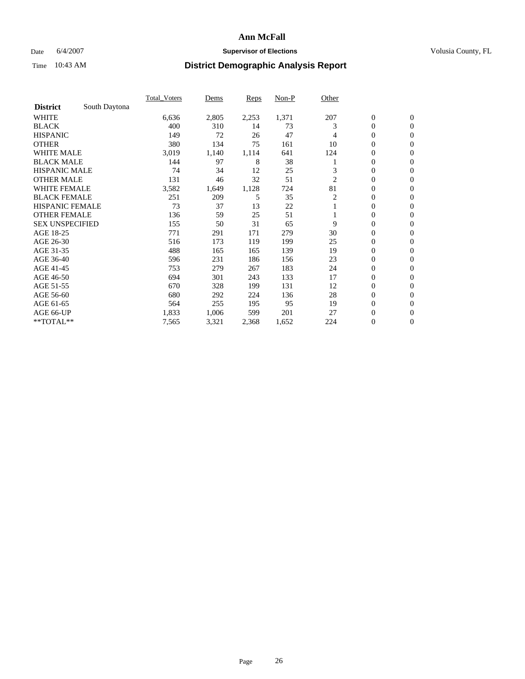### Date 6/4/2007 **Supervisor of Elections Supervisor of Elections** Volusia County, FL

|                        |               | <b>Total Voters</b> | Dems  | <b>Reps</b> | Non-P | Other |                  |                  |  |
|------------------------|---------------|---------------------|-------|-------------|-------|-------|------------------|------------------|--|
| <b>District</b>        | South Daytona |                     |       |             |       |       |                  |                  |  |
| <b>WHITE</b>           |               | 6,636               | 2,805 | 2,253       | 1,371 | 207   | $\boldsymbol{0}$ | $\boldsymbol{0}$ |  |
| <b>BLACK</b>           |               | 400                 | 310   | 14          | 73    | 3     | $\mathbf{0}$     | $\mathbf{0}$     |  |
| <b>HISPANIC</b>        |               | 149                 | 72    | 26          | 47    | 4     | $\mathbf{0}$     | $\mathbf{0}$     |  |
| <b>OTHER</b>           |               | 380                 | 134   | 75          | 161   | 10    | 0                | $\overline{0}$   |  |
| <b>WHITE MALE</b>      |               | 3,019               | 1,140 | 1,114       | 641   | 124   | 0                | $\mathbf{0}$     |  |
| <b>BLACK MALE</b>      |               | 144                 | 97    | 8           | 38    |       | 0                | 0                |  |
| <b>HISPANIC MALE</b>   |               | 74                  | 34    | 12          | 25    | 3     | 0                | $\mathbf{0}$     |  |
| <b>OTHER MALE</b>      |               | 131                 | 46    | 32          | 51    | 2     | 0                | $\mathbf{0}$     |  |
| <b>WHITE FEMALE</b>    |               | 3,582               | 1,649 | 1,128       | 724   | 81    | 0                | $\mathbf{0}$     |  |
| <b>BLACK FEMALE</b>    |               | 251                 | 209   | 5           | 35    | 2     | $\mathbf{0}$     | $\mathbf{0}$     |  |
| <b>HISPANIC FEMALE</b> |               | 73                  | 37    | 13          | 22    |       | 0                | $\mathbf{0}$     |  |
| <b>OTHER FEMALE</b>    |               | 136                 | 59    | 25          | 51    |       | 0                | $\mathbf{0}$     |  |
| <b>SEX UNSPECIFIED</b> |               | 155                 | 50    | 31          | 65    | 9     | $\boldsymbol{0}$ | $\mathbf{0}$     |  |
| AGE 18-25              |               | 771                 | 291   | 171         | 279   | 30    | 0                | $\mathbf{0}$     |  |
| AGE 26-30              |               | 516                 | 173   | 119         | 199   | 25    | 0                | $\mathbf{0}$     |  |
| AGE 31-35              |               | 488                 | 165   | 165         | 139   | 19    | 0                | $\mathbf{0}$     |  |
| AGE 36-40              |               | 596                 | 231   | 186         | 156   | 23    | $\boldsymbol{0}$ | $\mathbf{0}$     |  |
| AGE 41-45              |               | 753                 | 279   | 267         | 183   | 24    | 0                | $\mathbf{0}$     |  |
| AGE 46-50              |               | 694                 | 301   | 243         | 133   | 17    | $\mathbf{0}$     | $\mathbf{0}$     |  |
| AGE 51-55              |               | 670                 | 328   | 199         | 131   | 12    | $\overline{0}$   | $\mathbf{0}$     |  |
| AGE 56-60              |               | 680                 | 292   | 224         | 136   | 28    | $\boldsymbol{0}$ | $\mathbf{0}$     |  |
| AGE 61-65              |               | 564                 | 255   | 195         | 95    | 19    | 0                | $\mathbf{0}$     |  |
| AGE 66-UP              |               | 1,833               | 1,006 | 599         | 201   | 27    | 0                | 0                |  |
| **TOTAL**              |               | 7,565               | 3,321 | 2,368       | 1,652 | 224   | 0                | $\boldsymbol{0}$ |  |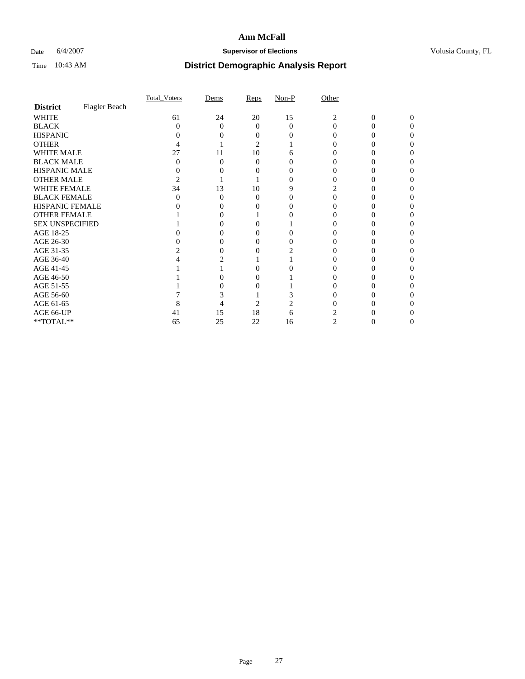### Date 6/4/2007 **Supervisor of Elections Supervisor of Elections** Volusia County, FL

|                        |               | Total Voters      | Dems | Reps   | $Non-P$  | Other    |        |          |  |
|------------------------|---------------|-------------------|------|--------|----------|----------|--------|----------|--|
| <b>District</b>        | Flagler Beach |                   |      |        |          |          |        |          |  |
| <b>WHITE</b>           |               | 61                | 24   | 20     | 15       | 2        | 0      | $\Omega$ |  |
| <b>BLACK</b>           |               | 0                 | 0    | 0      | $\Omega$ | $\Omega$ |        | O        |  |
| <b>HISPANIC</b>        |               |                   |      |        |          |          |        |          |  |
| <b>OTHER</b>           |               |                   |      | 2      |          |          |        |          |  |
| <b>WHITE MALE</b>      |               | 27                | 11   | 10     | n        |          |        |          |  |
| <b>BLACK MALE</b>      |               |                   |      | 0      |          |          |        |          |  |
| HISPANIC MALE          |               |                   |      |        |          |          |        |          |  |
| <b>OTHER MALE</b>      |               |                   |      |        |          |          |        |          |  |
| WHITE FEMALE           |               | 34                | 13   | 10     |          |          |        |          |  |
| <b>BLACK FEMALE</b>    |               | $\mathbf{\Omega}$ | 0    | 0      |          |          |        |          |  |
| <b>HISPANIC FEMALE</b> |               |                   |      |        |          |          |        |          |  |
| <b>OTHER FEMALE</b>    |               |                   |      |        |          |          |        |          |  |
| <b>SEX UNSPECIFIED</b> |               |                   |      |        |          |          |        |          |  |
| AGE 18-25              |               |                   |      |        |          |          |        |          |  |
| AGE 26-30              |               |                   |      |        |          |          |        |          |  |
| AGE 31-35              |               |                   |      |        |          |          |        |          |  |
| AGE 36-40              |               |                   |      |        |          |          |        |          |  |
| AGE 41-45              |               |                   |      |        |          |          |        |          |  |
| AGE 46-50              |               |                   |      |        |          |          |        |          |  |
| AGE 51-55              |               |                   |      |        |          |          |        |          |  |
| AGE 56-60              |               |                   |      |        |          |          |        |          |  |
| AGE 61-65              |               |                   |      | 2      |          |          |        |          |  |
| AGE 66-UP              |               | 41                | 15   | $18\,$ |          |          |        |          |  |
| $**TOTAL**$            |               | 65                | 25   | 22     | 16       | 2        | $_{0}$ | 0        |  |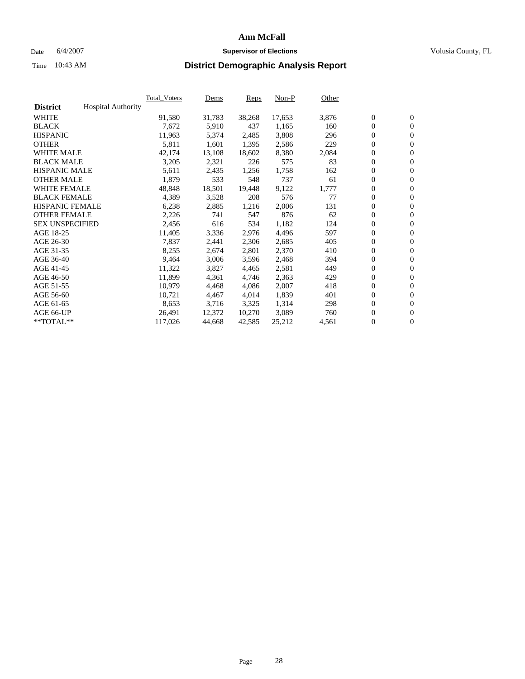#### Date 6/4/2007 **Supervisor of Elections Supervisor of Elections** Volusia County, FL

|                        |                           | Total Voters | Dems   | <b>Reps</b> | Non-P  | Other |                  |                  |  |
|------------------------|---------------------------|--------------|--------|-------------|--------|-------|------------------|------------------|--|
| <b>District</b>        | <b>Hospital Authority</b> |              |        |             |        |       |                  |                  |  |
| <b>WHITE</b>           |                           | 91,580       | 31,783 | 38,268      | 17,653 | 3,876 | $\overline{0}$   | $\mathbf{0}$     |  |
| <b>BLACK</b>           |                           | 7,672        | 5,910  | 437         | 1,165  | 160   | $\overline{0}$   | $\mathbf{0}$     |  |
| <b>HISPANIC</b>        |                           | 11,963       | 5,374  | 2,485       | 3,808  | 296   | $\boldsymbol{0}$ | $\mathbf{0}$     |  |
| <b>OTHER</b>           |                           | 5,811        | 1,601  | 1,395       | 2,586  | 229   | $\boldsymbol{0}$ | $\mathbf{0}$     |  |
| <b>WHITE MALE</b>      |                           | 42,174       | 13,108 | 18,602      | 8,380  | 2,084 | 0                | $\mathbf{0}$     |  |
| <b>BLACK MALE</b>      |                           | 3,205        | 2,321  | 226         | 575    | 83    | $\boldsymbol{0}$ | $\mathbf{0}$     |  |
| <b>HISPANIC MALE</b>   |                           | 5,611        | 2,435  | 1,256       | 1,758  | 162   | $\overline{0}$   | $\mathbf{0}$     |  |
| <b>OTHER MALE</b>      |                           | 1,879        | 533    | 548         | 737    | 61    | $\overline{0}$   | $\mathbf{0}$     |  |
| <b>WHITE FEMALE</b>    |                           | 48,848       | 18,501 | 19,448      | 9,122  | 1,777 | $\mathbf{0}$     | $\mathbf{0}$     |  |
| <b>BLACK FEMALE</b>    |                           | 4,389        | 3,528  | 208         | 576    | 77    | $\overline{0}$   | $\mathbf{0}$     |  |
| <b>HISPANIC FEMALE</b> |                           | 6,238        | 2,885  | 1,216       | 2,006  | 131   | $\boldsymbol{0}$ | $\mathbf{0}$     |  |
| <b>OTHER FEMALE</b>    |                           | 2,226        | 741    | 547         | 876    | 62    | 0                | $\mathbf{0}$     |  |
| <b>SEX UNSPECIFIED</b> |                           | 2,456        | 616    | 534         | 1,182  | 124   | $\boldsymbol{0}$ | $\mathbf{0}$     |  |
| AGE 18-25              |                           | 11,405       | 3,336  | 2,976       | 4,496  | 597   | $\boldsymbol{0}$ | $\mathbf{0}$     |  |
| AGE 26-30              |                           | 7,837        | 2,441  | 2,306       | 2,685  | 405   | $\overline{0}$   | $\mathbf{0}$     |  |
| AGE 31-35              |                           | 8,255        | 2,674  | 2,801       | 2,370  | 410   | $\overline{0}$   | $\mathbf{0}$     |  |
| AGE 36-40              |                           | 9,464        | 3,006  | 3,596       | 2,468  | 394   | $\boldsymbol{0}$ | $\mathbf{0}$     |  |
| AGE 41-45              |                           | 11,322       | 3,827  | 4,465       | 2,581  | 449   | $\boldsymbol{0}$ | $\mathbf{0}$     |  |
| AGE 46-50              |                           | 11,899       | 4,361  | 4,746       | 2,363  | 429   | 0                | $\mathbf{0}$     |  |
| AGE 51-55              |                           | 10,979       | 4,468  | 4,086       | 2,007  | 418   | $\boldsymbol{0}$ | $\mathbf{0}$     |  |
| AGE 56-60              |                           | 10,721       | 4,467  | 4,014       | 1,839  | 401   | $\overline{0}$   | $\mathbf{0}$     |  |
| AGE 61-65              |                           | 8,653        | 3,716  | 3,325       | 1,314  | 298   | $\mathbf{0}$     | $\boldsymbol{0}$ |  |
| AGE 66-UP              |                           | 26,491       | 12,372 | 10,270      | 3,089  | 760   | $\boldsymbol{0}$ | $\mathbf{0}$     |  |
| **TOTAL**              |                           | 117,026      | 44,668 | 42,585      | 25,212 | 4,561 | 0                | $\overline{0}$   |  |
|                        |                           |              |        |             |        |       |                  |                  |  |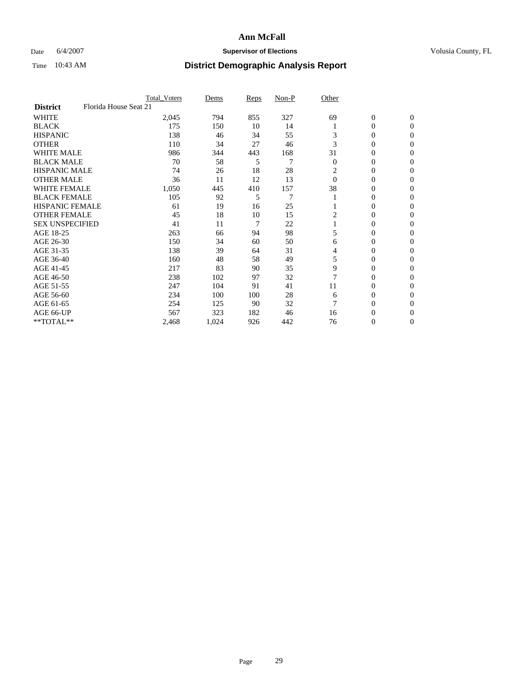### Date 6/4/2007 **Supervisor of Elections Supervisor of Elections** Volusia County, FL

|                        | <b>Total Voters</b>   | Dems  | Reps | Non-P          | Other          |                  |                  |  |
|------------------------|-----------------------|-------|------|----------------|----------------|------------------|------------------|--|
| <b>District</b>        | Florida House Seat 21 |       |      |                |                |                  |                  |  |
| <b>WHITE</b>           | 2,045                 | 794   | 855  | 327            | 69             | $\boldsymbol{0}$ | $\mathbf{0}$     |  |
| <b>BLACK</b>           | 175                   | 150   | 10   | 14             |                | 0                | $\mathbf{0}$     |  |
| <b>HISPANIC</b>        | 138                   | 46    | 34   | 55             | 3              | 0                | $\mathbf{0}$     |  |
| <b>OTHER</b>           | 110                   | 34    | 27   | 46             | 3              | 0                | $\overline{0}$   |  |
| <b>WHITE MALE</b>      | 986                   | 344   | 443  | 168            | 31             | 0                | $\Omega$         |  |
| <b>BLACK MALE</b>      | 70                    | 58    | 5    | 7              | $\overline{0}$ | 0                | $\Omega$         |  |
| <b>HISPANIC MALE</b>   | 74                    | 26    | 18   | 28             | 2              | 0                | $\Omega$         |  |
| <b>OTHER MALE</b>      | 36                    | 11    | 12   | 13             | $\Omega$       | 0                | 0                |  |
| <b>WHITE FEMALE</b>    | 1,050                 | 445   | 410  | 157            | 38             | 0                | 0                |  |
| <b>BLACK FEMALE</b>    | 105                   | 92    | 5    | $\overline{7}$ |                | 0                | $\mathbf{0}$     |  |
| <b>HISPANIC FEMALE</b> | 61                    | 19    | 16   | 25             |                | 0                | $\Omega$         |  |
| <b>OTHER FEMALE</b>    | 45                    | 18    | 10   | 15             | 2              | 0                | $\boldsymbol{0}$ |  |
| <b>SEX UNSPECIFIED</b> | 41                    | 11    | 7    | 22             |                | 0                | $\mathbf{0}$     |  |
| AGE 18-25              | 263                   | 66    | 94   | 98             | 5              | 0                | 0                |  |
| AGE 26-30              | 150                   | 34    | 60   | 50             | 6              | 0                | $\Omega$         |  |
| AGE 31-35              | 138                   | 39    | 64   | 31             | 4              | 0                | 0                |  |
| AGE 36-40              | 160                   | 48    | 58   | 49             | 5              | 0                | $\mathbf{0}$     |  |
| AGE 41-45              | 217                   | 83    | 90   | 35             | 9              | 0                | 0                |  |
| AGE 46-50              | 238                   | 102   | 97   | 32             | 7              | 0                | $\mathbf{0}$     |  |
| AGE 51-55              | 247                   | 104   | 91   | 41             | 11             | 0                | $\Omega$         |  |
| AGE 56-60              | 234                   | 100   | 100  | 28             | 6              | 0                | $\theta$         |  |
| AGE 61-65              | 254                   | 125   | 90   | 32             | 7              | 0                | 0                |  |
| AGE 66-UP              | 567                   | 323   | 182  | 46             | 16             | 0                | 0                |  |
| **TOTAL**              | 2,468                 | 1,024 | 926  | 442            | 76             | 0                | 0                |  |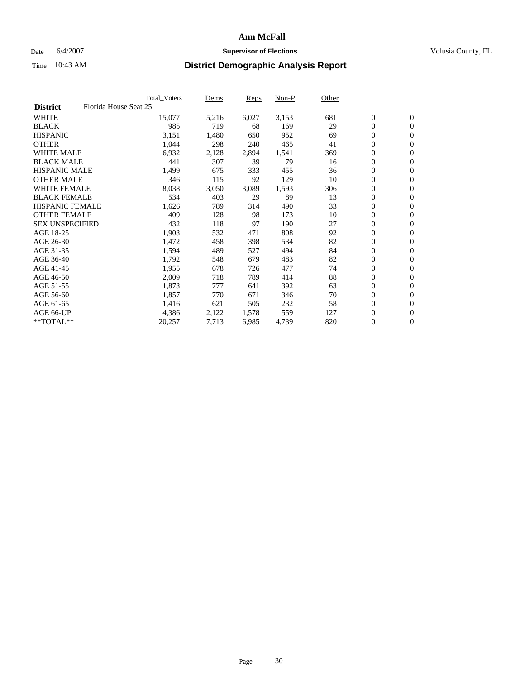#### Date 6/4/2007 **Supervisor of Elections Supervisor of Elections** Volusia County, FL

|                                          | <b>Total Voters</b> | Dems  | Reps  | Non-P | Other |                  |                |  |
|------------------------------------------|---------------------|-------|-------|-------|-------|------------------|----------------|--|
| Florida House Seat 25<br><b>District</b> |                     |       |       |       |       |                  |                |  |
| <b>WHITE</b>                             | 15,077              | 5,216 | 6,027 | 3,153 | 681   | $\boldsymbol{0}$ | $\mathbf{0}$   |  |
| <b>BLACK</b>                             | 985                 | 719   | 68    | 169   | 29    | $\mathbf{0}$     | $\mathbf{0}$   |  |
| <b>HISPANIC</b>                          | 3,151               | 1,480 | 650   | 952   | 69    | 0                | $\mathbf{0}$   |  |
| <b>OTHER</b>                             | 1,044               | 298   | 240   | 465   | 41    | 0                | $\mathbf{0}$   |  |
| <b>WHITE MALE</b>                        | 6,932               | 2,128 | 2,894 | 1,541 | 369   | 0                | $\mathbf{0}$   |  |
| <b>BLACK MALE</b>                        | 441                 | 307   | 39    | 79    | 16    | 0                | $\mathbf{0}$   |  |
| <b>HISPANIC MALE</b>                     | 1,499               | 675   | 333   | 455   | 36    | 0                | $\mathbf{0}$   |  |
| <b>OTHER MALE</b>                        | 346                 | 115   | 92    | 129   | 10    | $\boldsymbol{0}$ | $\mathbf{0}$   |  |
| <b>WHITE FEMALE</b>                      | 8,038               | 3,050 | 3,089 | 1,593 | 306   | 0                | $\mathbf{0}$   |  |
| <b>BLACK FEMALE</b>                      | 534                 | 403   | 29    | 89    | 13    | $\boldsymbol{0}$ | $\mathbf{0}$   |  |
| <b>HISPANIC FEMALE</b>                   | 1,626               | 789   | 314   | 490   | 33    | $\boldsymbol{0}$ | $\mathbf{0}$   |  |
| <b>OTHER FEMALE</b>                      | 409                 | 128   | 98    | 173   | 10    | 0                | $\overline{0}$ |  |
| <b>SEX UNSPECIFIED</b>                   | 432                 | 118   | 97    | 190   | 27    | 0                | $\mathbf{0}$   |  |
| AGE 18-25                                | 1,903               | 532   | 471   | 808   | 92    | $\boldsymbol{0}$ | $\mathbf{0}$   |  |
| AGE 26-30                                | 1,472               | 458   | 398   | 534   | 82    | $\mathbf{0}$     | $\mathbf{0}$   |  |
| AGE 31-35                                | 1,594               | 489   | 527   | 494   | 84    | 0                | $\mathbf{0}$   |  |
| AGE 36-40                                | 1,792               | 548   | 679   | 483   | 82    | 0                | $\mathbf{0}$   |  |
| AGE 41-45                                | 1,955               | 678   | 726   | 477   | 74    | $\boldsymbol{0}$ | $\mathbf{0}$   |  |
| AGE 46-50                                | 2,009               | 718   | 789   | 414   | 88    | 0                | $\mathbf{0}$   |  |
| AGE 51-55                                | 1,873               | 777   | 641   | 392   | 63    | $\boldsymbol{0}$ | $\mathbf{0}$   |  |
| AGE 56-60                                | 1,857               | 770   | 671   | 346   | 70    | 0                | $\mathbf{0}$   |  |
| AGE 61-65                                | 1,416               | 621   | 505   | 232   | 58    | $\mathbf{0}$     | $\mathbf{0}$   |  |
| AGE 66-UP                                | 4,386               | 2,122 | 1,578 | 559   | 127   | 0                | $\mathbf{0}$   |  |
| **TOTAL**                                | 20,257              | 7,713 | 6,985 | 4,739 | 820   | 0                | $\overline{0}$ |  |
|                                          |                     |       |       |       |       |                  |                |  |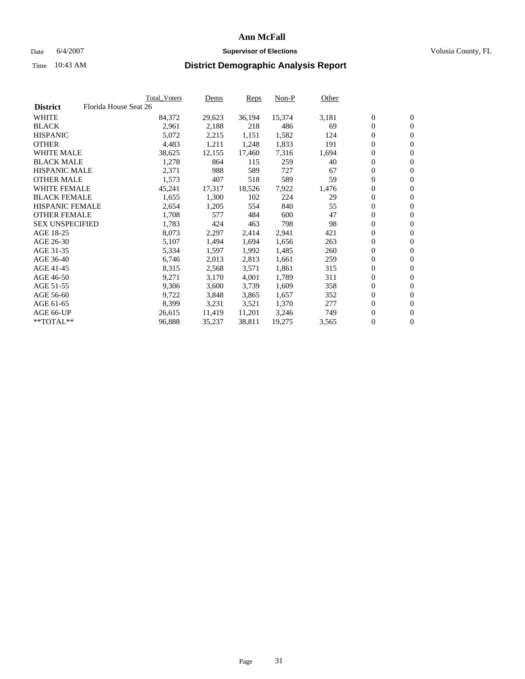### Date 6/4/2007 **Supervisor of Elections Supervisor of Elections** Volusia County, FL

|                        | Total_Voters          | Dems   | Reps   | Non-P  | Other |                  |                  |  |
|------------------------|-----------------------|--------|--------|--------|-------|------------------|------------------|--|
| <b>District</b>        | Florida House Seat 26 |        |        |        |       |                  |                  |  |
| <b>WHITE</b>           | 84,372                | 29,623 | 36,194 | 15,374 | 3,181 | $\boldsymbol{0}$ | $\mathbf{0}$     |  |
| <b>BLACK</b>           | 2,961                 | 2,188  | 218    | 486    | 69    | $\overline{0}$   | $\mathbf{0}$     |  |
| <b>HISPANIC</b>        | 5,072                 | 2,215  | 1,151  | 1,582  | 124   | $\overline{0}$   | $\mathbf{0}$     |  |
| <b>OTHER</b>           | 4,483                 | 1,211  | 1,248  | 1,833  | 191   | 0                | $\overline{0}$   |  |
| <b>WHITE MALE</b>      | 38,625                | 12,155 | 17,460 | 7,316  | 1,694 | $\overline{0}$   | $\mathbf{0}$     |  |
| <b>BLACK MALE</b>      | 1,278                 | 864    | 115    | 259    | 40    | $\boldsymbol{0}$ | $\mathbf{0}$     |  |
| <b>HISPANIC MALE</b>   | 2,371                 | 988    | 589    | 727    | 67    | 0                | $\overline{0}$   |  |
| <b>OTHER MALE</b>      | 1,573                 | 407    | 518    | 589    | 59    | $\boldsymbol{0}$ | $\mathbf{0}$     |  |
| <b>WHITE FEMALE</b>    | 45,241                | 17,317 | 18,526 | 7,922  | 1,476 | 0                | $\mathbf{0}$     |  |
| <b>BLACK FEMALE</b>    | 1,655                 | 1,300  | 102    | 224    | 29    | $\overline{0}$   | $\mathbf{0}$     |  |
| <b>HISPANIC FEMALE</b> | 2,654                 | 1,205  | 554    | 840    | 55    | 0                | $\mathbf{0}$     |  |
| <b>OTHER FEMALE</b>    | 1,708                 | 577    | 484    | 600    | 47    | $\overline{0}$   | $\mathbf{0}$     |  |
| <b>SEX UNSPECIFIED</b> | 1,783                 | 424    | 463    | 798    | 98    | $\boldsymbol{0}$ | $\mathbf{0}$     |  |
| AGE 18-25              | 8,073                 | 2,297  | 2,414  | 2,941  | 421   | 0                | $\mathbf{0}$     |  |
| AGE 26-30              | 5,107                 | 1,494  | 1,694  | 1,656  | 263   | 0                | $\mathbf{0}$     |  |
| AGE 31-35              | 5,334                 | 1,597  | 1,992  | 1,485  | 260   | 0                | $\overline{0}$   |  |
| AGE 36-40              | 6,746                 | 2,013  | 2,813  | 1,661  | 259   | $\boldsymbol{0}$ | $\mathbf{0}$     |  |
| AGE 41-45              | 8,315                 | 2,568  | 3,571  | 1,861  | 315   | 0                | $\mathbf{0}$     |  |
| AGE 46-50              | 9,271                 | 3,170  | 4,001  | 1,789  | 311   | $\overline{0}$   | $\mathbf{0}$     |  |
| AGE 51-55              | 9,306                 | 3,600  | 3,739  | 1,609  | 358   | $\overline{0}$   | $\mathbf{0}$     |  |
| AGE 56-60              | 9,722                 | 3,848  | 3,865  | 1,657  | 352   | $\boldsymbol{0}$ | $\mathbf{0}$     |  |
| AGE 61-65              | 8,399                 | 3,231  | 3,521  | 1,370  | 277   | 0                | $\mathbf{0}$     |  |
| AGE 66-UP              | 26,615                | 11,419 | 11,201 | 3,246  | 749   | 0                | $\mathbf{0}$     |  |
| $*$ TOTAL $**$         | 96,888                | 35,237 | 38,811 | 19,275 | 3,565 | 0                | $\boldsymbol{0}$ |  |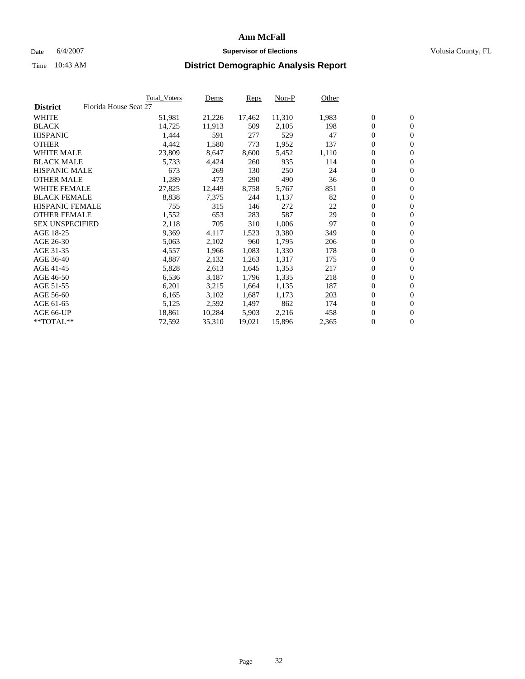#### Date 6/4/2007 **Supervisor of Elections Supervisor of Elections** Volusia County, FL

|                        |                       | Total_Voters | Dems   | <b>Reps</b> | Non-P  | Other |                  |                |  |
|------------------------|-----------------------|--------------|--------|-------------|--------|-------|------------------|----------------|--|
| <b>District</b>        | Florida House Seat 27 |              |        |             |        |       |                  |                |  |
| <b>WHITE</b>           |                       | 51,981       | 21,226 | 17,462      | 11,310 | 1,983 | $\overline{0}$   | $\mathbf{0}$   |  |
| <b>BLACK</b>           |                       | 14,725       | 11,913 | 509         | 2,105  | 198   | $\overline{0}$   | $\mathbf{0}$   |  |
| <b>HISPANIC</b>        |                       | 1,444        | 591    | 277         | 529    | 47    | $\boldsymbol{0}$ | $\mathbf{0}$   |  |
| <b>OTHER</b>           |                       | 4,442        | 1,580  | 773         | 1,952  | 137   | $\boldsymbol{0}$ | $\mathbf{0}$   |  |
| <b>WHITE MALE</b>      |                       | 23,809       | 8,647  | 8,600       | 5,452  | 1,110 | 0                | $\mathbf{0}$   |  |
| <b>BLACK MALE</b>      |                       | 5,733        | 4,424  | 260         | 935    | 114   | $\boldsymbol{0}$ | $\mathbf{0}$   |  |
| <b>HISPANIC MALE</b>   |                       | 673          | 269    | 130         | 250    | 24    | $\overline{0}$   | $\mathbf{0}$   |  |
| <b>OTHER MALE</b>      |                       | 1,289        | 473    | 290         | 490    | 36    | $\overline{0}$   | $\mathbf{0}$   |  |
| <b>WHITE FEMALE</b>    |                       | 27,825       | 12,449 | 8,758       | 5,767  | 851   | $\mathbf{0}$     | $\mathbf{0}$   |  |
| <b>BLACK FEMALE</b>    |                       | 8,838        | 7,375  | 244         | 1,137  | 82    | $\boldsymbol{0}$ | $\mathbf{0}$   |  |
| HISPANIC FEMALE        |                       | 755          | 315    | 146         | 272    | 22    | $\boldsymbol{0}$ | $\mathbf{0}$   |  |
| <b>OTHER FEMALE</b>    |                       | 1,552        | 653    | 283         | 587    | 29    | 0                | $\mathbf{0}$   |  |
| <b>SEX UNSPECIFIED</b> |                       | 2,118        | 705    | 310         | 1,006  | 97    | $\boldsymbol{0}$ | $\mathbf{0}$   |  |
| AGE 18-25              |                       | 9,369        | 4,117  | 1,523       | 3,380  | 349   | $\boldsymbol{0}$ | $\mathbf{0}$   |  |
| AGE 26-30              |                       | 5,063        | 2,102  | 960         | 1,795  | 206   | $\overline{0}$   | $\mathbf{0}$   |  |
| AGE 31-35              |                       | 4,557        | 1,966  | 1,083       | 1,330  | 178   | $\overline{0}$   | $\mathbf{0}$   |  |
| AGE 36-40              |                       | 4,887        | 2,132  | 1,263       | 1,317  | 175   | $\boldsymbol{0}$ | $\mathbf{0}$   |  |
| AGE 41-45              |                       | 5,828        | 2,613  | 1,645       | 1,353  | 217   | $\boldsymbol{0}$ | $\mathbf{0}$   |  |
| AGE 46-50              |                       | 6,536        | 3,187  | 1,796       | 1,335  | 218   | 0                | $\mathbf{0}$   |  |
| AGE 51-55              |                       | 6,201        | 3,215  | 1,664       | 1,135  | 187   | $\boldsymbol{0}$ | $\mathbf{0}$   |  |
| AGE 56-60              |                       | 6,165        | 3,102  | 1,687       | 1,173  | 203   | $\overline{0}$   | $\mathbf{0}$   |  |
| AGE 61-65              |                       | 5,125        | 2,592  | 1,497       | 862    | 174   | $\mathbf{0}$     | $\mathbf{0}$   |  |
| AGE 66-UP              |                       | 18,861       | 10,284 | 5,903       | 2,216  | 458   | $\boldsymbol{0}$ | $\mathbf{0}$   |  |
| **TOTAL**              |                       | 72,592       | 35,310 | 19,021      | 15,896 | 2,365 | 0                | $\overline{0}$ |  |
|                        |                       |              |        |             |        |       |                  |                |  |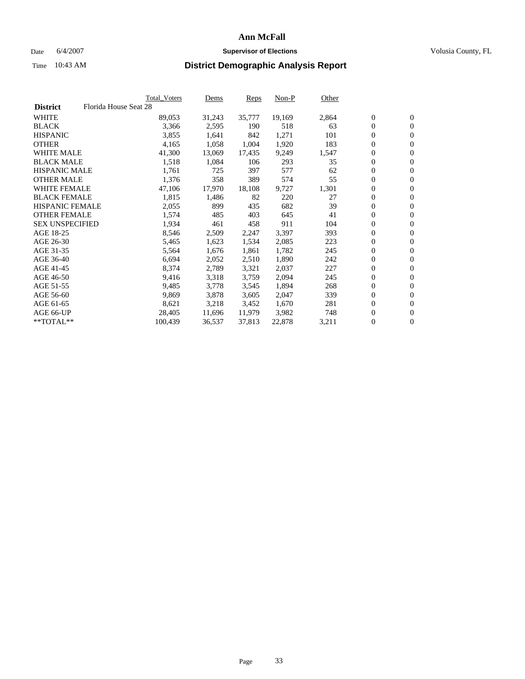#### Date 6/4/2007 **Supervisor of Elections Supervisor of Elections** Volusia County, FL

|                        | Total_Voters          | Dems   | <b>Reps</b> | Non-P  | Other |                  |                |  |
|------------------------|-----------------------|--------|-------------|--------|-------|------------------|----------------|--|
| <b>District</b>        | Florida House Seat 28 |        |             |        |       |                  |                |  |
| <b>WHITE</b>           | 89,053                | 31,243 | 35,777      | 19,169 | 2,864 | $\overline{0}$   | $\mathbf{0}$   |  |
| <b>BLACK</b>           | 3,366                 | 2,595  | 190         | 518    | 63    | $\overline{0}$   | $\mathbf{0}$   |  |
| <b>HISPANIC</b>        | 3,855                 | 1,641  | 842         | 1,271  | 101   | $\boldsymbol{0}$ | $\mathbf{0}$   |  |
| <b>OTHER</b>           | 4,165                 | 1,058  | 1,004       | 1,920  | 183   | 0                | $\mathbf{0}$   |  |
| <b>WHITE MALE</b>      | 41,300                | 13,069 | 17,435      | 9,249  | 1,547 | 0                | $\mathbf{0}$   |  |
| <b>BLACK MALE</b>      | 1,518                 | 1,084  | 106         | 293    | 35    | $\boldsymbol{0}$ | $\mathbf{0}$   |  |
| <b>HISPANIC MALE</b>   | 1,761                 | 725    | 397         | 577    | 62    | $\overline{0}$   | $\mathbf{0}$   |  |
| <b>OTHER MALE</b>      | 1,376                 | 358    | 389         | 574    | 55    | $\overline{0}$   | $\mathbf{0}$   |  |
| <b>WHITE FEMALE</b>    | 47,106                | 17,970 | 18,108      | 9,727  | 1,301 | $\mathbf{0}$     | $\mathbf{0}$   |  |
| <b>BLACK FEMALE</b>    | 1,815                 | 1,486  | 82          | 220    | 27    | $\overline{0}$   | $\mathbf{0}$   |  |
| HISPANIC FEMALE        | 2,055                 | 899    | 435         | 682    | 39    | $\boldsymbol{0}$ | $\mathbf{0}$   |  |
| <b>OTHER FEMALE</b>    | 1,574                 | 485    | 403         | 645    | 41    | 0                | $\mathbf{0}$   |  |
| <b>SEX UNSPECIFIED</b> | 1,934                 | 461    | 458         | 911    | 104   | $\boldsymbol{0}$ | $\mathbf{0}$   |  |
| AGE 18-25              | 8,546                 | 2,509  | 2,247       | 3,397  | 393   | $\boldsymbol{0}$ | $\mathbf{0}$   |  |
| AGE 26-30              | 5,465                 | 1,623  | 1,534       | 2,085  | 223   | $\overline{0}$   | $\mathbf{0}$   |  |
| AGE 31-35              | 5,564                 | 1,676  | 1,861       | 1,782  | 245   | $\overline{0}$   | $\mathbf{0}$   |  |
| AGE 36-40              | 6,694                 | 2,052  | 2,510       | 1,890  | 242   | $\boldsymbol{0}$ | $\mathbf{0}$   |  |
| AGE 41-45              | 8,374                 | 2,789  | 3,321       | 2,037  | 227   | $\boldsymbol{0}$ | $\mathbf{0}$   |  |
| AGE 46-50              | 9,416                 | 3,318  | 3,759       | 2,094  | 245   | 0                | $\mathbf{0}$   |  |
| AGE 51-55              | 9,485                 | 3,778  | 3,545       | 1,894  | 268   | $\boldsymbol{0}$ | $\mathbf{0}$   |  |
| AGE 56-60              | 9,869                 | 3,878  | 3,605       | 2,047  | 339   | $\overline{0}$   | $\mathbf{0}$   |  |
| AGE 61-65              | 8,621                 | 3,218  | 3,452       | 1,670  | 281   | $\mathbf{0}$     | $\mathbf{0}$   |  |
| AGE 66-UP              | 28,405                | 11,696 | 11,979      | 3,982  | 748   | $\boldsymbol{0}$ | $\mathbf{0}$   |  |
| **TOTAL**              | 100,439               | 36,537 | 37,813      | 22,878 | 3,211 | 0                | $\overline{0}$ |  |
|                        |                       |        |             |        |       |                  |                |  |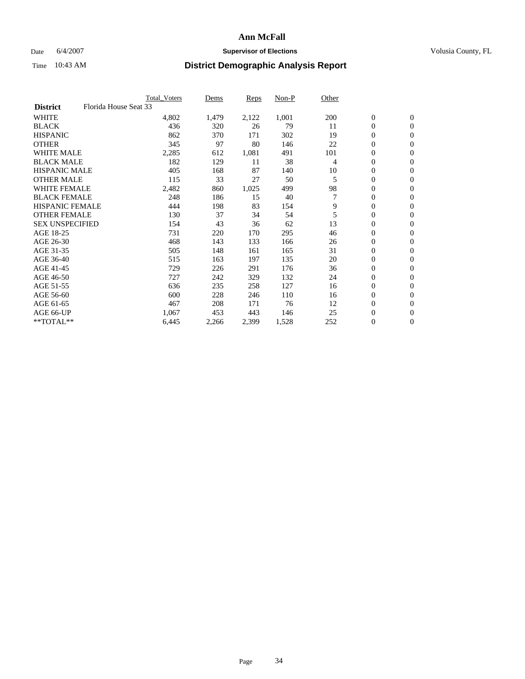### Date 6/4/2007 **Supervisor of Elections Supervisor of Elections** Volusia County, FL

| Florida House Seat 33<br><b>District</b><br><b>WHITE</b><br>2,122<br>1,001<br>200<br>$\boldsymbol{0}$<br>$\mathbf{0}$<br>4,802<br>1,479<br>$\mathbf{0}$<br>436<br>79<br>$\mathbf{0}$<br>320<br>26<br>11<br>862<br>370<br>302<br>19<br>0<br>$\mathbf{0}$<br>171<br>97<br>22<br>0<br>345<br>80<br>146<br>$\mathbf{0}$<br>0<br><b>WHITE MALE</b><br>491<br>2,285<br>612<br>1,081<br>101<br>$\mathbf{0}$<br>182<br>38<br>0<br>129<br>11<br>4<br>$\mathbf{0}$<br><b>HISPANIC MALE</b><br>10<br>0<br>405<br>168<br>87<br>$\mathbf{0}$<br>140<br>33<br>50<br>$\mathbf{0}$<br>115<br>27<br>5<br>$\mathbf{0}$<br>98<br><b>WHITE FEMALE</b><br>2,482<br>1,025<br>0<br>$\mathbf{0}$<br>860<br>499<br>7<br>$\boldsymbol{0}$<br>248<br>186<br>15<br>40<br>$\mathbf{0}$<br>9<br>0<br>444<br>198<br>83<br>154<br>$\mathbf{0}$<br>5<br>0<br>130<br>37<br>34<br>54<br>$\mathbf{0}$<br>13<br>0<br>154<br>43<br>36<br>62<br>$\mathbf{0}$<br>731<br>295<br>46<br>0<br>220<br>170<br>$\mathbf{0}$<br>$\mathbf{0}$<br>$\mathbf{0}$<br>468<br>143<br>133<br>166<br>26<br>165<br>31<br>0<br>505<br>148<br>161<br>$\mathbf{0}$<br>135<br>20<br>0<br>515<br>163<br>197<br>$\mathbf{0}$<br>0<br>729<br>176<br>36<br>226<br>291<br>$\mathbf{0}$<br>132<br>0<br>727<br>242<br>329<br>24<br>$\mathbf{0}$<br>127<br>$\boldsymbol{0}$<br>636<br>235<br>16<br>$\mathbf{0}$<br>258<br>0<br>600<br>228<br>246<br>110<br>16<br>$\mathbf{0}$<br>76<br>12<br>$\mathbf{0}$<br>208<br>$\mathbf{0}$<br>467<br>171<br>25<br>$\boldsymbol{0}$<br>1,067<br>453<br>443<br>146<br>$\mathbf{0}$ |                        | <b>Total Voters</b> | Dems | Reps | Non-P | Other |  |  |
|--------------------------------------------------------------------------------------------------------------------------------------------------------------------------------------------------------------------------------------------------------------------------------------------------------------------------------------------------------------------------------------------------------------------------------------------------------------------------------------------------------------------------------------------------------------------------------------------------------------------------------------------------------------------------------------------------------------------------------------------------------------------------------------------------------------------------------------------------------------------------------------------------------------------------------------------------------------------------------------------------------------------------------------------------------------------------------------------------------------------------------------------------------------------------------------------------------------------------------------------------------------------------------------------------------------------------------------------------------------------------------------------------------------------------------------------------------------------------------------------------------------------------------------------------|------------------------|---------------------|------|------|-------|-------|--|--|
|                                                                                                                                                                                                                                                                                                                                                                                                                                                                                                                                                                                                                                                                                                                                                                                                                                                                                                                                                                                                                                                                                                                                                                                                                                                                                                                                                                                                                                                                                                                                                  |                        |                     |      |      |       |       |  |  |
|                                                                                                                                                                                                                                                                                                                                                                                                                                                                                                                                                                                                                                                                                                                                                                                                                                                                                                                                                                                                                                                                                                                                                                                                                                                                                                                                                                                                                                                                                                                                                  |                        |                     |      |      |       |       |  |  |
|                                                                                                                                                                                                                                                                                                                                                                                                                                                                                                                                                                                                                                                                                                                                                                                                                                                                                                                                                                                                                                                                                                                                                                                                                                                                                                                                                                                                                                                                                                                                                  | <b>BLACK</b>           |                     |      |      |       |       |  |  |
|                                                                                                                                                                                                                                                                                                                                                                                                                                                                                                                                                                                                                                                                                                                                                                                                                                                                                                                                                                                                                                                                                                                                                                                                                                                                                                                                                                                                                                                                                                                                                  | <b>HISPANIC</b>        |                     |      |      |       |       |  |  |
|                                                                                                                                                                                                                                                                                                                                                                                                                                                                                                                                                                                                                                                                                                                                                                                                                                                                                                                                                                                                                                                                                                                                                                                                                                                                                                                                                                                                                                                                                                                                                  | <b>OTHER</b>           |                     |      |      |       |       |  |  |
|                                                                                                                                                                                                                                                                                                                                                                                                                                                                                                                                                                                                                                                                                                                                                                                                                                                                                                                                                                                                                                                                                                                                                                                                                                                                                                                                                                                                                                                                                                                                                  |                        |                     |      |      |       |       |  |  |
|                                                                                                                                                                                                                                                                                                                                                                                                                                                                                                                                                                                                                                                                                                                                                                                                                                                                                                                                                                                                                                                                                                                                                                                                                                                                                                                                                                                                                                                                                                                                                  | <b>BLACK MALE</b>      |                     |      |      |       |       |  |  |
|                                                                                                                                                                                                                                                                                                                                                                                                                                                                                                                                                                                                                                                                                                                                                                                                                                                                                                                                                                                                                                                                                                                                                                                                                                                                                                                                                                                                                                                                                                                                                  |                        |                     |      |      |       |       |  |  |
|                                                                                                                                                                                                                                                                                                                                                                                                                                                                                                                                                                                                                                                                                                                                                                                                                                                                                                                                                                                                                                                                                                                                                                                                                                                                                                                                                                                                                                                                                                                                                  | <b>OTHER MALE</b>      |                     |      |      |       |       |  |  |
|                                                                                                                                                                                                                                                                                                                                                                                                                                                                                                                                                                                                                                                                                                                                                                                                                                                                                                                                                                                                                                                                                                                                                                                                                                                                                                                                                                                                                                                                                                                                                  |                        |                     |      |      |       |       |  |  |
|                                                                                                                                                                                                                                                                                                                                                                                                                                                                                                                                                                                                                                                                                                                                                                                                                                                                                                                                                                                                                                                                                                                                                                                                                                                                                                                                                                                                                                                                                                                                                  | <b>BLACK FEMALE</b>    |                     |      |      |       |       |  |  |
|                                                                                                                                                                                                                                                                                                                                                                                                                                                                                                                                                                                                                                                                                                                                                                                                                                                                                                                                                                                                                                                                                                                                                                                                                                                                                                                                                                                                                                                                                                                                                  | <b>HISPANIC FEMALE</b> |                     |      |      |       |       |  |  |
|                                                                                                                                                                                                                                                                                                                                                                                                                                                                                                                                                                                                                                                                                                                                                                                                                                                                                                                                                                                                                                                                                                                                                                                                                                                                                                                                                                                                                                                                                                                                                  | <b>OTHER FEMALE</b>    |                     |      |      |       |       |  |  |
|                                                                                                                                                                                                                                                                                                                                                                                                                                                                                                                                                                                                                                                                                                                                                                                                                                                                                                                                                                                                                                                                                                                                                                                                                                                                                                                                                                                                                                                                                                                                                  | <b>SEX UNSPECIFIED</b> |                     |      |      |       |       |  |  |
|                                                                                                                                                                                                                                                                                                                                                                                                                                                                                                                                                                                                                                                                                                                                                                                                                                                                                                                                                                                                                                                                                                                                                                                                                                                                                                                                                                                                                                                                                                                                                  | AGE 18-25              |                     |      |      |       |       |  |  |
|                                                                                                                                                                                                                                                                                                                                                                                                                                                                                                                                                                                                                                                                                                                                                                                                                                                                                                                                                                                                                                                                                                                                                                                                                                                                                                                                                                                                                                                                                                                                                  | AGE 26-30              |                     |      |      |       |       |  |  |
|                                                                                                                                                                                                                                                                                                                                                                                                                                                                                                                                                                                                                                                                                                                                                                                                                                                                                                                                                                                                                                                                                                                                                                                                                                                                                                                                                                                                                                                                                                                                                  | AGE 31-35              |                     |      |      |       |       |  |  |
|                                                                                                                                                                                                                                                                                                                                                                                                                                                                                                                                                                                                                                                                                                                                                                                                                                                                                                                                                                                                                                                                                                                                                                                                                                                                                                                                                                                                                                                                                                                                                  | AGE 36-40              |                     |      |      |       |       |  |  |
|                                                                                                                                                                                                                                                                                                                                                                                                                                                                                                                                                                                                                                                                                                                                                                                                                                                                                                                                                                                                                                                                                                                                                                                                                                                                                                                                                                                                                                                                                                                                                  | AGE 41-45              |                     |      |      |       |       |  |  |
|                                                                                                                                                                                                                                                                                                                                                                                                                                                                                                                                                                                                                                                                                                                                                                                                                                                                                                                                                                                                                                                                                                                                                                                                                                                                                                                                                                                                                                                                                                                                                  | AGE 46-50              |                     |      |      |       |       |  |  |
|                                                                                                                                                                                                                                                                                                                                                                                                                                                                                                                                                                                                                                                                                                                                                                                                                                                                                                                                                                                                                                                                                                                                                                                                                                                                                                                                                                                                                                                                                                                                                  | AGE 51-55              |                     |      |      |       |       |  |  |
|                                                                                                                                                                                                                                                                                                                                                                                                                                                                                                                                                                                                                                                                                                                                                                                                                                                                                                                                                                                                                                                                                                                                                                                                                                                                                                                                                                                                                                                                                                                                                  | AGE 56-60              |                     |      |      |       |       |  |  |
|                                                                                                                                                                                                                                                                                                                                                                                                                                                                                                                                                                                                                                                                                                                                                                                                                                                                                                                                                                                                                                                                                                                                                                                                                                                                                                                                                                                                                                                                                                                                                  | AGE 61-65              |                     |      |      |       |       |  |  |
|                                                                                                                                                                                                                                                                                                                                                                                                                                                                                                                                                                                                                                                                                                                                                                                                                                                                                                                                                                                                                                                                                                                                                                                                                                                                                                                                                                                                                                                                                                                                                  | AGE 66-UP              |                     |      |      |       |       |  |  |
| **TOTAL**<br>0<br>$\overline{0}$<br>6,445<br>2,266<br>2,399<br>1,528<br>252                                                                                                                                                                                                                                                                                                                                                                                                                                                                                                                                                                                                                                                                                                                                                                                                                                                                                                                                                                                                                                                                                                                                                                                                                                                                                                                                                                                                                                                                      |                        |                     |      |      |       |       |  |  |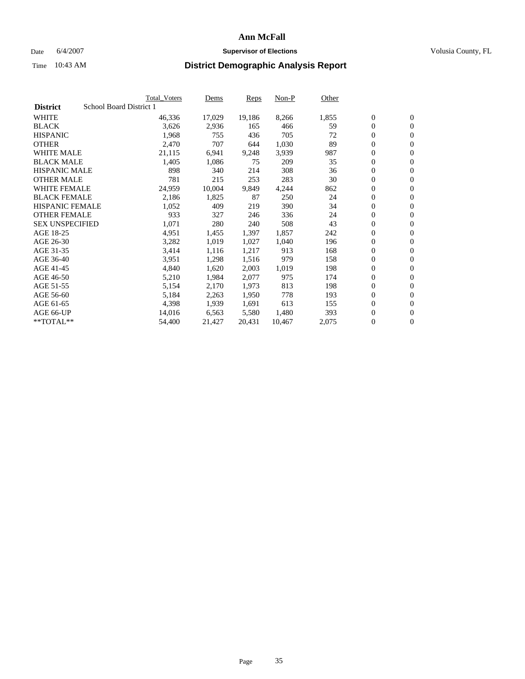#### Date 6/4/2007 **Supervisor of Elections Supervisor of Elections** Volusia County, FL

|                        | <b>Total_Voters</b>     | Dems   | <b>Reps</b> | Non-P  | Other |                  |                |  |
|------------------------|-------------------------|--------|-------------|--------|-------|------------------|----------------|--|
| <b>District</b>        | School Board District 1 |        |             |        |       |                  |                |  |
| <b>WHITE</b>           | 46,336                  | 17,029 | 19,186      | 8,266  | 1,855 | $\overline{0}$   | $\mathbf{0}$   |  |
| <b>BLACK</b>           | 3,626                   | 2,936  | 165         | 466    | 59    | $\overline{0}$   | $\mathbf{0}$   |  |
| <b>HISPANIC</b>        | 1,968                   | 755    | 436         | 705    | 72    | $\boldsymbol{0}$ | $\mathbf{0}$   |  |
| <b>OTHER</b>           | 2,470                   | 707    | 644         | 1,030  | 89    | $\boldsymbol{0}$ | $\mathbf{0}$   |  |
| <b>WHITE MALE</b>      | 21,115                  | 6,941  | 9,248       | 3,939  | 987   | 0                | $\mathbf{0}$   |  |
| <b>BLACK MALE</b>      | 1,405                   | 1,086  | 75          | 209    | 35    | $\boldsymbol{0}$ | $\mathbf{0}$   |  |
| <b>HISPANIC MALE</b>   | 898                     | 340    | 214         | 308    | 36    | $\overline{0}$   | $\mathbf{0}$   |  |
| <b>OTHER MALE</b>      | 781                     | 215    | 253         | 283    | 30    | $\overline{0}$   | $\mathbf{0}$   |  |
| <b>WHITE FEMALE</b>    | 24,959                  | 10,004 | 9,849       | 4,244  | 862   | $\mathbf{0}$     | $\mathbf{0}$   |  |
| <b>BLACK FEMALE</b>    | 2,186                   | 1,825  | 87          | 250    | 24    | $\boldsymbol{0}$ | $\mathbf{0}$   |  |
| <b>HISPANIC FEMALE</b> | 1,052                   | 409    | 219         | 390    | 34    | $\boldsymbol{0}$ | $\mathbf{0}$   |  |
| <b>OTHER FEMALE</b>    | 933                     | 327    | 246         | 336    | 24    | 0                | $\mathbf{0}$   |  |
| <b>SEX UNSPECIFIED</b> | 1,071                   | 280    | 240         | 508    | 43    | $\boldsymbol{0}$ | $\mathbf{0}$   |  |
| AGE 18-25              | 4,951                   | 1,455  | 1,397       | 1,857  | 242   | $\boldsymbol{0}$ | $\mathbf{0}$   |  |
| AGE 26-30              | 3,282                   | 1,019  | 1,027       | 1,040  | 196   | $\overline{0}$   | $\mathbf{0}$   |  |
| AGE 31-35              | 3,414                   | 1,116  | 1,217       | 913    | 168   | $\overline{0}$   | $\mathbf{0}$   |  |
| AGE 36-40              | 3,951                   | 1,298  | 1,516       | 979    | 158   | $\boldsymbol{0}$ | $\mathbf{0}$   |  |
| AGE 41-45              | 4,840                   | 1,620  | 2,003       | 1,019  | 198   | $\boldsymbol{0}$ | $\mathbf{0}$   |  |
| AGE 46-50              | 5,210                   | 1,984  | 2,077       | 975    | 174   | 0                | $\mathbf{0}$   |  |
| AGE 51-55              | 5,154                   | 2,170  | 1,973       | 813    | 198   | $\boldsymbol{0}$ | $\mathbf{0}$   |  |
| AGE 56-60              | 5,184                   | 2,263  | 1,950       | 778    | 193   | $\overline{0}$   | $\mathbf{0}$   |  |
| AGE 61-65              | 4,398                   | 1,939  | 1,691       | 613    | 155   | $\mathbf{0}$     | $\mathbf{0}$   |  |
| AGE 66-UP              | 14,016                  | 6,563  | 5,580       | 1,480  | 393   | $\boldsymbol{0}$ | $\mathbf{0}$   |  |
| **TOTAL**              | 54,400                  | 21,427 | 20,431      | 10,467 | 2,075 | 0                | $\overline{0}$ |  |
|                        |                         |        |             |        |       |                  |                |  |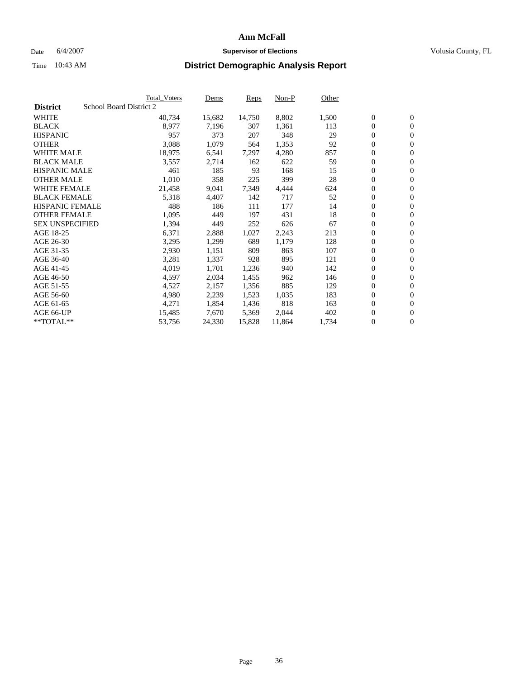#### Date 6/4/2007 **Supervisor of Elections Supervisor of Elections** Volusia County, FL

|                        | <b>Total_Voters</b>     | Dems   | <b>Reps</b> | Non-P  | Other |                  |                |  |
|------------------------|-------------------------|--------|-------------|--------|-------|------------------|----------------|--|
| <b>District</b>        | School Board District 2 |        |             |        |       |                  |                |  |
| <b>WHITE</b>           | 40,734                  | 15,682 | 14,750      | 8,802  | 1,500 | $\overline{0}$   | $\mathbf{0}$   |  |
| <b>BLACK</b>           | 8,977                   | 7,196  | 307         | 1,361  | 113   | $\overline{0}$   | $\mathbf{0}$   |  |
| <b>HISPANIC</b>        | 957                     | 373    | 207         | 348    | 29    | $\boldsymbol{0}$ | $\mathbf{0}$   |  |
| <b>OTHER</b>           | 3,088                   | 1,079  | 564         | 1,353  | 92    | $\boldsymbol{0}$ | $\mathbf{0}$   |  |
| <b>WHITE MALE</b>      | 18,975                  | 6,541  | 7,297       | 4,280  | 857   | 0                | $\mathbf{0}$   |  |
| <b>BLACK MALE</b>      | 3,557                   | 2,714  | 162         | 622    | 59    | $\boldsymbol{0}$ | $\mathbf{0}$   |  |
| <b>HISPANIC MALE</b>   | 461                     | 185    | 93          | 168    | 15    | $\overline{0}$   | $\mathbf{0}$   |  |
| <b>OTHER MALE</b>      | 1,010                   | 358    | 225         | 399    | 28    | $\overline{0}$   | $\mathbf{0}$   |  |
| <b>WHITE FEMALE</b>    | 21,458                  | 9,041  | 7,349       | 4,444  | 624   | $\overline{0}$   | $\mathbf{0}$   |  |
| <b>BLACK FEMALE</b>    | 5,318                   | 4,407  | 142         | 717    | 52    | $\boldsymbol{0}$ | $\mathbf{0}$   |  |
| <b>HISPANIC FEMALE</b> | 488                     | 186    | 111         | 177    | 14    | $\boldsymbol{0}$ | $\mathbf{0}$   |  |
| <b>OTHER FEMALE</b>    | 1,095                   | 449    | 197         | 431    | 18    | 0                | $\mathbf{0}$   |  |
| <b>SEX UNSPECIFIED</b> | 1,394                   | 449    | 252         | 626    | 67    | $\boldsymbol{0}$ | $\mathbf{0}$   |  |
| AGE 18-25              | 6,371                   | 2,888  | 1,027       | 2,243  | 213   | $\boldsymbol{0}$ | $\mathbf{0}$   |  |
| AGE 26-30              | 3,295                   | 1,299  | 689         | 1,179  | 128   | $\overline{0}$   | $\mathbf{0}$   |  |
| AGE 31-35              | 2,930                   | 1,151  | 809         | 863    | 107   | $\overline{0}$   | $\mathbf{0}$   |  |
| AGE 36-40              | 3,281                   | 1,337  | 928         | 895    | 121   | $\boldsymbol{0}$ | $\mathbf{0}$   |  |
| AGE 41-45              | 4,019                   | 1,701  | 1,236       | 940    | 142   | $\boldsymbol{0}$ | $\mathbf{0}$   |  |
| AGE 46-50              | 4,597                   | 2,034  | 1,455       | 962    | 146   | 0                | $\mathbf{0}$   |  |
| AGE 51-55              | 4,527                   | 2,157  | 1,356       | 885    | 129   | $\boldsymbol{0}$ | $\mathbf{0}$   |  |
| AGE 56-60              | 4,980                   | 2,239  | 1,523       | 1,035  | 183   | $\overline{0}$   | $\mathbf{0}$   |  |
| AGE 61-65              | 4,271                   | 1,854  | 1,436       | 818    | 163   | $\mathbf{0}$     | $\mathbf{0}$   |  |
| AGE 66-UP              | 15,485                  | 7,670  | 5,369       | 2,044  | 402   | $\boldsymbol{0}$ | $\mathbf{0}$   |  |
| **TOTAL**              | 53,756                  | 24,330 | 15,828      | 11,864 | 1,734 | 0                | $\overline{0}$ |  |
|                        |                         |        |             |        |       |                  |                |  |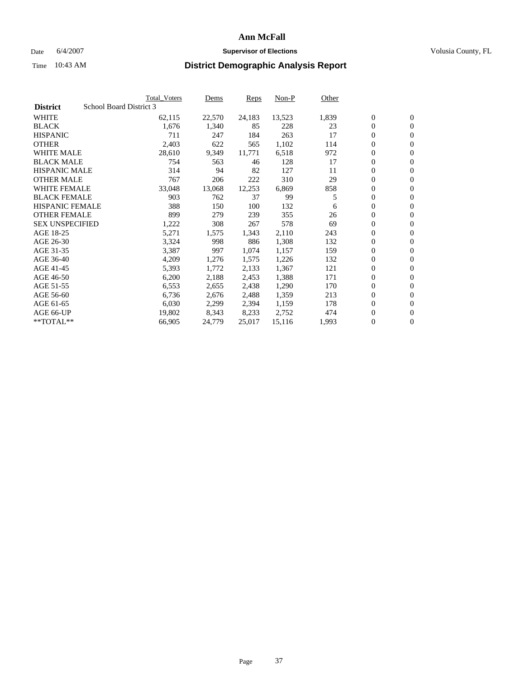#### Date 6/4/2007 **Supervisor of Elections Supervisor of Elections** Volusia County, FL

|                        |                         | Total_Voters | Dems   | <b>Reps</b> | Non-P  | Other |                  |                |  |
|------------------------|-------------------------|--------------|--------|-------------|--------|-------|------------------|----------------|--|
| <b>District</b>        | School Board District 3 |              |        |             |        |       |                  |                |  |
| <b>WHITE</b>           |                         | 62,115       | 22,570 | 24,183      | 13,523 | 1,839 | $\overline{0}$   | $\mathbf{0}$   |  |
| <b>BLACK</b>           |                         | 1,676        | 1,340  | 85          | 228    | 23    | $\overline{0}$   | $\mathbf{0}$   |  |
| <b>HISPANIC</b>        |                         | 711          | 247    | 184         | 263    | 17    | $\boldsymbol{0}$ | $\mathbf{0}$   |  |
| <b>OTHER</b>           |                         | 2,403        | 622    | 565         | 1,102  | 114   | 0                | $\mathbf{0}$   |  |
| <b>WHITE MALE</b>      |                         | 28,610       | 9,349  | 11,771      | 6,518  | 972   | 0                | $\mathbf{0}$   |  |
| <b>BLACK MALE</b>      |                         | 754          | 563    | 46          | 128    | 17    | $\boldsymbol{0}$ | $\mathbf{0}$   |  |
| <b>HISPANIC MALE</b>   |                         | 314          | 94     | 82          | 127    | 11    | $\overline{0}$   | $\mathbf{0}$   |  |
| <b>OTHER MALE</b>      |                         | 767          | 206    | 222         | 310    | 29    | $\overline{0}$   | $\mathbf{0}$   |  |
| <b>WHITE FEMALE</b>    |                         | 33,048       | 13,068 | 12,253      | 6,869  | 858   | 0                | $\mathbf{0}$   |  |
| <b>BLACK FEMALE</b>    |                         | 903          | 762    | 37          | 99     | 5     | $\overline{0}$   | $\mathbf{0}$   |  |
| <b>HISPANIC FEMALE</b> |                         | 388          | 150    | 100         | 132    | 6     | $\boldsymbol{0}$ | $\mathbf{0}$   |  |
| <b>OTHER FEMALE</b>    |                         | 899          | 279    | 239         | 355    | 26    | 0                | $\mathbf{0}$   |  |
| <b>SEX UNSPECIFIED</b> |                         | 1,222        | 308    | 267         | 578    | 69    | $\boldsymbol{0}$ | $\mathbf{0}$   |  |
| AGE 18-25              |                         | 5,271        | 1,575  | 1,343       | 2,110  | 243   | $\boldsymbol{0}$ | $\mathbf{0}$   |  |
| AGE 26-30              |                         | 3,324        | 998    | 886         | 1,308  | 132   | $\overline{0}$   | $\mathbf{0}$   |  |
| AGE 31-35              |                         | 3,387        | 997    | 1,074       | 1,157  | 159   | $\overline{0}$   | $\mathbf{0}$   |  |
| AGE 36-40              |                         | 4,209        | 1,276  | 1,575       | 1,226  | 132   | $\boldsymbol{0}$ | $\mathbf{0}$   |  |
| AGE 41-45              |                         | 5,393        | 1,772  | 2,133       | 1,367  | 121   | $\boldsymbol{0}$ | $\mathbf{0}$   |  |
| AGE 46-50              |                         | 6,200        | 2,188  | 2,453       | 1,388  | 171   | 0                | $\mathbf{0}$   |  |
| AGE 51-55              |                         | 6,553        | 2,655  | 2,438       | 1,290  | 170   | $\boldsymbol{0}$ | $\mathbf{0}$   |  |
| AGE 56-60              |                         | 6,736        | 2,676  | 2,488       | 1,359  | 213   | $\overline{0}$   | $\mathbf{0}$   |  |
| AGE 61-65              |                         | 6,030        | 2,299  | 2,394       | 1,159  | 178   | $\mathbf{0}$     | $\mathbf{0}$   |  |
| AGE 66-UP              |                         | 19,802       | 8,343  | 8,233       | 2,752  | 474   | $\boldsymbol{0}$ | $\mathbf{0}$   |  |
| **TOTAL**              |                         | 66,905       | 24,779 | 25,017      | 15,116 | 1,993 | 0                | $\overline{0}$ |  |
|                        |                         |              |        |             |        |       |                  |                |  |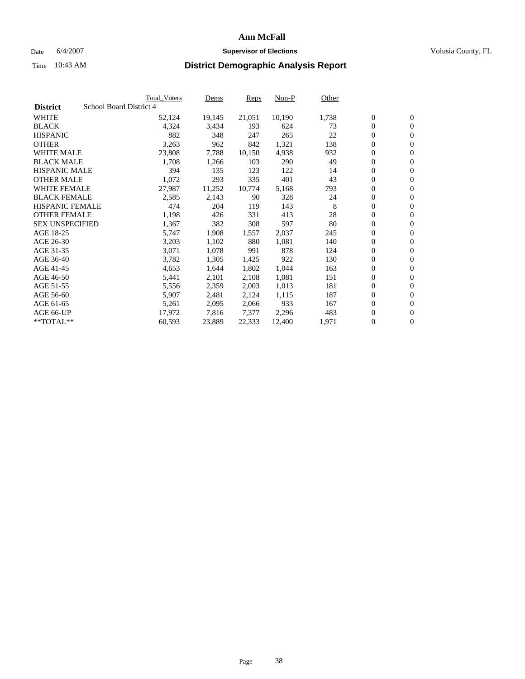#### Date 6/4/2007 **Supervisor of Elections Supervisor of Elections** Volusia County, FL

|                        | Total_Voters            | Dems   | <b>Reps</b> | Non-P  | Other |                  |                |  |
|------------------------|-------------------------|--------|-------------|--------|-------|------------------|----------------|--|
| <b>District</b>        | School Board District 4 |        |             |        |       |                  |                |  |
| <b>WHITE</b>           | 52,124                  | 19,145 | 21,051      | 10,190 | 1,738 | $\overline{0}$   | $\mathbf{0}$   |  |
| <b>BLACK</b>           | 4,324                   | 3,434  | 193         | 624    | 73    | $\overline{0}$   | $\mathbf{0}$   |  |
| <b>HISPANIC</b>        | 882                     | 348    | 247         | 265    | 22    | $\boldsymbol{0}$ | $\mathbf{0}$   |  |
| <b>OTHER</b>           | 3,263                   | 962    | 842         | 1,321  | 138   | $\boldsymbol{0}$ | $\mathbf{0}$   |  |
| <b>WHITE MALE</b>      | 23,808                  | 7,788  | 10,150      | 4,938  | 932   | 0                | $\mathbf{0}$   |  |
| <b>BLACK MALE</b>      | 1,708                   | 1,266  | 103         | 290    | 49    | $\boldsymbol{0}$ | $\mathbf{0}$   |  |
| <b>HISPANIC MALE</b>   | 394                     | 135    | 123         | 122    | 14    | $\overline{0}$   | $\mathbf{0}$   |  |
| <b>OTHER MALE</b>      | 1,072                   | 293    | 335         | 401    | 43    | $\overline{0}$   | $\mathbf{0}$   |  |
| <b>WHITE FEMALE</b>    | 27,987                  | 11,252 | 10,774      | 5,168  | 793   | $\overline{0}$   | $\mathbf{0}$   |  |
| <b>BLACK FEMALE</b>    | 2,585                   | 2,143  | 90          | 328    | 24    | $\boldsymbol{0}$ | $\mathbf{0}$   |  |
| <b>HISPANIC FEMALE</b> | 474                     | 204    | 119         | 143    | 8     | $\boldsymbol{0}$ | $\mathbf{0}$   |  |
| <b>OTHER FEMALE</b>    | 1,198                   | 426    | 331         | 413    | 28    | 0                | $\mathbf{0}$   |  |
| <b>SEX UNSPECIFIED</b> | 1,367                   | 382    | 308         | 597    | 80    | $\boldsymbol{0}$ | $\mathbf{0}$   |  |
| AGE 18-25              | 5,747                   | 1,908  | 1,557       | 2,037  | 245   | $\boldsymbol{0}$ | $\mathbf{0}$   |  |
| AGE 26-30              | 3,203                   | 1,102  | 880         | 1,081  | 140   | $\overline{0}$   | $\mathbf{0}$   |  |
| AGE 31-35              | 3,071                   | 1,078  | 991         | 878    | 124   | $\overline{0}$   | $\mathbf{0}$   |  |
| AGE 36-40              | 3,782                   | 1,305  | 1,425       | 922    | 130   | $\boldsymbol{0}$ | $\mathbf{0}$   |  |
| AGE 41-45              | 4,653                   | 1,644  | 1,802       | 1,044  | 163   | $\boldsymbol{0}$ | $\mathbf{0}$   |  |
| AGE 46-50              | 5,441                   | 2,101  | 2,108       | 1,081  | 151   | 0                | $\mathbf{0}$   |  |
| AGE 51-55              | 5,556                   | 2,359  | 2,003       | 1,013  | 181   | $\boldsymbol{0}$ | $\mathbf{0}$   |  |
| AGE 56-60              | 5,907                   | 2,481  | 2,124       | 1,115  | 187   | $\overline{0}$   | $\mathbf{0}$   |  |
| AGE 61-65              | 5,261                   | 2,095  | 2,066       | 933    | 167   | $\mathbf{0}$     | $\mathbf{0}$   |  |
| AGE 66-UP              | 17,972                  | 7,816  | 7,377       | 2,296  | 483   | $\boldsymbol{0}$ | $\mathbf{0}$   |  |
| **TOTAL**              | 60,593                  | 23,889 | 22,333      | 12,400 | 1,971 | 0                | $\overline{0}$ |  |
|                        |                         |        |             |        |       |                  |                |  |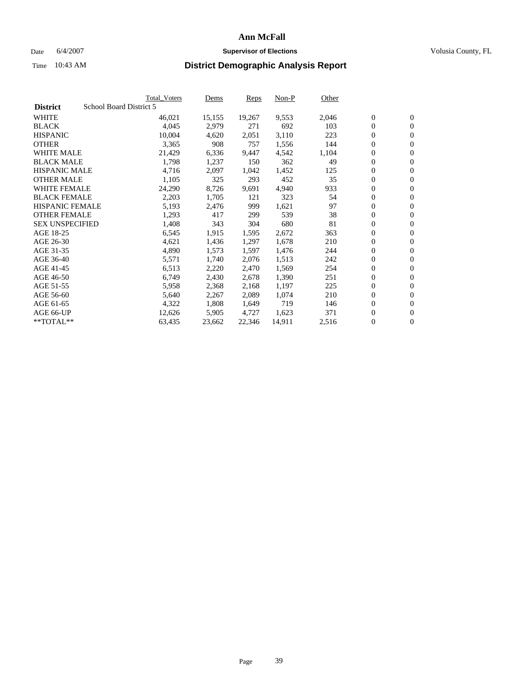#### Date 6/4/2007 **Supervisor of Elections Supervisor of Elections** Volusia County, FL

|                        |                         | Total_Voters | Dems   | <b>Reps</b> | Non-P  | Other |                  |                |  |
|------------------------|-------------------------|--------------|--------|-------------|--------|-------|------------------|----------------|--|
| <b>District</b>        | School Board District 5 |              |        |             |        |       |                  |                |  |
| <b>WHITE</b>           |                         | 46,021       | 15,155 | 19,267      | 9,553  | 2,046 | $\overline{0}$   | $\mathbf{0}$   |  |
| <b>BLACK</b>           |                         | 4,045        | 2,979  | 271         | 692    | 103   | $\overline{0}$   | $\mathbf{0}$   |  |
| <b>HISPANIC</b>        |                         | 10,004       | 4,620  | 2,051       | 3,110  | 223   | $\boldsymbol{0}$ | $\mathbf{0}$   |  |
| <b>OTHER</b>           |                         | 3,365        | 908    | 757         | 1,556  | 144   | 0                | $\mathbf{0}$   |  |
| <b>WHITE MALE</b>      |                         | 21,429       | 6,336  | 9,447       | 4,542  | 1,104 | 0                | $\mathbf{0}$   |  |
| <b>BLACK MALE</b>      |                         | 1,798        | 1,237  | 150         | 362    | 49    | $\boldsymbol{0}$ | $\mathbf{0}$   |  |
| <b>HISPANIC MALE</b>   |                         | 4,716        | 2,097  | 1,042       | 1,452  | 125   | $\overline{0}$   | $\mathbf{0}$   |  |
| <b>OTHER MALE</b>      |                         | 1,105        | 325    | 293         | 452    | 35    | $\overline{0}$   | $\mathbf{0}$   |  |
| <b>WHITE FEMALE</b>    |                         | 24,290       | 8,726  | 9,691       | 4,940  | 933   | $\overline{0}$   | $\mathbf{0}$   |  |
| <b>BLACK FEMALE</b>    |                         | 2,203        | 1,705  | 121         | 323    | 54    | $\boldsymbol{0}$ | $\mathbf{0}$   |  |
| <b>HISPANIC FEMALE</b> |                         | 5,193        | 2,476  | 999         | 1,621  | 97    | $\boldsymbol{0}$ | $\mathbf{0}$   |  |
| <b>OTHER FEMALE</b>    |                         | 1,293        | 417    | 299         | 539    | 38    | 0                | $\mathbf{0}$   |  |
| <b>SEX UNSPECIFIED</b> |                         | 1,408        | 343    | 304         | 680    | 81    | $\boldsymbol{0}$ | $\mathbf{0}$   |  |
| AGE 18-25              |                         | 6,545        | 1,915  | 1,595       | 2,672  | 363   | $\boldsymbol{0}$ | $\mathbf{0}$   |  |
| AGE 26-30              |                         | 4,621        | 1,436  | 1,297       | 1,678  | 210   | $\overline{0}$   | $\mathbf{0}$   |  |
| AGE 31-35              |                         | 4,890        | 1,573  | 1,597       | 1,476  | 244   | $\overline{0}$   | $\mathbf{0}$   |  |
| AGE 36-40              |                         | 5,571        | 1,740  | 2,076       | 1,513  | 242   | $\boldsymbol{0}$ | $\mathbf{0}$   |  |
| AGE 41-45              |                         | 6,513        | 2,220  | 2,470       | 1,569  | 254   | $\boldsymbol{0}$ | $\mathbf{0}$   |  |
| AGE 46-50              |                         | 6,749        | 2,430  | 2,678       | 1,390  | 251   | 0                | $\mathbf{0}$   |  |
| AGE 51-55              |                         | 5,958        | 2,368  | 2,168       | 1,197  | 225   | $\boldsymbol{0}$ | $\mathbf{0}$   |  |
| AGE 56-60              |                         | 5,640        | 2,267  | 2,089       | 1,074  | 210   | $\overline{0}$   | $\mathbf{0}$   |  |
| AGE 61-65              |                         | 4,322        | 1,808  | 1,649       | 719    | 146   | $\mathbf{0}$     | $\mathbf{0}$   |  |
| AGE 66-UP              |                         | 12,626       | 5,905  | 4,727       | 1,623  | 371   | $\boldsymbol{0}$ | $\mathbf{0}$   |  |
| **TOTAL**              |                         | 63,435       | 23,662 | 22,346      | 14,911 | 2,516 | 0                | $\overline{0}$ |  |
|                        |                         |              |        |             |        |       |                  |                |  |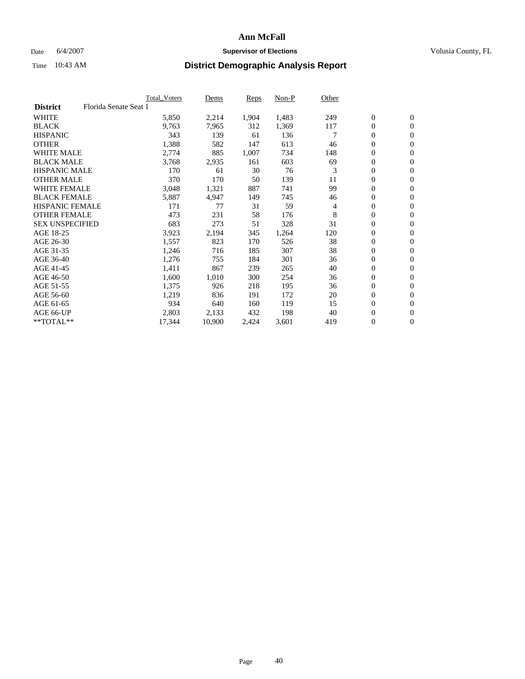### Date 6/4/2007 **Supervisor of Elections Supervisor of Elections** Volusia County, FL

|                        | <b>Total Voters</b>   | Dems   | Reps  | Non-P | Other |                  |                |  |
|------------------------|-----------------------|--------|-------|-------|-------|------------------|----------------|--|
| <b>District</b>        | Florida Senate Seat 1 |        |       |       |       |                  |                |  |
| <b>WHITE</b>           | 5,850                 | 2,214  | 1,904 | 1,483 | 249   | $\mathbf{0}$     | $\mathbf{0}$   |  |
| <b>BLACK</b>           | 9,763                 | 7,965  | 312   | 1,369 | 117   | $\mathbf{0}$     | $\mathbf{0}$   |  |
| <b>HISPANIC</b>        | 343                   | 139    | 61    | 136   |       | $\mathbf{0}$     | $\overline{0}$ |  |
| <b>OTHER</b>           | 1,388                 | 582    | 147   | 613   | 46    | 0                | $\mathbf{0}$   |  |
| <b>WHITE MALE</b>      | 2,774                 | 885    | 1,007 | 734   | 148   | 0                | $\mathbf{0}$   |  |
| <b>BLACK MALE</b>      | 3,768                 | 2,935  | 161   | 603   | 69    | 0                | $\mathbf{0}$   |  |
| <b>HISPANIC MALE</b>   | 170                   | 61     | 30    | 76    | 3     | 0                | $\mathbf{0}$   |  |
| <b>OTHER MALE</b>      | 370                   | 170    | 50    | 139   | 11    | $\mathbf{0}$     | $\mathbf{0}$   |  |
| <b>WHITE FEMALE</b>    | 3,048                 | 1,321  | 887   | 741   | 99    | 0                | $\mathbf{0}$   |  |
| <b>BLACK FEMALE</b>    | 5,887                 | 4,947  | 149   | 745   | 46    | $\mathbf{0}$     | $\mathbf{0}$   |  |
| <b>HISPANIC FEMALE</b> | 171                   | 77     | 31    | 59    | 4     | 0                | $\mathbf{0}$   |  |
| <b>OTHER FEMALE</b>    | 473                   | 231    | 58    | 176   | 8     | 0                | $\mathbf{0}$   |  |
| <b>SEX UNSPECIFIED</b> | 683                   | 273    | 51    | 328   | 31    | 0                | $\mathbf{0}$   |  |
| AGE 18-25              | 3,923                 | 2,194  | 345   | 1,264 | 120   | 0                | $\mathbf{0}$   |  |
| AGE 26-30              | 1,557                 | 823    | 170   | 526   | 38    | $\mathbf{0}$     | $\mathbf{0}$   |  |
| AGE 31-35              | 1,246                 | 716    | 185   | 307   | 38    | 0                | $\mathbf{0}$   |  |
| AGE 36-40              | 1,276                 | 755    | 184   | 301   | 36    | 0                | $\mathbf{0}$   |  |
| AGE 41-45              | 1,411                 | 867    | 239   | 265   | 40    | 0                | $\mathbf{0}$   |  |
| AGE 46-50              | 1,600                 | 1,010  | 300   | 254   | 36    | 0                | $\mathbf{0}$   |  |
| AGE 51-55              | 1,375                 | 926    | 218   | 195   | 36    | $\boldsymbol{0}$ | $\mathbf{0}$   |  |
| AGE 56-60              | 1,219                 | 836    | 191   | 172   | 20    | 0                | $\mathbf{0}$   |  |
| AGE 61-65              | 934                   | 640    | 160   | 119   | 15    | $\mathbf{0}$     | $\mathbf{0}$   |  |
| AGE 66-UP              | 2,803                 | 2,133  | 432   | 198   | 40    | 0                | $\mathbf{0}$   |  |
| **TOTAL**              | 17,344                | 10,900 | 2,424 | 3,601 | 419   | 0                | $\overline{0}$ |  |
|                        |                       |        |       |       |       |                  |                |  |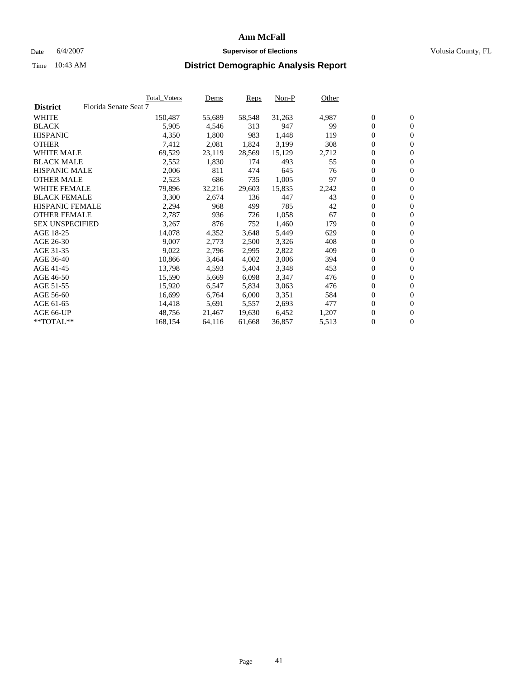#### Date 6/4/2007 **Supervisor of Elections Supervisor of Elections** Volusia County, FL

|                        |                       | Total_Voters | Dems   | <b>Reps</b> | Non-P  | Other |                  |                  |  |
|------------------------|-----------------------|--------------|--------|-------------|--------|-------|------------------|------------------|--|
| <b>District</b>        | Florida Senate Seat 7 |              |        |             |        |       |                  |                  |  |
| <b>WHITE</b>           |                       | 150,487      | 55,689 | 58,548      | 31,263 | 4,987 | $\boldsymbol{0}$ | $\mathbf{0}$     |  |
| <b>BLACK</b>           |                       | 5,905        | 4,546  | 313         | 947    | 99    | $\overline{0}$   | $\mathbf{0}$     |  |
| <b>HISPANIC</b>        |                       | 4,350        | 1,800  | 983         | 1,448  | 119   | $\boldsymbol{0}$ | $\boldsymbol{0}$ |  |
| <b>OTHER</b>           |                       | 7,412        | 2,081  | 1,824       | 3,199  | 308   | $\boldsymbol{0}$ | $\mathbf{0}$     |  |
| <b>WHITE MALE</b>      |                       | 69,529       | 23,119 | 28,569      | 15,129 | 2,712 | 0                | $\mathbf{0}$     |  |
| <b>BLACK MALE</b>      |                       | 2,552        | 1,830  | 174         | 493    | 55    | $\boldsymbol{0}$ | $\mathbf{0}$     |  |
| <b>HISPANIC MALE</b>   |                       | 2,006        | 811    | 474         | 645    | 76    | $\overline{0}$   | $\mathbf{0}$     |  |
| <b>OTHER MALE</b>      |                       | 2,523        | 686    | 735         | 1,005  | 97    | $\overline{0}$   | $\mathbf{0}$     |  |
| <b>WHITE FEMALE</b>    |                       | 79,896       | 32,216 | 29,603      | 15,835 | 2,242 | $\overline{0}$   | $\mathbf{0}$     |  |
| <b>BLACK FEMALE</b>    |                       | 3,300        | 2,674  | 136         | 447    | 43    | $\boldsymbol{0}$ | $\mathbf{0}$     |  |
| <b>HISPANIC FEMALE</b> |                       | 2,294        | 968    | 499         | 785    | 42    | $\boldsymbol{0}$ | $\mathbf{0}$     |  |
| <b>OTHER FEMALE</b>    |                       | 2,787        | 936    | 726         | 1,058  | 67    | 0                | $\mathbf{0}$     |  |
| <b>SEX UNSPECIFIED</b> |                       | 3,267        | 876    | 752         | 1,460  | 179   | $\boldsymbol{0}$ | $\mathbf{0}$     |  |
| AGE 18-25              |                       | 14,078       | 4,352  | 3,648       | 5,449  | 629   | $\boldsymbol{0}$ | $\mathbf{0}$     |  |
| AGE 26-30              |                       | 9,007        | 2,773  | 2,500       | 3,326  | 408   | $\overline{0}$   | $\mathbf{0}$     |  |
| AGE 31-35              |                       | 9,022        | 2,796  | 2,995       | 2,822  | 409   | $\overline{0}$   | $\mathbf{0}$     |  |
| AGE 36-40              |                       | 10,866       | 3,464  | 4,002       | 3,006  | 394   | $\boldsymbol{0}$ | $\mathbf{0}$     |  |
| AGE 41-45              |                       | 13,798       | 4,593  | 5,404       | 3,348  | 453   | $\boldsymbol{0}$ | $\mathbf{0}$     |  |
| AGE 46-50              |                       | 15,590       | 5,669  | 6,098       | 3,347  | 476   | 0                | $\mathbf{0}$     |  |
| AGE 51-55              |                       | 15,920       | 6,547  | 5,834       | 3,063  | 476   | $\boldsymbol{0}$ | $\mathbf{0}$     |  |
| AGE 56-60              |                       | 16,699       | 6,764  | 6,000       | 3,351  | 584   | $\overline{0}$   | $\mathbf{0}$     |  |
| AGE 61-65              |                       | 14,418       | 5,691  | 5,557       | 2,693  | 477   | $\mathbf{0}$     | $\boldsymbol{0}$ |  |
| AGE 66-UP              |                       | 48,756       | 21,467 | 19.630      | 6,452  | 1,207 | $\boldsymbol{0}$ | $\mathbf{0}$     |  |
| **TOTAL**              |                       | 168,154      | 64,116 | 61,668      | 36,857 | 5,513 | 0                | $\overline{0}$   |  |
|                        |                       |              |        |             |        |       |                  |                  |  |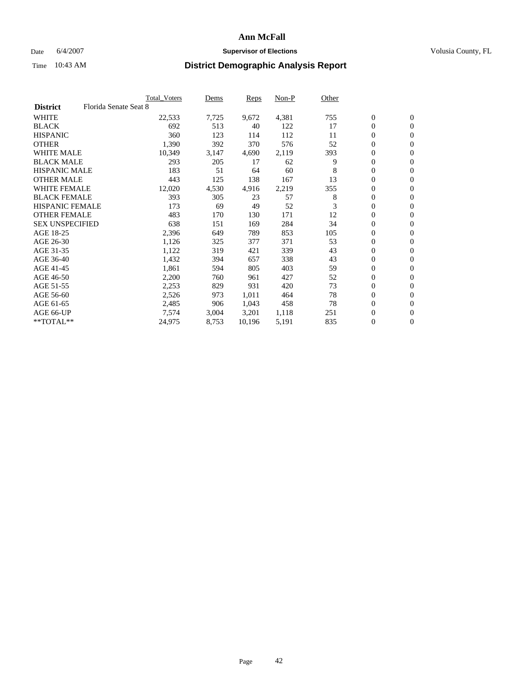### Date 6/4/2007 **Supervisor of Elections Supervisor of Elections** Volusia County, FL

|                        |                       | <b>Total Voters</b> | Dems  | Reps   | Non-P | Other |                  |                |  |
|------------------------|-----------------------|---------------------|-------|--------|-------|-------|------------------|----------------|--|
| <b>District</b>        | Florida Senate Seat 8 |                     |       |        |       |       |                  |                |  |
| <b>WHITE</b>           |                       | 22,533              | 7,725 | 9,672  | 4,381 | 755   | $\mathbf{0}$     | $\mathbf{0}$   |  |
| <b>BLACK</b>           |                       | 692                 | 513   | 40     | 122   | 17    | $\mathbf{0}$     | $\mathbf{0}$   |  |
| <b>HISPANIC</b>        |                       | 360                 | 123   | 114    | 112   | 11    | 0                | $\overline{0}$ |  |
| <b>OTHER</b>           |                       | 1,390               | 392   | 370    | 576   | 52    | 0                | $\mathbf{0}$   |  |
| <b>WHITE MALE</b>      |                       | 10,349              | 3,147 | 4,690  | 2,119 | 393   | 0                | $\mathbf{0}$   |  |
| <b>BLACK MALE</b>      |                       | 293                 | 205   | 17     | 62    | 9     | 0                | $\mathbf{0}$   |  |
| <b>HISPANIC MALE</b>   |                       | 183                 | 51    | 64     | 60    | 8     | 0                | $\mathbf{0}$   |  |
| <b>OTHER MALE</b>      |                       | 443                 | 125   | 138    | 167   | 13    | $\mathbf{0}$     | $\mathbf{0}$   |  |
| <b>WHITE FEMALE</b>    |                       | 12,020              | 4,530 | 4,916  | 2,219 | 355   | 0                | $\mathbf{0}$   |  |
| <b>BLACK FEMALE</b>    |                       | 393                 | 305   | 23     | 57    | 8     | $\boldsymbol{0}$ | $\mathbf{0}$   |  |
| <b>HISPANIC FEMALE</b> |                       | 173                 | 69    | 49     | 52    | 3     | 0                | $\mathbf{0}$   |  |
| <b>OTHER FEMALE</b>    |                       | 483                 | 170   | 130    | 171   | 12    | 0                | $\mathbf{0}$   |  |
| <b>SEX UNSPECIFIED</b> |                       | 638                 | 151   | 169    | 284   | 34    | 0                | $\mathbf{0}$   |  |
| AGE 18-25              |                       | 2,396               | 649   | 789    | 853   | 105   | 0                | $\mathbf{0}$   |  |
| AGE 26-30              |                       | 1,126               | 325   | 377    | 371   | 53    | $\mathbf{0}$     | $\mathbf{0}$   |  |
| AGE 31-35              |                       | 1,122               | 319   | 421    | 339   | 43    | 0                | $\mathbf{0}$   |  |
| AGE 36-40              |                       | 1,432               | 394   | 657    | 338   | 43    | 0                | $\mathbf{0}$   |  |
| AGE 41-45              |                       | 1,861               | 594   | 805    | 403   | 59    | 0                | $\mathbf{0}$   |  |
| AGE 46-50              |                       | 2,200               | 760   | 961    | 427   | 52    | 0                | $\mathbf{0}$   |  |
| AGE 51-55              |                       | 2,253               | 829   | 931    | 420   | 73    | $\boldsymbol{0}$ | $\mathbf{0}$   |  |
| AGE 56-60              |                       | 2,526               | 973   | 1,011  | 464   | 78    | 0                | $\mathbf{0}$   |  |
| AGE 61-65              |                       | 2,485               | 906   | 1,043  | 458   | 78    | $\mathbf{0}$     | $\mathbf{0}$   |  |
| AGE 66-UP              |                       | 7,574               | 3,004 | 3,201  | 1,118 | 251   | 0                | $\mathbf{0}$   |  |
| **TOTAL**              |                       | 24,975              | 8,753 | 10,196 | 5,191 | 835   | 0                | $\mathbf{0}$   |  |
|                        |                       |                     |       |        |       |       |                  |                |  |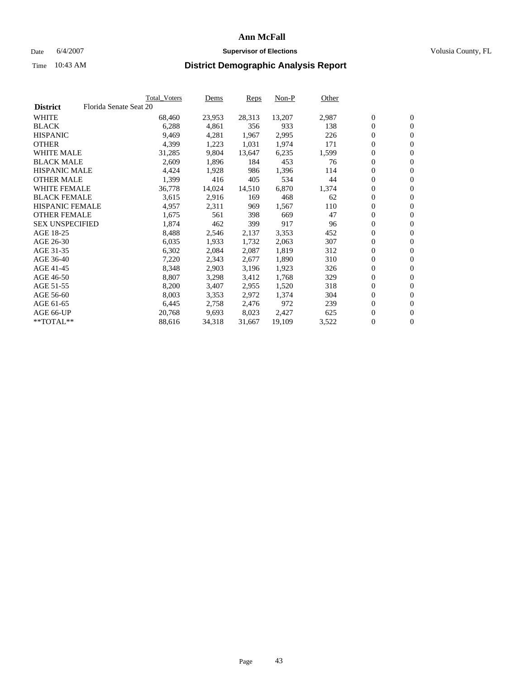#### Date 6/4/2007 **Supervisor of Elections Supervisor of Elections** Volusia County, FL

|                        | Total_Voters           | Dems   | <b>Reps</b> | Non-P  | Other |                  |                  |  |
|------------------------|------------------------|--------|-------------|--------|-------|------------------|------------------|--|
| <b>District</b>        | Florida Senate Seat 20 |        |             |        |       |                  |                  |  |
| <b>WHITE</b>           | 68,460                 | 23,953 | 28,313      | 13,207 | 2,987 | $\boldsymbol{0}$ | $\mathbf{0}$     |  |
| <b>BLACK</b>           | 6,288                  | 4,861  | 356         | 933    | 138   | $\boldsymbol{0}$ | $\mathbf{0}$     |  |
| <b>HISPANIC</b>        | 9,469                  | 4,281  | 1,967       | 2,995  | 226   | $\boldsymbol{0}$ | $\mathbf{0}$     |  |
| <b>OTHER</b>           | 4,399                  | 1,223  | 1,031       | 1,974  | 171   | $\boldsymbol{0}$ | $\mathbf{0}$     |  |
| <b>WHITE MALE</b>      | 31,285                 | 9,804  | 13,647      | 6,235  | 1,599 | 0                | $\mathbf{0}$     |  |
| <b>BLACK MALE</b>      | 2,609                  | 1,896  | 184         | 453    | 76    | $\boldsymbol{0}$ | $\mathbf{0}$     |  |
| <b>HISPANIC MALE</b>   | 4,424                  | 1,928  | 986         | 1,396  | 114   | 0                | $\mathbf{0}$     |  |
| <b>OTHER MALE</b>      | 1,399                  | 416    | 405         | 534    | 44    | $\overline{0}$   | $\mathbf{0}$     |  |
| <b>WHITE FEMALE</b>    | 36,778                 | 14,024 | 14,510      | 6,870  | 1,374 | $\overline{0}$   | $\mathbf{0}$     |  |
| <b>BLACK FEMALE</b>    | 3,615                  | 2,916  | 169         | 468    | 62    | $\boldsymbol{0}$ | $\mathbf{0}$     |  |
| <b>HISPANIC FEMALE</b> | 4,957                  | 2,311  | 969         | 1,567  | 110   | $\boldsymbol{0}$ | $\mathbf{0}$     |  |
| <b>OTHER FEMALE</b>    | 1,675                  | 561    | 398         | 669    | 47    | 0                | $\mathbf{0}$     |  |
| <b>SEX UNSPECIFIED</b> | 1,874                  | 462    | 399         | 917    | 96    | $\boldsymbol{0}$ | $\mathbf{0}$     |  |
| AGE 18-25              | 8,488                  | 2,546  | 2,137       | 3,353  | 452   | $\boldsymbol{0}$ | $\mathbf{0}$     |  |
| AGE 26-30              | 6,035                  | 1,933  | 1,732       | 2,063  | 307   | $\overline{0}$   | $\mathbf{0}$     |  |
| AGE 31-35              | 6,302                  | 2,084  | 2,087       | 1,819  | 312   | $\boldsymbol{0}$ | $\mathbf{0}$     |  |
| AGE 36-40              | 7,220                  | 2,343  | 2,677       | 1,890  | 310   | $\boldsymbol{0}$ | $\mathbf{0}$     |  |
| AGE 41-45              | 8,348                  | 2,903  | 3,196       | 1,923  | 326   | $\boldsymbol{0}$ | $\mathbf{0}$     |  |
| AGE 46-50              | 8,807                  | 3,298  | 3,412       | 1,768  | 329   | 0                | $\mathbf{0}$     |  |
| AGE 51-55              | 8,200                  | 3,407  | 2,955       | 1,520  | 318   | $\boldsymbol{0}$ | $\mathbf{0}$     |  |
| AGE 56-60              | 8,003                  | 3,353  | 2,972       | 1,374  | 304   | $\overline{0}$   | $\mathbf{0}$     |  |
| AGE 61-65              | 6,445                  | 2,758  | 2,476       | 972    | 239   | $\mathbf{0}$     | $\boldsymbol{0}$ |  |
| AGE 66-UP              | 20,768                 | 9,693  | 8,023       | 2,427  | 625   | $\boldsymbol{0}$ | $\mathbf{0}$     |  |
| **TOTAL**              | 88,616                 | 34,318 | 31,667      | 19,109 | 3,522 | 0                | $\overline{0}$   |  |
|                        |                        |        |             |        |       |                  |                  |  |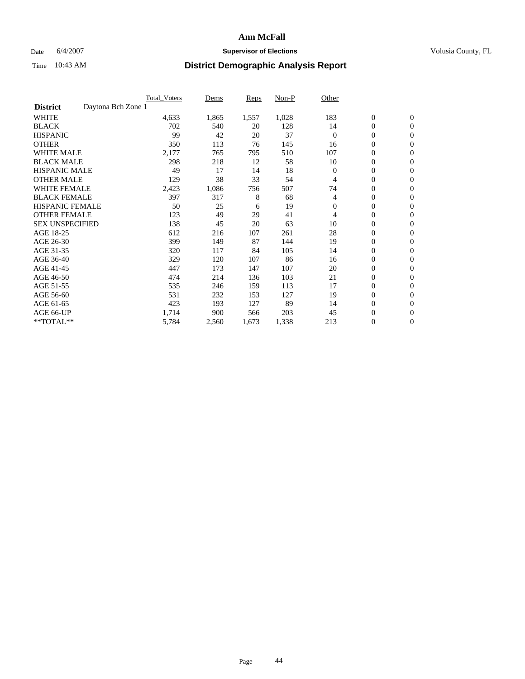### Date 6/4/2007 **Supervisor of Elections Supervisor of Elections** Volusia County, FL

|                                       | Total_Voters | Dems  | Reps  | Non-P | Other    |                  |                  |  |
|---------------------------------------|--------------|-------|-------|-------|----------|------------------|------------------|--|
| Daytona Bch Zone 1<br><b>District</b> |              |       |       |       |          |                  |                  |  |
| <b>WHITE</b>                          | 4,633        | 1,865 | 1,557 | 1,028 | 183      | $\boldsymbol{0}$ | $\mathbf{0}$     |  |
| <b>BLACK</b>                          | 702          | 540   | 20    | 128   | 14       | $\overline{0}$   | $\mathbf{0}$     |  |
| <b>HISPANIC</b>                       | 99           | 42    | 20    | 37    | $\Omega$ | $\overline{0}$   | $\mathbf{0}$     |  |
| <b>OTHER</b>                          | 350          | 113   | 76    | 145   | 16       | 0                | $\mathbf{0}$     |  |
| <b>WHITE MALE</b>                     | 2,177        | 765   | 795   | 510   | 107      | $\overline{0}$   | $\mathbf{0}$     |  |
| <b>BLACK MALE</b>                     | 298          | 218   | 12    | 58    | 10       | 0                | $\mathbf{0}$     |  |
| <b>HISPANIC MALE</b>                  | 49           | 17    | 14    | 18    | $\Omega$ | 0                | $\mathbf{0}$     |  |
| <b>OTHER MALE</b>                     | 129          | 38    | 33    | 54    | 4        | 0                | $\mathbf{0}$     |  |
| <b>WHITE FEMALE</b>                   | 2,423        | 1,086 | 756   | 507   | 74       | 0                | $\Omega$         |  |
| <b>BLACK FEMALE</b>                   | 397          | 317   | 8     | 68    | 4        | $\overline{0}$   | $\mathbf{0}$     |  |
| <b>HISPANIC FEMALE</b>                | 50           | 25    | 6     | 19    | $\Omega$ | 0                | $\mathbf{0}$     |  |
| <b>OTHER FEMALE</b>                   | 123          | 49    | 29    | 41    | 4        | $\overline{0}$   | $\mathbf{0}$     |  |
| <b>SEX UNSPECIFIED</b>                | 138          | 45    | 20    | 63    | 10       | $\boldsymbol{0}$ | $\mathbf{0}$     |  |
| AGE 18-25                             | 612          | 216   | 107   | 261   | 28       | 0                | $\mathbf{0}$     |  |
| AGE 26-30                             | 399          | 149   | 87    | 144   | 19       | 0                | $\mathbf{0}$     |  |
| AGE 31-35                             | 320          | 117   | 84    | 105   | 14       | 0                | $\mathbf{0}$     |  |
| AGE 36-40                             | 329          | 120   | 107   | 86    | 16       | $\boldsymbol{0}$ | $\mathbf{0}$     |  |
| AGE 41-45                             | 447          | 173   | 147   | 107   | 20       | $\mathbf{0}$     | $\mathbf{0}$     |  |
| AGE 46-50                             | 474          | 214   | 136   | 103   | 21       | $\overline{0}$   | $\mathbf{0}$     |  |
| AGE 51-55                             | 535          | 246   | 159   | 113   | 17       | 0                | $\mathbf{0}$     |  |
| AGE 56-60                             | 531          | 232   | 153   | 127   | 19       | $\boldsymbol{0}$ | $\mathbf{0}$     |  |
| AGE 61-65                             | 423          | 193   | 127   | 89    | 14       | 0                | $\mathbf{0}$     |  |
| AGE 66-UP                             | 1,714        | 900   | 566   | 203   | 45       | 0                | 0                |  |
| $*$ TOTAL $**$                        | 5,784        | 2,560 | 1,673 | 1,338 | 213      | 0                | $\boldsymbol{0}$ |  |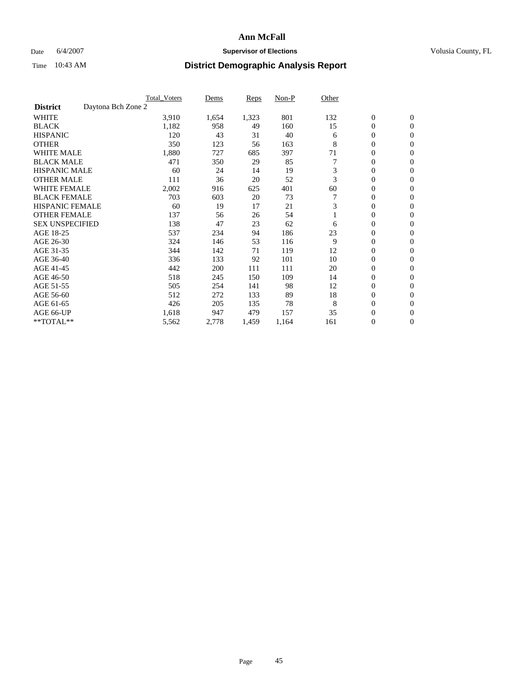### Date 6/4/2007 **Supervisor of Elections Supervisor of Elections** Volusia County, FL

|                                       | <b>Total Voters</b> | Dems  | <b>Reps</b> | Non-P | Other |                  |                  |  |
|---------------------------------------|---------------------|-------|-------------|-------|-------|------------------|------------------|--|
| Daytona Bch Zone 2<br><b>District</b> |                     |       |             |       |       |                  |                  |  |
| <b>WHITE</b>                          | 3,910               | 1,654 | 1,323       | 801   | 132   | $\boldsymbol{0}$ | $\boldsymbol{0}$ |  |
| <b>BLACK</b>                          | 1,182               | 958   | 49          | 160   | 15    | $\mathbf{0}$     | $\mathbf{0}$     |  |
| <b>HISPANIC</b>                       | 120                 | 43    | 31          | 40    | 6     | $\mathbf{0}$     | $\mathbf{0}$     |  |
| <b>OTHER</b>                          | 350                 | 123   | 56          | 163   | 8     | 0                | $\overline{0}$   |  |
| <b>WHITE MALE</b>                     | 1,880               | 727   | 685         | 397   | 71    | 0                | $\mathbf{0}$     |  |
| <b>BLACK MALE</b>                     | 471                 | 350   | 29          | 85    |       | 0                | 0                |  |
| <b>HISPANIC MALE</b>                  | 60                  | 24    | 14          | 19    | 3     | 0                | $\mathbf{0}$     |  |
| <b>OTHER MALE</b>                     | 111                 | 36    | 20          | 52    | 3     | 0                | $\mathbf{0}$     |  |
| <b>WHITE FEMALE</b>                   | 2,002               | 916   | 625         | 401   | 60    | 0                | $\mathbf{0}$     |  |
| <b>BLACK FEMALE</b>                   | 703                 | 603   | 20          | 73    |       | $\mathbf{0}$     | $\mathbf{0}$     |  |
| <b>HISPANIC FEMALE</b>                | 60                  | 19    | 17          | 21    | 3     | 0                | $\mathbf{0}$     |  |
| <b>OTHER FEMALE</b>                   | 137                 | 56    | 26          | 54    |       | 0                | $\mathbf{0}$     |  |
| <b>SEX UNSPECIFIED</b>                | 138                 | 47    | 23          | 62    | 6     | 0                | $\mathbf{0}$     |  |
| AGE 18-25                             | 537                 | 234   | 94          | 186   | 23    | 0                | $\mathbf{0}$     |  |
| AGE 26-30                             | 324                 | 146   | 53          | 116   | 9     | 0                | $\mathbf{0}$     |  |
| AGE 31-35                             | 344                 | 142   | 71          | 119   | 12    | 0                | $\mathbf{0}$     |  |
| AGE 36-40                             | 336                 | 133   | 92          | 101   | 10    | $\boldsymbol{0}$ | $\mathbf{0}$     |  |
| AGE 41-45                             | 442                 | 200   | 111         | 111   | 20    | 0                | $\mathbf{0}$     |  |
| AGE 46-50                             | 518                 | 245   | 150         | 109   | 14    | 0                | $\mathbf{0}$     |  |
| AGE 51-55                             | 505                 | 254   | 141         | 98    | 12    | 0                | $\mathbf{0}$     |  |
| AGE 56-60                             | 512                 | 272   | 133         | 89    | 18    | 0                | $\mathbf{0}$     |  |
| AGE 61-65                             | 426                 | 205   | 135         | 78    | 8     | 0                | $\mathbf{0}$     |  |
| AGE 66-UP                             | 1,618               | 947   | 479         | 157   | 35    | 0                | 0                |  |
| **TOTAL**                             | 5,562               | 2,778 | 1,459       | 1,164 | 161   | 0                | $\boldsymbol{0}$ |  |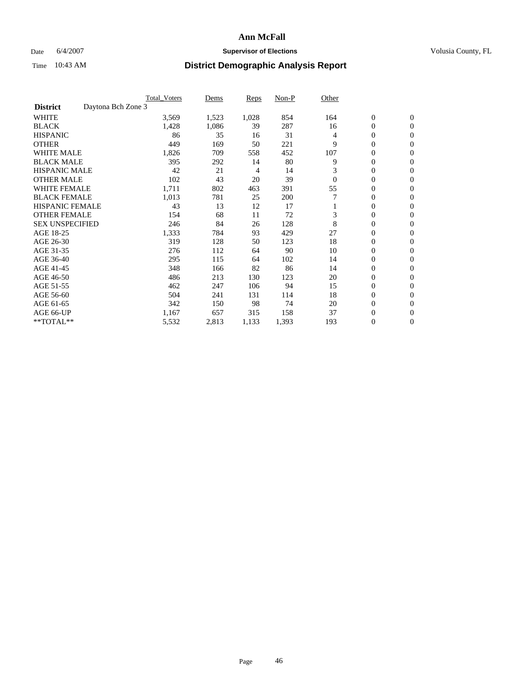### Date 6/4/2007 **Supervisor of Elections Supervisor of Elections** Volusia County, FL

|                                       | <b>Total Voters</b> | Dems  | <b>Reps</b> | Non-P | Other    |                  |                  |  |
|---------------------------------------|---------------------|-------|-------------|-------|----------|------------------|------------------|--|
| Daytona Bch Zone 3<br><b>District</b> |                     |       |             |       |          |                  |                  |  |
| <b>WHITE</b>                          | 3,569               | 1,523 | 1,028       | 854   | 164      | $\boldsymbol{0}$ | $\boldsymbol{0}$ |  |
| <b>BLACK</b>                          | 1,428               | 1,086 | 39          | 287   | 16       | $\mathbf{0}$     | $\mathbf{0}$     |  |
| <b>HISPANIC</b>                       | 86                  | 35    | 16          | 31    | 4        | $\mathbf{0}$     | $\mathbf{0}$     |  |
| <b>OTHER</b>                          | 449                 | 169   | 50          | 221   | 9        | 0                | $\mathbf{0}$     |  |
| <b>WHITE MALE</b>                     | 1,826               | 709   | 558         | 452   | 107      | 0                | $\mathbf{0}$     |  |
| <b>BLACK MALE</b>                     | 395                 | 292   | 14          | 80    | 9        | 0                | 0                |  |
| <b>HISPANIC MALE</b>                  | 42                  | 21    | 4           | 14    | 3        | 0                | $\mathbf{0}$     |  |
| <b>OTHER MALE</b>                     | 102                 | 43    | 20          | 39    | $\theta$ | 0                | $\mathbf{0}$     |  |
| <b>WHITE FEMALE</b>                   | 1,711               | 802   | 463         | 391   | 55       | 0                | $\mathbf{0}$     |  |
| <b>BLACK FEMALE</b>                   | 1,013               | 781   | 25          | 200   |          | $\mathbf{0}$     | $\mathbf{0}$     |  |
| <b>HISPANIC FEMALE</b>                | 43                  | 13    | 12          | 17    |          | 0                | $\mathbf{0}$     |  |
| <b>OTHER FEMALE</b>                   | 154                 | 68    | 11          | 72    | 3        | $\overline{0}$   | $\mathbf{0}$     |  |
| <b>SEX UNSPECIFIED</b>                | 246                 | 84    | 26          | 128   | 8        | $\boldsymbol{0}$ | $\mathbf{0}$     |  |
| AGE 18-25                             | 1,333               | 784   | 93          | 429   | 27       | 0                | $\mathbf{0}$     |  |
| AGE 26-30                             | 319                 | 128   | 50          | 123   | 18       | 0                | $\mathbf{0}$     |  |
| AGE 31-35                             | 276                 | 112   | 64          | 90    | 10       | 0                | $\mathbf{0}$     |  |
| AGE 36-40                             | 295                 | 115   | 64          | 102   | 14       | $\boldsymbol{0}$ | $\mathbf{0}$     |  |
| AGE 41-45                             | 348                 | 166   | 82          | 86    | 14       | 0                | $\mathbf{0}$     |  |
| AGE 46-50                             | 486                 | 213   | 130         | 123   | 20       | $\mathbf{0}$     | $\mathbf{0}$     |  |
| AGE 51-55                             | 462                 | 247   | 106         | 94    | 15       | $\overline{0}$   | $\mathbf{0}$     |  |
| AGE 56-60                             | 504                 | 241   | 131         | 114   | 18       | $\boldsymbol{0}$ | $\mathbf{0}$     |  |
| AGE 61-65                             | 342                 | 150   | 98          | 74    | 20       | 0                | $\mathbf{0}$     |  |
| AGE 66-UP                             | 1,167               | 657   | 315         | 158   | 37       | 0                | 0                |  |
| **TOTAL**                             | 5,532               | 2,813 | 1,133       | 1,393 | 193      | 0                | $\boldsymbol{0}$ |  |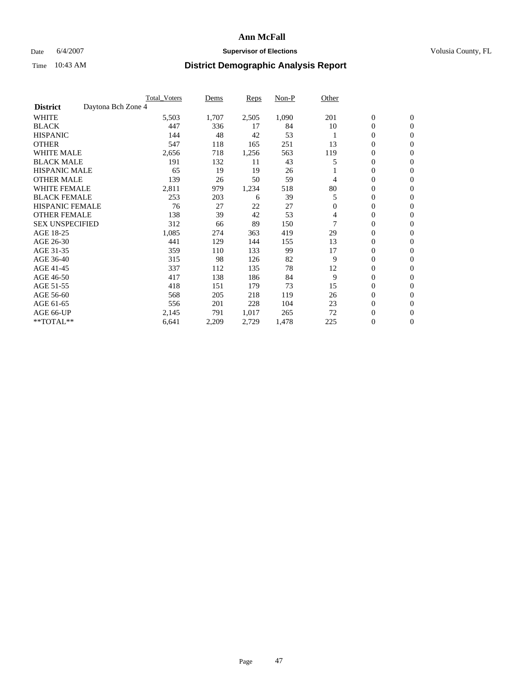### Date 6/4/2007 **Supervisor of Elections Supervisor of Elections** Volusia County, FL

|                        | <b>Total Voters</b> | Dems  | <b>Reps</b> | Non-P | Other        |                  |                  |
|------------------------|---------------------|-------|-------------|-------|--------------|------------------|------------------|
| <b>District</b>        | Daytona Bch Zone 4  |       |             |       |              |                  |                  |
| <b>WHITE</b>           | 5,503               | 1,707 | 2,505       | 1,090 | 201          | $\boldsymbol{0}$ | $\mathbf{0}$     |
| <b>BLACK</b>           | 447                 | 336   | 17          | 84    | 10           | 0                | $\mathbf{0}$     |
| <b>HISPANIC</b>        | 144                 | 48    | 42          | 53    |              | 0                | $\mathbf{0}$     |
| <b>OTHER</b>           | 547                 | 118   | 165         | 251   | 13           | 0                | $\mathbf{0}$     |
| <b>WHITE MALE</b>      | 2,656               | 718   | 1,256       | 563   | 119          | 0                | $\mathbf{0}$     |
| <b>BLACK MALE</b>      | 191                 | 132   | 11          | 43    | 5            | 0                | $\mathbf{0}$     |
| <b>HISPANIC MALE</b>   | 65                  | 19    | 19          | 26    |              | 0                | $\mathbf{0}$     |
| <b>OTHER MALE</b>      | 139                 | 26    | 50          | 59    | 4            | $\mathbf{0}$     | $\mathbf{0}$     |
| <b>WHITE FEMALE</b>    | 2,811               | 979   | 1,234       | 518   | 80           | 0                | $\mathbf{0}$     |
| <b>BLACK FEMALE</b>    | 253                 | 203   | 6           | 39    | 5            | $\boldsymbol{0}$ | $\mathbf{0}$     |
| <b>HISPANIC FEMALE</b> | 76                  | 27    | 22          | 27    | $\mathbf{0}$ | 0                | $\mathbf{0}$     |
| <b>OTHER FEMALE</b>    | 138                 | 39    | 42          | 53    | 4            | 0                | $\mathbf{0}$     |
| <b>SEX UNSPECIFIED</b> | 312                 | 66    | 89          | 150   |              | 0                | 0                |
| AGE 18-25              | 1,085               | 274   | 363         | 419   | 29           | 0                | $\Omega$         |
| AGE 26-30              | 441                 | 129   | 144         | 155   | 13           | $\mathbf{0}$     | $\mathbf{0}$     |
| AGE 31-35              | 359                 | 110   | 133         | 99    | 17           | 0                | $\mathbf{0}$     |
| AGE 36-40              | 315                 | 98    | 126         | 82    | 9            | 0                | $\mathbf{0}$     |
| AGE 41-45              | 337                 | 112   | 135         | 78    | 12           | 0                | $\mathbf{0}$     |
| AGE 46-50              | 417                 | 138   | 186         | 84    | 9            | 0                | $\Omega$         |
| AGE 51-55              | 418                 | 151   | 179         | 73    | 15           | $\boldsymbol{0}$ | $\mathbf{0}$     |
| AGE 56-60              | 568                 | 205   | 218         | 119   | 26           | 0                | $\mathbf{0}$     |
| AGE 61-65              | 556                 | 201   | 228         | 104   | 23           | $\mathbf{0}$     | $\mathbf{0}$     |
| AGE 66-UP              | 2,145               | 791   | 1,017       | 265   | 72           | 0                | $\mathbf{0}$     |
| **TOTAL**              | 6,641               | 2,209 | 2,729       | 1,478 | 225          | 0                | $\boldsymbol{0}$ |
|                        |                     |       |             |       |              |                  |                  |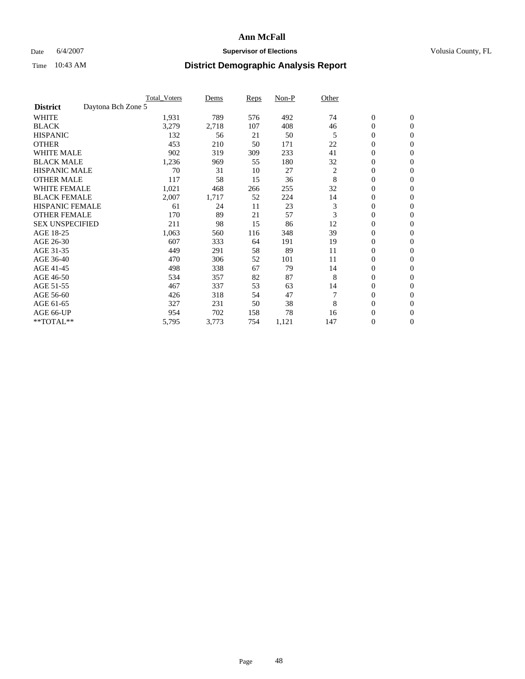### Date 6/4/2007 **Supervisor of Elections Supervisor of Elections** Volusia County, FL

|                        | <b>Total Voters</b> | Dems  | Reps | Non-P | Other          |                  |                  |  |
|------------------------|---------------------|-------|------|-------|----------------|------------------|------------------|--|
| <b>District</b>        | Daytona Bch Zone 5  |       |      |       |                |                  |                  |  |
| <b>WHITE</b>           | 1,931               | 789   | 576  | 492   | 74             | $\boldsymbol{0}$ | $\mathbf{0}$     |  |
| <b>BLACK</b>           | 3,279               | 2,718 | 107  | 408   | 46             | 0                | $\mathbf{0}$     |  |
| <b>HISPANIC</b>        | 132                 | 56    | 21   | 50    | 5              | 0                | $\mathbf{0}$     |  |
| <b>OTHER</b>           | 453                 | 210   | 50   | 171   | 22             | 0                | $\mathbf{0}$     |  |
| <b>WHITE MALE</b>      | 902                 | 319   | 309  | 233   | 41             | 0                | $\mathbf{0}$     |  |
| <b>BLACK MALE</b>      | 1,236               | 969   | 55   | 180   | 32             | 0                | $\mathbf{0}$     |  |
| <b>HISPANIC MALE</b>   | 70                  | 31    | 10   | 27    | $\overline{c}$ | 0                | $\mathbf{0}$     |  |
| <b>OTHER MALE</b>      | 117                 | 58    | 15   | 36    | 8              | $\mathbf{0}$     | $\mathbf{0}$     |  |
| <b>WHITE FEMALE</b>    | 1,021               | 468   | 266  | 255   | 32             | 0                | $\mathbf{0}$     |  |
| <b>BLACK FEMALE</b>    | 2,007               | 1,717 | 52   | 224   | 14             | $\boldsymbol{0}$ | $\mathbf{0}$     |  |
| <b>HISPANIC FEMALE</b> | 61                  | 24    | 11   | 23    | 3              | $\boldsymbol{0}$ | $\mathbf{0}$     |  |
| <b>OTHER FEMALE</b>    | 170                 | 89    | 21   | 57    | 3              | 0                | $\mathbf{0}$     |  |
| <b>SEX UNSPECIFIED</b> | 211                 | 98    | 15   | 86    | 12             | 0                | $\mathbf{0}$     |  |
| AGE 18-25              | 1,063               | 560   | 116  | 348   | 39             | 0                | $\mathbf{0}$     |  |
| AGE 26-30              | 607                 | 333   | 64   | 191   | 19             | $\mathbf{0}$     | $\mathbf{0}$     |  |
| AGE 31-35              | 449                 | 291   | 58   | 89    | 11             | 0                | $\mathbf{0}$     |  |
| AGE 36-40              | 470                 | 306   | 52   | 101   | 11             | 0                | $\mathbf{0}$     |  |
| AGE 41-45              | 498                 | 338   | 67   | 79    | 14             | 0                | $\mathbf{0}$     |  |
| AGE 46-50              | 534                 | 357   | 82   | 87    | 8              | 0                | $\mathbf{0}$     |  |
| AGE 51-55              | 467                 | 337   | 53   | 63    | 14             | $\boldsymbol{0}$ | $\mathbf{0}$     |  |
| AGE 56-60              | 426                 | 318   | 54   | 47    |                | 0                | $\mathbf{0}$     |  |
| AGE 61-65              | 327                 | 231   | 50   | 38    | 8              | $\mathbf{0}$     | $\mathbf{0}$     |  |
| AGE 66-UP              | 954                 | 702   | 158  | 78    | 16             | 0                | $\mathbf{0}$     |  |
| **TOTAL**              | 5,795               | 3,773 | 754  | 1,121 | 147            | 0                | $\boldsymbol{0}$ |  |
|                        |                     |       |      |       |                |                  |                  |  |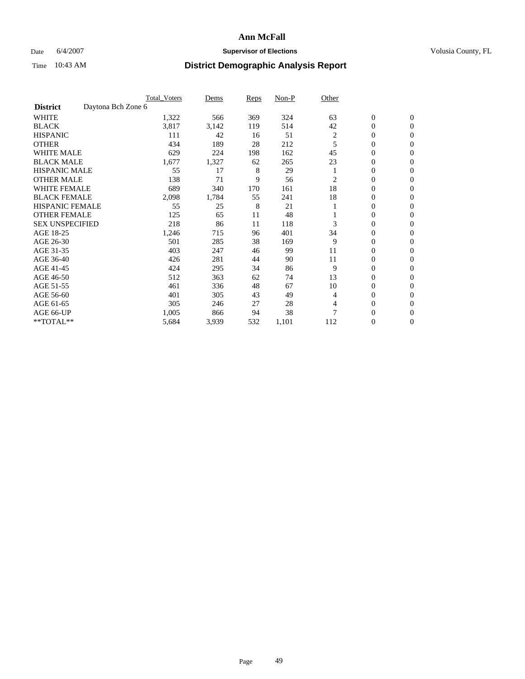### Date 6/4/2007 **Supervisor of Elections Supervisor of Elections** Volusia County, FL

|                                       | <b>Total Voters</b> | Dems  | <b>Reps</b> | Non-P | Other |                  |                  |  |
|---------------------------------------|---------------------|-------|-------------|-------|-------|------------------|------------------|--|
| Daytona Bch Zone 6<br><b>District</b> |                     |       |             |       |       |                  |                  |  |
| <b>WHITE</b>                          | 1,322               | 566   | 369         | 324   | 63    | $\boldsymbol{0}$ | $\mathbf{0}$     |  |
| <b>BLACK</b>                          | 3,817               | 3,142 | 119         | 514   | 42    | 0                | $\mathbf{0}$     |  |
| <b>HISPANIC</b>                       | 111                 | 42    | 16          | 51    | 2     | $\mathbf{0}$     | $\mathbf{0}$     |  |
| <b>OTHER</b>                          | 434                 | 189   | 28          | 212   | 5     | 0                | $\overline{0}$   |  |
| <b>WHITE MALE</b>                     | 629                 | 224   | 198         | 162   | 45    | 0                | $\mathbf{0}$     |  |
| <b>BLACK MALE</b>                     | 1,677               | 1,327 | 62          | 265   | 23    | 0                | $\mathbf{0}$     |  |
| <b>HISPANIC MALE</b>                  | 55                  | 17    | 8           | 29    |       | 0                | $\Omega$         |  |
| <b>OTHER MALE</b>                     | 138                 | 71    | 9           | 56    | 2     | 0                | 0                |  |
| <b>WHITE FEMALE</b>                   | 689                 | 340   | 170         | 161   | 18    | 0                | $\Omega$         |  |
| <b>BLACK FEMALE</b>                   | 2,098               | 1,784 | 55          | 241   | 18    | 0                | $\mathbf{0}$     |  |
| <b>HISPANIC FEMALE</b>                | 55                  | 25    | 8           | 21    |       | 0                | $\mathbf{0}$     |  |
| <b>OTHER FEMALE</b>                   | 125                 | 65    | 11          | 48    |       | 0                | $\mathbf{0}$     |  |
| <b>SEX UNSPECIFIED</b>                | 218                 | 86    | 11          | 118   | 3     | 0                | $\mathbf{0}$     |  |
| AGE 18-25                             | 1,246               | 715   | 96          | 401   | 34    | 0                | $\mathbf{0}$     |  |
| AGE 26-30                             | 501                 | 285   | 38          | 169   | 9     | 0                | $\mathbf{0}$     |  |
| AGE 31-35                             | 403                 | 247   | 46          | 99    | 11    | 0                | $\mathbf{0}$     |  |
| AGE 36-40                             | 426                 | 281   | 44          | 90    | 11    | 0                | $\mathbf{0}$     |  |
| AGE 41-45                             | 424                 | 295   | 34          | 86    | 9     | 0                | $\mathbf{0}$     |  |
| AGE 46-50                             | 512                 | 363   | 62          | 74    | 13    | 0                | $\mathbf{0}$     |  |
| AGE 51-55                             | 461                 | 336   | 48          | 67    | 10    | 0                | $\mathbf{0}$     |  |
| AGE 56-60                             | 401                 | 305   | 43          | 49    | 4     | 0                | $\mathbf{0}$     |  |
| AGE 61-65                             | 305                 | 246   | 27          | 28    | 4     | 0                | $\mathbf{0}$     |  |
| AGE 66-UP                             | 1,005               | 866   | 94          | 38    |       | 0                | 0                |  |
| **TOTAL**                             | 5,684               | 3,939 | 532         | 1,101 | 112   | 0                | $\boldsymbol{0}$ |  |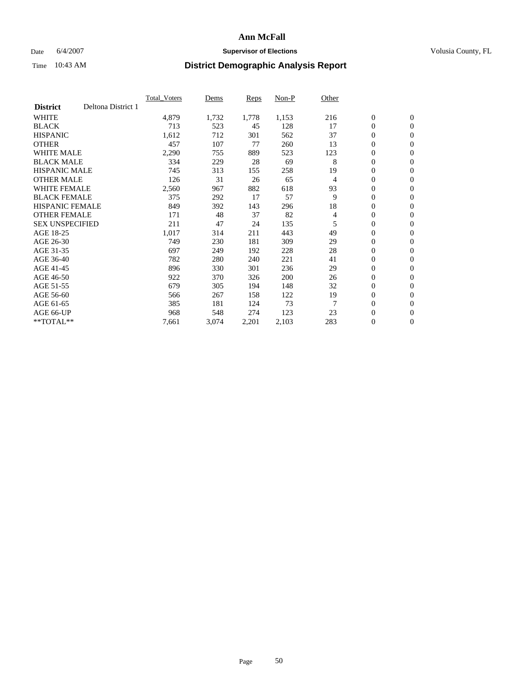### Date 6/4/2007 **Supervisor of Elections Supervisor of Elections** Volusia County, FL

|                        |                    | <b>Total Voters</b> | Dems  | Reps  | Non-P | Other |                  |                  |  |
|------------------------|--------------------|---------------------|-------|-------|-------|-------|------------------|------------------|--|
| <b>District</b>        | Deltona District 1 |                     |       |       |       |       |                  |                  |  |
| <b>WHITE</b>           |                    | 4,879               | 1,732 | 1,778 | 1,153 | 216   | $\boldsymbol{0}$ | $\boldsymbol{0}$ |  |
| <b>BLACK</b>           |                    | 713                 | 523   | 45    | 128   | 17    | $\mathbf{0}$     | $\mathbf{0}$     |  |
| <b>HISPANIC</b>        |                    | 1,612               | 712   | 301   | 562   | 37    | $\mathbf{0}$     | $\mathbf{0}$     |  |
| <b>OTHER</b>           |                    | 457                 | 107   | 77    | 260   | 13    | 0                | $\mathbf{0}$     |  |
| <b>WHITE MALE</b>      |                    | 2,290               | 755   | 889   | 523   | 123   | 0                | $\mathbf{0}$     |  |
| <b>BLACK MALE</b>      |                    | 334                 | 229   | 28    | 69    | 8     | 0                | $\mathbf{0}$     |  |
| <b>HISPANIC MALE</b>   |                    | 745                 | 313   | 155   | 258   | 19    | 0                | $\mathbf{0}$     |  |
| <b>OTHER MALE</b>      |                    | 126                 | 31    | 26    | 65    | 4     | 0                | $\mathbf{0}$     |  |
| <b>WHITE FEMALE</b>    |                    | 2,560               | 967   | 882   | 618   | 93    | 0                | $\mathbf{0}$     |  |
| <b>BLACK FEMALE</b>    |                    | 375                 | 292   | 17    | 57    | 9     | $\mathbf{0}$     | $\mathbf{0}$     |  |
| <b>HISPANIC FEMALE</b> |                    | 849                 | 392   | 143   | 296   | 18    | 0                | $\mathbf{0}$     |  |
| <b>OTHER FEMALE</b>    |                    | 171                 | 48    | 37    | 82    | 4     | 0                | $\mathbf{0}$     |  |
| <b>SEX UNSPECIFIED</b> |                    | 211                 | 47    | 24    | 135   | 5     | $\boldsymbol{0}$ | $\mathbf{0}$     |  |
| AGE 18-25              |                    | 1,017               | 314   | 211   | 443   | 49    | 0                | $\mathbf{0}$     |  |
| AGE 26-30              |                    | 749                 | 230   | 181   | 309   | 29    | 0                | $\mathbf{0}$     |  |
| AGE 31-35              |                    | 697                 | 249   | 192   | 228   | 28    | 0                | $\mathbf{0}$     |  |
| AGE 36-40              |                    | 782                 | 280   | 240   | 221   | 41    | $\boldsymbol{0}$ | $\mathbf{0}$     |  |
| AGE 41-45              |                    | 896                 | 330   | 301   | 236   | 29    | 0                | $\mathbf{0}$     |  |
| AGE 46-50              |                    | 922                 | 370   | 326   | 200   | 26    | $\mathbf{0}$     | $\mathbf{0}$     |  |
| AGE 51-55              |                    | 679                 | 305   | 194   | 148   | 32    | $\overline{0}$   | $\mathbf{0}$     |  |
| AGE 56-60              |                    | 566                 | 267   | 158   | 122   | 19    | 0                | $\mathbf{0}$     |  |
| AGE 61-65              |                    | 385                 | 181   | 124   | 73    | 7     | 0                | 0                |  |
| AGE 66-UP              |                    | 968                 | 548   | 274   | 123   | 23    | 0                | 0                |  |
| $*$ TOTAL $**$         |                    | 7,661               | 3,074 | 2,201 | 2,103 | 283   | 0                | $\boldsymbol{0}$ |  |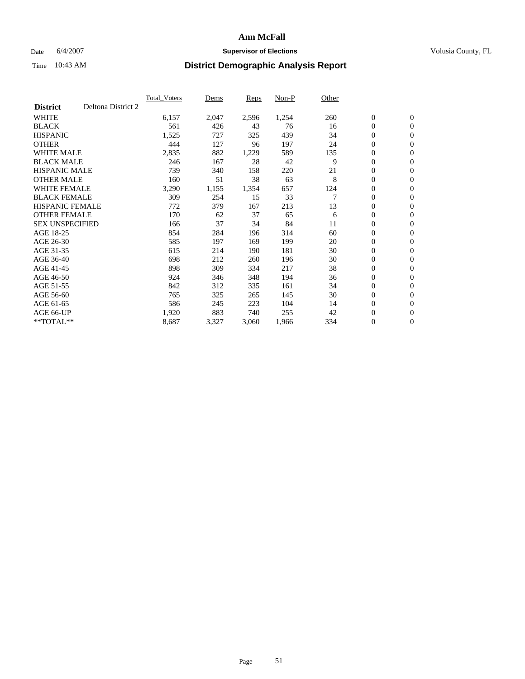### Date 6/4/2007 **Supervisor of Elections Supervisor of Elections** Volusia County, FL

|                        |                    | <b>Total Voters</b> | Dems  | Reps  | Non-P | Other |                  |                |  |
|------------------------|--------------------|---------------------|-------|-------|-------|-------|------------------|----------------|--|
| <b>District</b>        | Deltona District 2 |                     |       |       |       |       |                  |                |  |
| <b>WHITE</b>           |                    | 6,157               | 2,047 | 2,596 | 1,254 | 260   | $\boldsymbol{0}$ | $\mathbf{0}$   |  |
| <b>BLACK</b>           |                    | 561                 | 426   | 43    | 76    | 16    | $\mathbf{0}$     | $\mathbf{0}$   |  |
| <b>HISPANIC</b>        |                    | 1,525               | 727   | 325   | 439   | 34    | 0                | $\mathbf{0}$   |  |
| <b>OTHER</b>           |                    | 444                 | 127   | 96    | 197   | 24    | 0                | $\mathbf{0}$   |  |
| <b>WHITE MALE</b>      |                    | 2,835               | 882   | 1,229 | 589   | 135   | 0                | $\mathbf{0}$   |  |
| <b>BLACK MALE</b>      |                    | 246                 | 167   | 28    | 42    | 9     | $\boldsymbol{0}$ | $\mathbf{0}$   |  |
| <b>HISPANIC MALE</b>   |                    | 739                 | 340   | 158   | 220   | 21    | 0                | $\mathbf{0}$   |  |
| <b>OTHER MALE</b>      |                    | 160                 | 51    | 38    | 63    | 8     | $\mathbf{0}$     | $\mathbf{0}$   |  |
| <b>WHITE FEMALE</b>    |                    | 3,290               | 1,155 | 1,354 | 657   | 124   | 0                | $\mathbf{0}$   |  |
| <b>BLACK FEMALE</b>    |                    | 309                 | 254   | 15    | 33    | 7     | $\mathbf{0}$     | $\mathbf{0}$   |  |
| <b>HISPANIC FEMALE</b> |                    | 772                 | 379   | 167   | 213   | 13    | 0                | $\mathbf{0}$   |  |
| <b>OTHER FEMALE</b>    |                    | 170                 | 62    | 37    | 65    | 6     | 0                | $\mathbf{0}$   |  |
| <b>SEX UNSPECIFIED</b> |                    | 166                 | 37    | 34    | 84    | 11    | 0                | $\mathbf{0}$   |  |
| AGE 18-25              |                    | 854                 | 284   | 196   | 314   | 60    | 0                | $\mathbf{0}$   |  |
| AGE 26-30              |                    | 585                 | 197   | 169   | 199   | 20    | $\mathbf{0}$     | $\mathbf{0}$   |  |
| AGE 31-35              |                    | 615                 | 214   | 190   | 181   | 30    | 0                | $\mathbf{0}$   |  |
| AGE 36-40              |                    | 698                 | 212   | 260   | 196   | 30    | 0                | $\mathbf{0}$   |  |
| AGE 41-45              |                    | 898                 | 309   | 334   | 217   | 38    | $\boldsymbol{0}$ | $\mathbf{0}$   |  |
| AGE 46-50              |                    | 924                 | 346   | 348   | 194   | 36    | 0                | $\mathbf{0}$   |  |
| AGE 51-55              |                    | 842                 | 312   | 335   | 161   | 34    | $\boldsymbol{0}$ | $\mathbf{0}$   |  |
| AGE 56-60              |                    | 765                 | 325   | 265   | 145   | 30    | 0                | $\mathbf{0}$   |  |
| AGE 61-65              |                    | 586                 | 245   | 223   | 104   | 14    | $\mathbf{0}$     | $\mathbf{0}$   |  |
| AGE 66-UP              |                    | 1,920               | 883   | 740   | 255   | 42    | $\boldsymbol{0}$ | $\mathbf{0}$   |  |
| $*$ TOTAL $**$         |                    | 8,687               | 3,327 | 3,060 | 1,966 | 334   | 0                | $\overline{0}$ |  |
|                        |                    |                     |       |       |       |       |                  |                |  |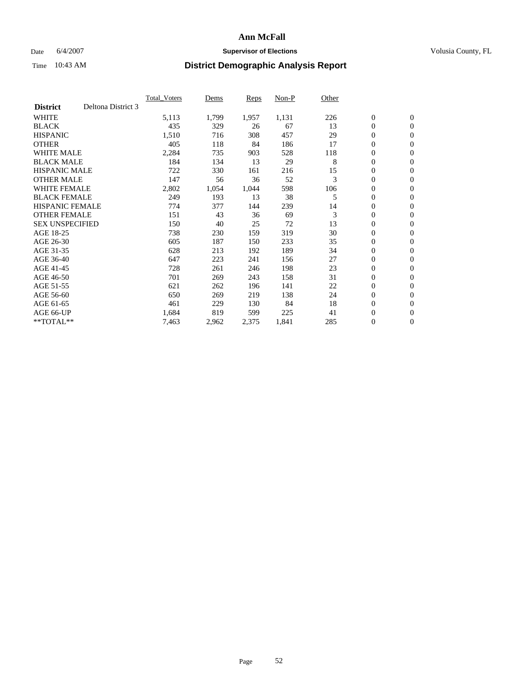### Date 6/4/2007 **Supervisor of Elections Supervisor of Elections** Volusia County, FL

|                        |                    | <b>Total Voters</b> | Dems  | Reps  | Non-P | Other |                  |                  |  |
|------------------------|--------------------|---------------------|-------|-------|-------|-------|------------------|------------------|--|
| <b>District</b>        | Deltona District 3 |                     |       |       |       |       |                  |                  |  |
| <b>WHITE</b>           |                    | 5,113               | 1,799 | 1,957 | 1,131 | 226   | $\boldsymbol{0}$ | $\boldsymbol{0}$ |  |
| <b>BLACK</b>           |                    | 435                 | 329   | 26    | 67    | 13    | $\mathbf{0}$     | $\mathbf{0}$     |  |
| <b>HISPANIC</b>        |                    | 1,510               | 716   | 308   | 457   | 29    | $\mathbf{0}$     | $\mathbf{0}$     |  |
| <b>OTHER</b>           |                    | 405                 | 118   | 84    | 186   | 17    | 0                | $\mathbf{0}$     |  |
| <b>WHITE MALE</b>      |                    | 2,284               | 735   | 903   | 528   | 118   | 0                | $\mathbf{0}$     |  |
| <b>BLACK MALE</b>      |                    | 184                 | 134   | 13    | 29    | 8     | 0                | $\mathbf{0}$     |  |
| <b>HISPANIC MALE</b>   |                    | 722                 | 330   | 161   | 216   | 15    | 0                | $\mathbf{0}$     |  |
| <b>OTHER MALE</b>      |                    | 147                 | 56    | 36    | 52    | 3     | 0                | $\mathbf{0}$     |  |
| <b>WHITE FEMALE</b>    |                    | 2,802               | 1,054 | 1,044 | 598   | 106   | 0                | $\mathbf{0}$     |  |
| <b>BLACK FEMALE</b>    |                    | 249                 | 193   | 13    | 38    | 5     | $\mathbf{0}$     | $\mathbf{0}$     |  |
| <b>HISPANIC FEMALE</b> |                    | 774                 | 377   | 144   | 239   | 14    | 0                | $\mathbf{0}$     |  |
| <b>OTHER FEMALE</b>    |                    | 151                 | 43    | 36    | 69    | 3     | $\mathbf{0}$     | $\mathbf{0}$     |  |
| <b>SEX UNSPECIFIED</b> |                    | 150                 | 40    | 25    | 72    | 13    | $\boldsymbol{0}$ | $\boldsymbol{0}$ |  |
| AGE 18-25              |                    | 738                 | 230   | 159   | 319   | 30    | 0                | $\mathbf{0}$     |  |
| AGE 26-30              |                    | 605                 | 187   | 150   | 233   | 35    | 0                | $\mathbf{0}$     |  |
| AGE 31-35              |                    | 628                 | 213   | 192   | 189   | 34    | 0                | $\mathbf{0}$     |  |
| AGE 36-40              |                    | 647                 | 223   | 241   | 156   | 27    | $\boldsymbol{0}$ | $\mathbf{0}$     |  |
| AGE 41-45              |                    | 728                 | 261   | 246   | 198   | 23    | 0                | $\mathbf{0}$     |  |
| AGE 46-50              |                    | 701                 | 269   | 243   | 158   | 31    | $\mathbf{0}$     | $\mathbf{0}$     |  |
| AGE 51-55              |                    | 621                 | 262   | 196   | 141   | 22    | $\overline{0}$   | $\mathbf{0}$     |  |
| AGE 56-60              |                    | 650                 | 269   | 219   | 138   | 24    | $\boldsymbol{0}$ | $\mathbf{0}$     |  |
| AGE 61-65              |                    | 461                 | 229   | 130   | 84    | 18    | 0                | $\mathbf{0}$     |  |
| AGE 66-UP              |                    | 1,684               | 819   | 599   | 225   | 41    | 0                | 0                |  |
| $*$ TOTAL $**$         |                    | 7,463               | 2,962 | 2,375 | 1,841 | 285   | $\boldsymbol{0}$ | $\boldsymbol{0}$ |  |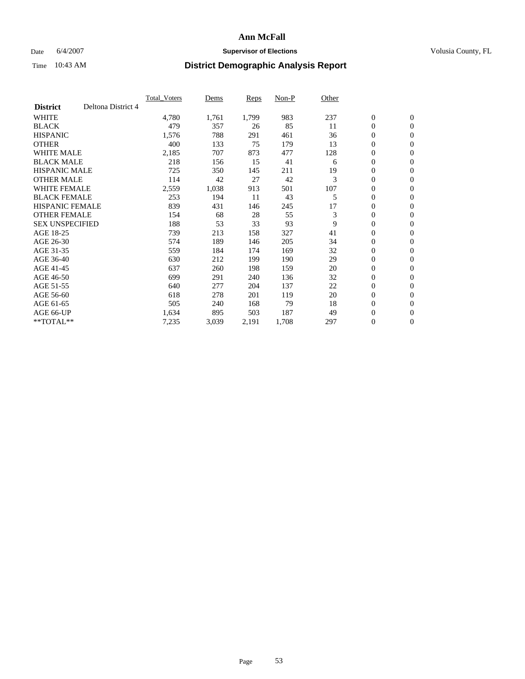### Date 6/4/2007 **Supervisor of Elections Supervisor of Elections** Volusia County, FL

|                                       | <b>Total Voters</b> | Dems  | Reps  | Non-P | Other |                  |                |  |
|---------------------------------------|---------------------|-------|-------|-------|-------|------------------|----------------|--|
| Deltona District 4<br><b>District</b> |                     |       |       |       |       |                  |                |  |
| <b>WHITE</b>                          | 4,780               | 1,761 | 1,799 | 983   | 237   | $\boldsymbol{0}$ | $\mathbf{0}$   |  |
| <b>BLACK</b>                          | 479                 | 357   | 26    | 85    | 11    | $\mathbf{0}$     | $\mathbf{0}$   |  |
| <b>HISPANIC</b>                       | 1,576               | 788   | 291   | 461   | 36    | 0                | $\mathbf{0}$   |  |
| <b>OTHER</b>                          | 400                 | 133   | 75    | 179   | 13    | 0                | $\mathbf{0}$   |  |
| <b>WHITE MALE</b>                     | 2,185               | 707   | 873   | 477   | 128   | 0                | $\mathbf{0}$   |  |
| <b>BLACK MALE</b>                     | 218                 | 156   | 15    | 41    | 6     | 0                | $\mathbf{0}$   |  |
| <b>HISPANIC MALE</b>                  | 725                 | 350   | 145   | 211   | 19    | 0                | $\mathbf{0}$   |  |
| <b>OTHER MALE</b>                     | 114                 | 42    | 27    | 42    | 3     | $\mathbf{0}$     | $\mathbf{0}$   |  |
| <b>WHITE FEMALE</b>                   | 2,559               | 1,038 | 913   | 501   | 107   | 0                | $\mathbf{0}$   |  |
| <b>BLACK FEMALE</b>                   | 253                 | 194   | 11    | 43    | 5     | $\boldsymbol{0}$ | $\mathbf{0}$   |  |
| <b>HISPANIC FEMALE</b>                | 839                 | 431   | 146   | 245   | 17    | 0                | $\mathbf{0}$   |  |
| <b>OTHER FEMALE</b>                   | 154                 | 68    | 28    | 55    | 3     | 0                | $\mathbf{0}$   |  |
| <b>SEX UNSPECIFIED</b>                | 188                 | 53    | 33    | 93    | 9     | $\mathbf{0}$     | $\mathbf{0}$   |  |
| AGE 18-25                             | 739                 | 213   | 158   | 327   | 41    | 0                | $\mathbf{0}$   |  |
| AGE 26-30                             | 574                 | 189   | 146   | 205   | 34    | $\mathbf{0}$     | $\mathbf{0}$   |  |
| AGE 31-35                             | 559                 | 184   | 174   | 169   | 32    | 0                | $\mathbf{0}$   |  |
| AGE 36-40                             | 630                 | 212   | 199   | 190   | 29    | 0                | $\mathbf{0}$   |  |
| AGE 41-45                             | 637                 | 260   | 198   | 159   | 20    | 0                | $\mathbf{0}$   |  |
| AGE 46-50                             | 699                 | 291   | 240   | 136   | 32    | 0                | $\mathbf{0}$   |  |
| AGE 51-55                             | 640                 | 277   | 204   | 137   | 22    | $\boldsymbol{0}$ | $\mathbf{0}$   |  |
| AGE 56-60                             | 618                 | 278   | 201   | 119   | 20    | 0                | $\mathbf{0}$   |  |
| AGE 61-65                             | 505                 | 240   | 168   | 79    | 18    | $\mathbf{0}$     | $\mathbf{0}$   |  |
| AGE 66-UP                             | 1,634               | 895   | 503   | 187   | 49    | $\boldsymbol{0}$ | $\mathbf{0}$   |  |
| $*$ TOTAL $**$                        | 7,235               | 3,039 | 2,191 | 1,708 | 297   | 0                | $\overline{0}$ |  |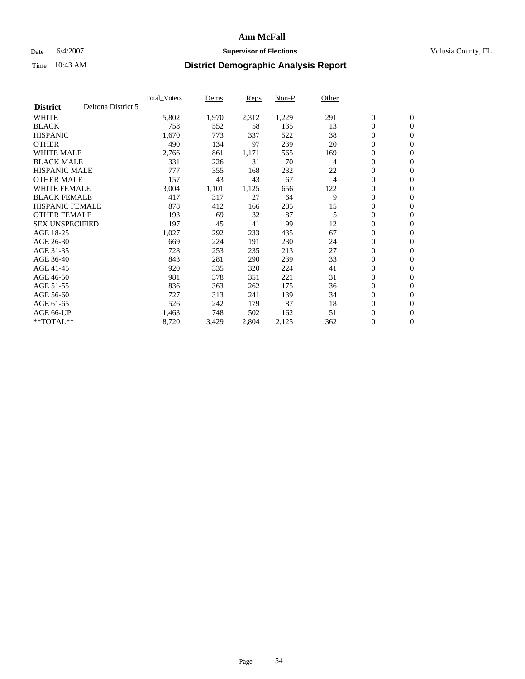### Date 6/4/2007 **Supervisor of Elections Supervisor of Elections** Volusia County, FL

|                        |                    | Total Voters | Dems  | <b>Reps</b> | Non-P | Other |                  |                  |
|------------------------|--------------------|--------------|-------|-------------|-------|-------|------------------|------------------|
| <b>District</b>        | Deltona District 5 |              |       |             |       |       |                  |                  |
| <b>WHITE</b>           |                    | 5,802        | 1,970 | 2,312       | 1,229 | 291   | $\boldsymbol{0}$ | $\boldsymbol{0}$ |
| <b>BLACK</b>           |                    | 758          | 552   | 58          | 135   | 13    | $\boldsymbol{0}$ | $\mathbf{0}$     |
| <b>HISPANIC</b>        |                    | 1,670        | 773   | 337         | 522   | 38    | 0                | $\mathbf{0}$     |
| <b>OTHER</b>           |                    | 490          | 134   | 97          | 239   | 20    | 0                | $\mathbf{0}$     |
| WHITE MALE             |                    | 2,766        | 861   | 1,171       | 565   | 169   | 0                | $\mathbf{0}$     |
| <b>BLACK MALE</b>      |                    | 331          | 226   | 31          | 70    | 4     | 0                | $\mathbf{0}$     |
| <b>HISPANIC MALE</b>   |                    | 777          | 355   | 168         | 232   | 22    | 0                | $\boldsymbol{0}$ |
| <b>OTHER MALE</b>      |                    | 157          | 43    | 43          | 67    | 4     | 0                | $\mathbf{0}$     |
| WHITE FEMALE           |                    | 3,004        | 1,101 | 1,125       | 656   | 122   | $\mathbf{0}$     | $\mathbf{0}$     |
| <b>BLACK FEMALE</b>    |                    | 417          | 317   | 27          | 64    | 9     | 0                | $\mathbf{0}$     |
| <b>HISPANIC FEMALE</b> |                    | 878          | 412   | 166         | 285   | 15    | 0                | $\boldsymbol{0}$ |
| <b>OTHER FEMALE</b>    |                    | 193          | 69    | 32          | 87    | 5     | 0                | $\mathbf{0}$     |
| <b>SEX UNSPECIFIED</b> |                    | 197          | 45    | 41          | 99    | 12    | 0                | $\mathbf{0}$     |
| AGE 18-25              |                    | 1,027        | 292   | 233         | 435   | 67    | $\boldsymbol{0}$ | $\mathbf{0}$     |
| AGE 26-30              |                    | 669          | 224   | 191         | 230   | 24    | $\mathbf{0}$     | $\mathbf{0}$     |
| AGE 31-35              |                    | 728          | 253   | 235         | 213   | 27    | $\mathbf{0}$     | $\mathbf{0}$     |
| AGE 36-40              |                    | 843          | 281   | 290         | 239   | 33    | $\boldsymbol{0}$ | $\mathbf{0}$     |
| AGE 41-45              |                    | 920          | 335   | 320         | 224   | 41    | 0                | $\mathbf{0}$     |
| AGE 46-50              |                    | 981          | 378   | 351         | 221   | 31    | $\boldsymbol{0}$ | $\mathbf{0}$     |
| AGE 51-55              |                    | 836          | 363   | 262         | 175   | 36    | $\boldsymbol{0}$ | $\mathbf{0}$     |
| AGE 56-60              |                    | 727          | 313   | 241         | 139   | 34    | $\boldsymbol{0}$ | $\mathbf{0}$     |
| AGE 61-65              |                    | 526          | 242   | 179         | 87    | 18    | $\boldsymbol{0}$ | $\boldsymbol{0}$ |
| AGE 66-UP              |                    | 1,463        | 748   | 502         | 162   | 51    | 0                | $\mathbf{0}$     |
| **TOTAL**              |                    | 8,720        | 3,429 | 2,804       | 2,125 | 362   | $\boldsymbol{0}$ | $\boldsymbol{0}$ |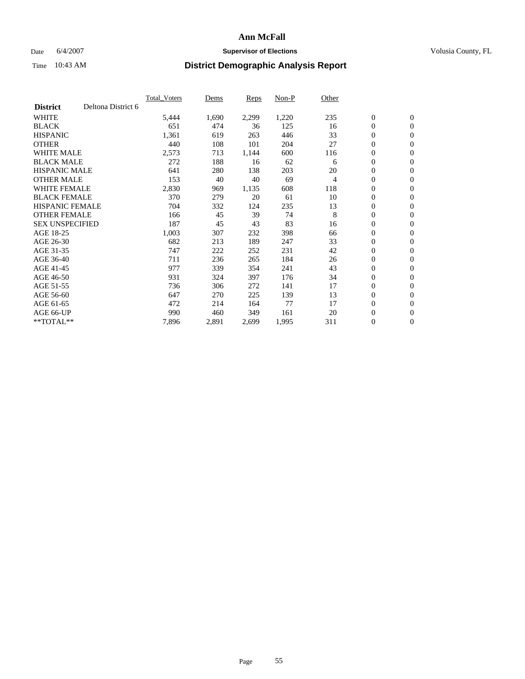### Date 6/4/2007 **Supervisor of Elections Supervisor of Elections** Volusia County, FL

|                        |                    | <b>Total Voters</b> | Dems  | Reps  | Non-P | Other |                  |                  |  |
|------------------------|--------------------|---------------------|-------|-------|-------|-------|------------------|------------------|--|
| <b>District</b>        | Deltona District 6 |                     |       |       |       |       |                  |                  |  |
| <b>WHITE</b>           |                    | 5,444               | 1,690 | 2,299 | 1,220 | 235   | $\boldsymbol{0}$ | $\boldsymbol{0}$ |  |
| <b>BLACK</b>           |                    | 651                 | 474   | 36    | 125   | 16    | $\mathbf{0}$     | $\mathbf{0}$     |  |
| <b>HISPANIC</b>        |                    | 1,361               | 619   | 263   | 446   | 33    | $\mathbf{0}$     | $\mathbf{0}$     |  |
| <b>OTHER</b>           |                    | 440                 | 108   | 101   | 204   | 27    | 0                | $\mathbf{0}$     |  |
| <b>WHITE MALE</b>      |                    | 2,573               | 713   | 1,144 | 600   | 116   | 0                | $\mathbf{0}$     |  |
| <b>BLACK MALE</b>      |                    | 272                 | 188   | 16    | 62    | 6     | $\boldsymbol{0}$ | $\mathbf{0}$     |  |
| <b>HISPANIC MALE</b>   |                    | 641                 | 280   | 138   | 203   | 20    | 0                | $\mathbf{0}$     |  |
| <b>OTHER MALE</b>      |                    | 153                 | 40    | 40    | 69    | 4     | 0                | $\mathbf{0}$     |  |
| <b>WHITE FEMALE</b>    |                    | 2,830               | 969   | 1,135 | 608   | 118   | 0                | $\mathbf{0}$     |  |
| <b>BLACK FEMALE</b>    |                    | 370                 | 279   | 20    | 61    | 10    | $\mathbf{0}$     | $\mathbf{0}$     |  |
| <b>HISPANIC FEMALE</b> |                    | 704                 | 332   | 124   | 235   | 13    | $\overline{0}$   | $\mathbf{0}$     |  |
| <b>OTHER FEMALE</b>    |                    | 166                 | 45    | 39    | 74    | 8     | $\mathbf{0}$     | $\mathbf{0}$     |  |
| <b>SEX UNSPECIFIED</b> |                    | 187                 | 45    | 43    | 83    | 16    | $\boldsymbol{0}$ | $\mathbf{0}$     |  |
| AGE 18-25              |                    | 1,003               | 307   | 232   | 398   | 66    | 0                | $\mathbf{0}$     |  |
| AGE 26-30              |                    | 682                 | 213   | 189   | 247   | 33    | 0                | $\mathbf{0}$     |  |
| AGE 31-35              |                    | 747                 | 222   | 252   | 231   | 42    | 0                | $\mathbf{0}$     |  |
| AGE 36-40              |                    | 711                 | 236   | 265   | 184   | 26    | $\boldsymbol{0}$ | $\mathbf{0}$     |  |
| AGE 41-45              |                    | 977                 | 339   | 354   | 241   | 43    | 0                | $\mathbf{0}$     |  |
| AGE 46-50              |                    | 931                 | 324   | 397   | 176   | 34    | $\mathbf{0}$     | $\mathbf{0}$     |  |
| AGE 51-55              |                    | 736                 | 306   | 272   | 141   | 17    | $\overline{0}$   | $\mathbf{0}$     |  |
| AGE 56-60              |                    | 647                 | 270   | 225   | 139   | 13    | $\boldsymbol{0}$ | $\mathbf{0}$     |  |
| AGE 61-65              |                    | 472                 | 214   | 164   | 77    | 17    | 0                | $\mathbf{0}$     |  |
| AGE 66-UP              |                    | 990                 | 460   | 349   | 161   | 20    | 0                | 0                |  |
| $*$ TOTAL $**$         |                    | 7,896               | 2,891 | 2,699 | 1,995 | 311   | 0                | $\boldsymbol{0}$ |  |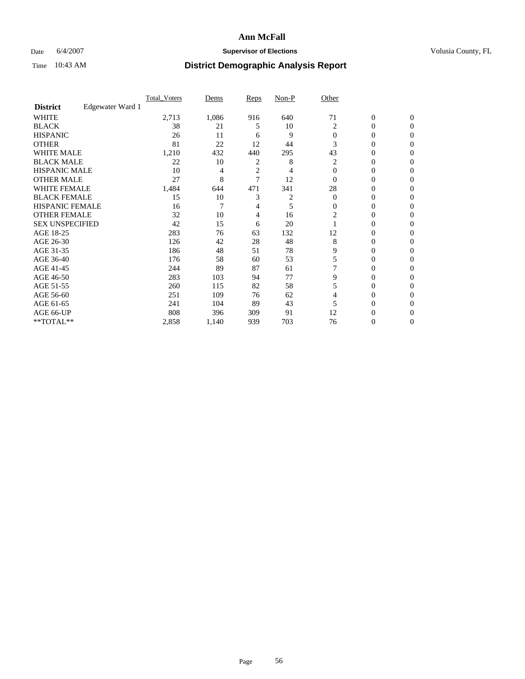### Date 6/4/2007 **Supervisor of Elections Supervisor of Elections** Volusia County, FL

|                        |                  | <b>Total Voters</b> | Dems  | Reps           | Non-P | Other    |                  |              |  |
|------------------------|------------------|---------------------|-------|----------------|-------|----------|------------------|--------------|--|
| <b>District</b>        | Edgewater Ward 1 |                     |       |                |       |          |                  |              |  |
| <b>WHITE</b>           |                  | 2,713               | 1,086 | 916            | 640   | 71       | $\boldsymbol{0}$ | $\mathbf{0}$ |  |
| <b>BLACK</b>           |                  | 38                  | 21    | 5              | 10    | 2        | 0                | $\mathbf{0}$ |  |
| <b>HISPANIC</b>        |                  | 26                  | 11    | 6              | 9     | $\Omega$ | 0                | $\mathbf{0}$ |  |
| <b>OTHER</b>           |                  | 81                  | 22    | 12             | 44    | 3        | $\overline{0}$   | $\theta$     |  |
| <b>WHITE MALE</b>      |                  | 1,210               | 432   | 440            | 295   | 43       | 0                | $\theta$     |  |
| <b>BLACK MALE</b>      |                  | 22                  | 10    | 2              | 8     | 2        | 0                | 0            |  |
| <b>HISPANIC MALE</b>   |                  | 10                  | 4     | $\overline{c}$ | 4     | $\Omega$ | 0                | 0            |  |
| <b>OTHER MALE</b>      |                  | 27                  | 8     | 7              | 12    | $\Omega$ | 0                | 0            |  |
| WHITE FEMALE           |                  | 1,484               | 644   | 471            | 341   | 28       | 0                | 0            |  |
| <b>BLACK FEMALE</b>    |                  | 15                  | 10    | 3              | 2     | $\Omega$ | 0                | 0            |  |
| <b>HISPANIC FEMALE</b> |                  | 16                  | 7     | 4              | 5     | $\Omega$ | 0                | $\Omega$     |  |
| <b>OTHER FEMALE</b>    |                  | 32                  | 10    | 4              | 16    | 2        | 0                | $\theta$     |  |
| <b>SEX UNSPECIFIED</b> |                  | 42                  | 15    | 6              | 20    |          | 0                | $\theta$     |  |
| AGE 18-25              |                  | 283                 | 76    | 63             | 132   | 12       | 0                | 0            |  |
| AGE 26-30              |                  | 126                 | 42    | 28             | 48    | 8        | 0                | $\Omega$     |  |
| AGE 31-35              |                  | 186                 | 48    | 51             | 78    | 9        | 0                | 0            |  |
| AGE 36-40              |                  | 176                 | 58    | 60             | 53    | 5        | 0                | 0            |  |
| AGE 41-45              |                  | 244                 | 89    | 87             | 61    |          | 0                | 0            |  |
| AGE 46-50              |                  | 283                 | 103   | 94             | 77    | 9        | 0                | $\mathbf{0}$ |  |
| AGE 51-55              |                  | 260                 | 115   | 82             | 58    | 5        | 0                | $\Omega$     |  |
| AGE 56-60              |                  | 251                 | 109   | 76             | 62    | 4        | 0                | $\theta$     |  |
| AGE 61-65              |                  | 241                 | 104   | 89             | 43    |          | 0                | 0            |  |
| AGE 66-UP              |                  | 808                 | 396   | 309            | 91    | 12       | 0                |              |  |
| **TOTAL**              |                  | 2,858               | 1,140 | 939            | 703   | 76       | 0                | $\mathbf{0}$ |  |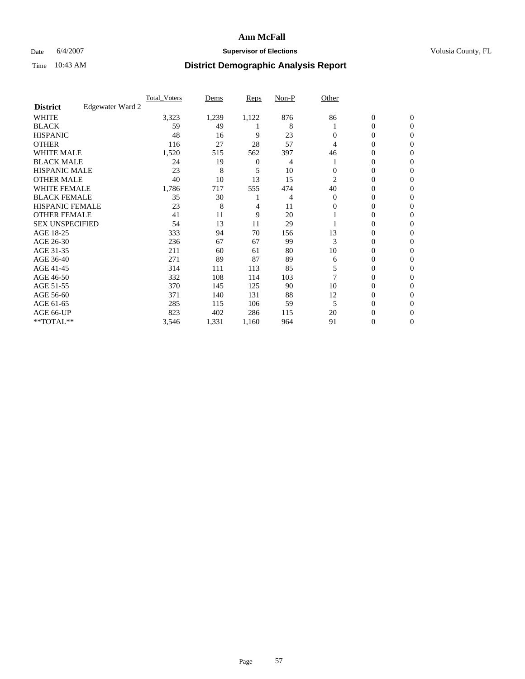### Date 6/4/2007 **Supervisor of Elections Supervisor of Elections** Volusia County, FL

|                        |                  | <b>Total Voters</b> | Dems  | Reps           | Non-P | Other    |                  |                  |  |
|------------------------|------------------|---------------------|-------|----------------|-------|----------|------------------|------------------|--|
| <b>District</b>        | Edgewater Ward 2 |                     |       |                |       |          |                  |                  |  |
| <b>WHITE</b>           |                  | 3,323               | 1,239 | 1,122          | 876   | 86       | $\boldsymbol{0}$ | $\mathbf{0}$     |  |
| <b>BLACK</b>           |                  | 59                  | 49    |                | 8     |          | 0                | $\mathbf{0}$     |  |
| <b>HISPANIC</b>        |                  | 48                  | 16    | 9              | 23    | $\Omega$ | 0                | $\mathbf{0}$     |  |
| <b>OTHER</b>           |                  | 116                 | 27    | 28             | 57    | 4        | 0                | $\boldsymbol{0}$ |  |
| <b>WHITE MALE</b>      |                  | 1,520               | 515   | 562            | 397   | 46       | 0                | $\theta$         |  |
| <b>BLACK MALE</b>      |                  | 24                  | 19    | $\overline{0}$ | 4     |          | 0                | $\Omega$         |  |
| <b>HISPANIC MALE</b>   |                  | 23                  | 8     | 5              | 10    | 0        | 0                | 0                |  |
| <b>OTHER MALE</b>      |                  | 40                  | 10    | 13             | 15    | 2        | 0                | 0                |  |
| WHITE FEMALE           |                  | 1,786               | 717   | 555            | 474   | 40       | 0                | 0                |  |
| <b>BLACK FEMALE</b>    |                  | 35                  | 30    |                | 4     | $\Omega$ | 0                | $\mathbf{0}$     |  |
| <b>HISPANIC FEMALE</b> |                  | 23                  | 8     | 4              | 11    | 0        | 0                | $\Omega$         |  |
| <b>OTHER FEMALE</b>    |                  | 41                  | 11    | 9              | 20    |          | 0                | $\boldsymbol{0}$ |  |
| <b>SEX UNSPECIFIED</b> |                  | 54                  | 13    | 11             | 29    |          | 0                | $\Omega$         |  |
| AGE 18-25              |                  | 333                 | 94    | 70             | 156   | 13       | 0                | 0                |  |
| AGE 26-30              |                  | 236                 | 67    | 67             | 99    | 3        | 0                | $\Omega$         |  |
| AGE 31-35              |                  | 211                 | 60    | 61             | 80    | 10       | 0                | 0                |  |
| AGE 36-40              |                  | 271                 | 89    | 87             | 89    | 6        | 0                | $\mathbf{0}$     |  |
| AGE 41-45              |                  | 314                 | 111   | 113            | 85    |          | 0                | 0                |  |
| AGE 46-50              |                  | 332                 | 108   | 114            | 103   |          | 0                | $\mathbf{0}$     |  |
| AGE 51-55              |                  | 370                 | 145   | 125            | 90    | 10       | 0                | $\Omega$         |  |
| AGE 56-60              |                  | 371                 | 140   | 131            | 88    | 12       | 0                | $\theta$         |  |
| AGE 61-65              |                  | 285                 | 115   | 106            | 59    | 5        | 0                | 0                |  |
| AGE 66-UP              |                  | 823                 | 402   | 286            | 115   | 20       | 0                | $_{0}$           |  |
| **TOTAL**              |                  | 3,546               | 1,331 | 1,160          | 964   | 91       | 0                | $\mathbf{0}$     |  |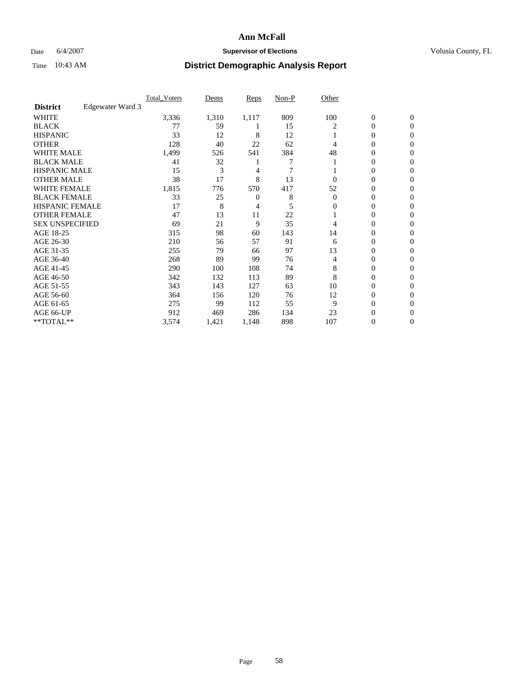### Date 6/4/2007 **Supervisor of Elections Supervisor of Elections** Volusia County, FL

|                        |                  | <b>Total Voters</b> | Dems  | Reps  | Non-P | Other    |                  |                  |  |
|------------------------|------------------|---------------------|-------|-------|-------|----------|------------------|------------------|--|
| <b>District</b>        | Edgewater Ward 3 |                     |       |       |       |          |                  |                  |  |
| <b>WHITE</b>           |                  | 3,336               | 1,310 | 1,117 | 809   | 100      | $\boldsymbol{0}$ | $\mathbf{0}$     |  |
| <b>BLACK</b>           |                  | 77                  | 59    |       | 15    | 2        | 0                | $\mathbf{0}$     |  |
| <b>HISPANIC</b>        |                  | 33                  | 12    | 8     | 12    |          | 0                | $\mathbf{0}$     |  |
| <b>OTHER</b>           |                  | 128                 | 40    | 22    | 62    | 4        | $\overline{0}$   | $\boldsymbol{0}$ |  |
| <b>WHITE MALE</b>      |                  | 1,499               | 526   | 541   | 384   | 48       | 0                | $\theta$         |  |
| <b>BLACK MALE</b>      |                  | 41                  | 32    |       | 7     |          | 0                | 0                |  |
| <b>HISPANIC MALE</b>   |                  | 15                  | 3     | 4     | 7     |          | 0                | 0                |  |
| <b>OTHER MALE</b>      |                  | 38                  | 17    | 8     | 13    | 0        | 0                | 0                |  |
| WHITE FEMALE           |                  | 1,815               | 776   | 570   | 417   | 52       | 0                | 0                |  |
| <b>BLACK FEMALE</b>    |                  | 33                  | 25    | 0     | 8     | $\Omega$ | 0                | $\mathbf{0}$     |  |
| <b>HISPANIC FEMALE</b> |                  | 17                  | 8     | 4     | 5     | 0        | 0                | $\Omega$         |  |
| <b>OTHER FEMALE</b>    |                  | 47                  | 13    | 11    | 22    |          | 0                | $\theta$         |  |
| <b>SEX UNSPECIFIED</b> |                  | 69                  | 21    | 9     | 35    | 4        | 0                | $\Omega$         |  |
| AGE 18-25              |                  | 315                 | 98    | 60    | 143   | 14       | 0                | 0                |  |
| AGE 26-30              |                  | 210                 | 56    | 57    | 91    | 6        | 0                | $\Omega$         |  |
| AGE 31-35              |                  | 255                 | 79    | 66    | 97    | 13       | 0                | 0                |  |
| AGE 36-40              |                  | 268                 | 89    | 99    | 76    | 4        | 0                | 0                |  |
| AGE 41-45              |                  | 290                 | 100   | 108   | 74    | 8        | 0                | 0                |  |
| AGE 46-50              |                  | 342                 | 132   | 113   | 89    | 8        | 0                | $\mathbf{0}$     |  |
| AGE 51-55              |                  | 343                 | 143   | 127   | 63    | 10       | 0                | $\Omega$         |  |
| AGE 56-60              |                  | 364                 | 156   | 120   | 76    | 12       | 0                | $\theta$         |  |
| AGE 61-65              |                  | 275                 | 99    | 112   | 55    | 9        | 0                | 0                |  |
| AGE 66-UP              |                  | 912                 | 469   | 286   | 134   | 23       | 0                | $_{0}$           |  |
| **TOTAL**              |                  | 3,574               | 1,421 | 1,148 | 898   | 107      | 0                | $\mathbf{0}$     |  |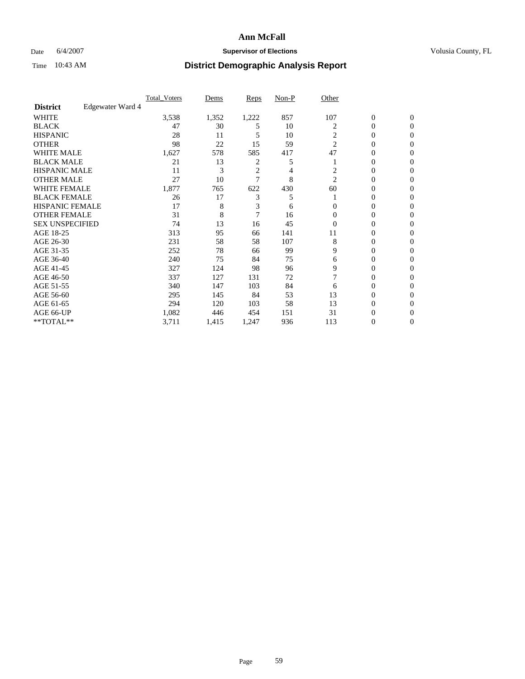### Date 6/4/2007 **Supervisor of Elections Supervisor of Elections** Volusia County, FL

|                        |                  | <b>Total Voters</b> | Dems  | Reps           | Non-P | Other          |                  |                  |  |
|------------------------|------------------|---------------------|-------|----------------|-------|----------------|------------------|------------------|--|
| <b>District</b>        | Edgewater Ward 4 |                     |       |                |       |                |                  |                  |  |
| <b>WHITE</b>           |                  | 3,538               | 1,352 | 1,222          | 857   | 107            | $\boldsymbol{0}$ | $\mathbf{0}$     |  |
| <b>BLACK</b>           |                  | 47                  | 30    | 5              | 10    | 2              | 0                | $\mathbf{0}$     |  |
| <b>HISPANIC</b>        |                  | 28                  | 11    | 5              | 10    | $\overline{c}$ | 0                | $\mathbf{0}$     |  |
| <b>OTHER</b>           |                  | 98                  | 22    | 15             | 59    | $\overline{2}$ | $\overline{0}$   | $\boldsymbol{0}$ |  |
| <b>WHITE MALE</b>      |                  | 1,627               | 578   | 585            | 417   | 47             | 0                | $\theta$         |  |
| <b>BLACK MALE</b>      |                  | 21                  | 13    | 2              | 5     |                | 0                | 0                |  |
| <b>HISPANIC MALE</b>   |                  | 11                  | 3     | $\overline{2}$ | 4     | 2              | 0                | 0                |  |
| <b>OTHER MALE</b>      |                  | 27                  | 10    | 7              | 8     | $\overline{2}$ | 0                | 0                |  |
| WHITE FEMALE           |                  | 1,877               | 765   | 622            | 430   | 60             | 0                | 0                |  |
| <b>BLACK FEMALE</b>    |                  | 26                  | 17    | 3              | 5     |                | 0                | $\mathbf{0}$     |  |
| <b>HISPANIC FEMALE</b> |                  | 17                  | 8     | 3              | 6     | 0              | 0                | $\Omega$         |  |
| <b>OTHER FEMALE</b>    |                  | 31                  | 8     | $\overline{7}$ | 16    | $\Omega$       | 0                | $\theta$         |  |
| <b>SEX UNSPECIFIED</b> |                  | 74                  | 13    | 16             | 45    | $\overline{0}$ | 0                | $\Omega$         |  |
| AGE 18-25              |                  | 313                 | 95    | 66             | 141   | 11             | 0                | 0                |  |
| AGE 26-30              |                  | 231                 | 58    | 58             | 107   | 8              | 0                | $\Omega$         |  |
| AGE 31-35              |                  | 252                 | 78    | 66             | 99    | 9              | 0                | 0                |  |
| AGE 36-40              |                  | 240                 | 75    | 84             | 75    | 6              | 0                | 0                |  |
| AGE 41-45              |                  | 327                 | 124   | 98             | 96    | 9              | 0                | 0                |  |
| AGE 46-50              |                  | 337                 | 127   | 131            | 72    |                | 0                | $\mathbf{0}$     |  |
| AGE 51-55              |                  | 340                 | 147   | 103            | 84    | 6              | 0                | $\Omega$         |  |
| AGE 56-60              |                  | 295                 | 145   | 84             | 53    | 13             | 0                | $\theta$         |  |
| AGE 61-65              |                  | 294                 | 120   | 103            | 58    | 13             | 0                | 0                |  |
| AGE 66-UP              |                  | 1,082               | 446   | 454            | 151   | 31             | 0                | $\theta$         |  |
| **TOTAL**              |                  | 3,711               | 1,415 | 1,247          | 936   | 113            | 0                | $\mathbf{0}$     |  |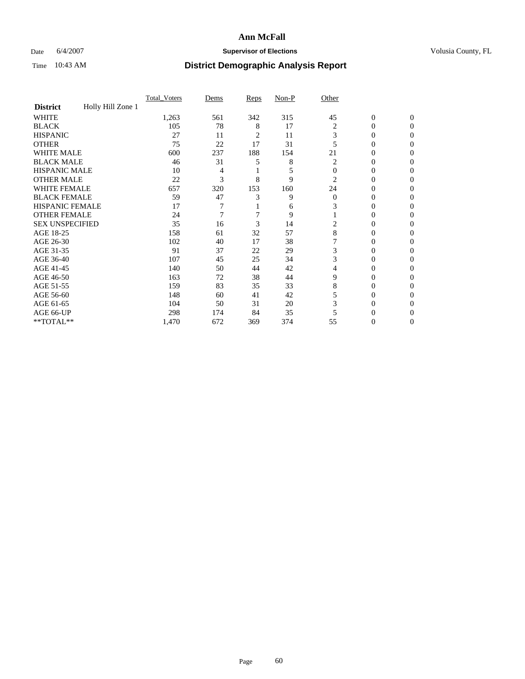### Date 6/4/2007 **Supervisor of Elections Supervisor of Elections** Volusia County, FL

|                        |                   | <b>Total Voters</b> | Dems | Reps | Non-P | Other    |                  |              |  |
|------------------------|-------------------|---------------------|------|------|-------|----------|------------------|--------------|--|
| <b>District</b>        | Holly Hill Zone 1 |                     |      |      |       |          |                  |              |  |
| <b>WHITE</b>           |                   | 1,263               | 561  | 342  | 315   | 45       | $\boldsymbol{0}$ | $\mathbf{0}$ |  |
| <b>BLACK</b>           |                   | 105                 | 78   | 8    | 17    | 2        | 0                | $\mathbf{0}$ |  |
| <b>HISPANIC</b>        |                   | 27                  | 11   | 2    | 11    | 3        | 0                | $\Omega$     |  |
| <b>OTHER</b>           |                   | 75                  | 22   | 17   | 31    |          | $\overline{0}$   | $\theta$     |  |
| <b>WHITE MALE</b>      |                   | 600                 | 237  | 188  | 154   | 21       | 0                | 0            |  |
| <b>BLACK MALE</b>      |                   | 46                  | 31   | 5    | 8     | 2        | 0                | 0            |  |
| <b>HISPANIC MALE</b>   |                   | 10                  | 4    |      | 5     | $\Omega$ | 0                |              |  |
| <b>OTHER MALE</b>      |                   | 22                  | 3    | 8    | 9     | 2        | 0                | 0            |  |
| WHITE FEMALE           |                   | 657                 | 320  | 153  | 160   | 24       | 0                | 0            |  |
| <b>BLACK FEMALE</b>    |                   | 59                  | 47   | 3    | 9     | $\Omega$ | 0                | 0            |  |
| <b>HISPANIC FEMALE</b> |                   | 17                  |      |      | 6     |          | 0                | $\Omega$     |  |
| <b>OTHER FEMALE</b>    |                   | 24                  | 7    |      | 9     |          | 0                | $\theta$     |  |
| <b>SEX UNSPECIFIED</b> |                   | 35                  | 16   | 3    | 14    | 2        | 0                | $\theta$     |  |
| AGE 18-25              |                   | 158                 | 61   | 32   | 57    | 8        | 0                | $_{0}$       |  |
| AGE 26-30              |                   | 102                 | 40   | 17   | 38    |          | 0                | 0            |  |
| AGE 31-35              |                   | 91                  | 37   | 22   | 29    | 3        | 0                |              |  |
| AGE 36-40              |                   | 107                 | 45   | 25   | 34    | 3        | 0                | 0            |  |
| AGE 41-45              |                   | 140                 | 50   | 44   | 42    | 4        | 0                | 0            |  |
| AGE 46-50              |                   | 163                 | 72   | 38   | 44    | 9        | 0                | $\Omega$     |  |
| AGE 51-55              |                   | 159                 | 83   | 35   | 33    | 8        | 0                | $\theta$     |  |
| AGE 56-60              |                   | 148                 | 60   | 41   | 42    | 5        | 0                | $\theta$     |  |
| AGE 61-65              |                   | 104                 | 50   | 31   | 20    | 3        | 0                | 0            |  |
| AGE 66-UP              |                   | 298                 | 174  | 84   | 35    |          | 0                |              |  |
| **TOTAL**              |                   | 1,470               | 672  | 369  | 374   | 55       | 0                | 0            |  |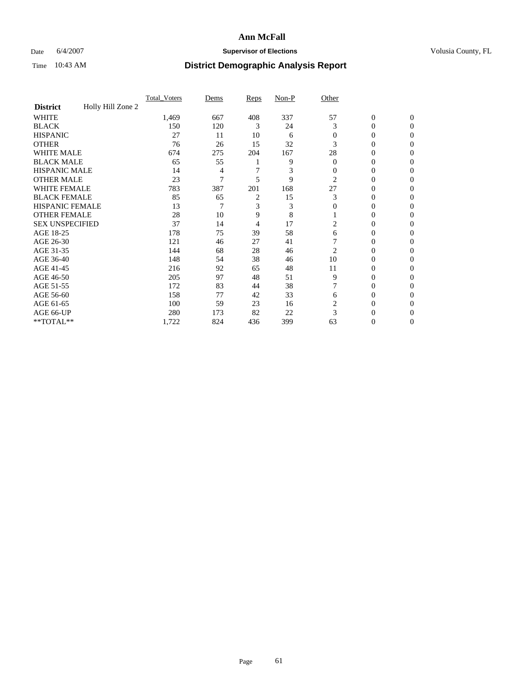### Date 6/4/2007 **Supervisor of Elections Supervisor of Elections** Volusia County, FL

|                        |                   | <b>Total_Voters</b> | Dems | <b>Reps</b> | Non-P | Other    |                  |                |  |
|------------------------|-------------------|---------------------|------|-------------|-------|----------|------------------|----------------|--|
| <b>District</b>        | Holly Hill Zone 2 |                     |      |             |       |          |                  |                |  |
| <b>WHITE</b>           |                   | 1,469               | 667  | 408         | 337   | 57       | $\boldsymbol{0}$ | $\mathbf{0}$   |  |
| <b>BLACK</b>           |                   | 150                 | 120  | 3           | 24    | 3        | 0                | $\mathbf{0}$   |  |
| <b>HISPANIC</b>        |                   | 27                  | 11   | 10          | 6     | 0        | 0                | $\Omega$       |  |
| <b>OTHER</b>           |                   | 76                  | 26   | 15          | 32    | 3        | 0                | $\Omega$       |  |
| <b>WHITE MALE</b>      |                   | 674                 | 275  | 204         | 167   | 28       | 0                | 0              |  |
| <b>BLACK MALE</b>      |                   | 65                  | 55   |             | 9     | $\Omega$ | 0                | 0              |  |
| <b>HISPANIC MALE</b>   |                   | 14                  | 4    |             | 3     | 0        | 0                | 0              |  |
| <b>OTHER MALE</b>      |                   | 23                  | 7    | 5           | 9     | 2        | $\overline{0}$   | 0              |  |
| WHITE FEMALE           |                   | 783                 | 387  | 201         | 168   | 27       | 0                | 0              |  |
| <b>BLACK FEMALE</b>    |                   | 85                  | 65   | 2           | 15    | 3        | 0                | 0              |  |
| <b>HISPANIC FEMALE</b> |                   | 13                  |      | 3           | 3     | 0        | 0                | $\Omega$       |  |
| <b>OTHER FEMALE</b>    |                   | 28                  | 10   | 9           | 8     |          | 0                | $\Omega$       |  |
| <b>SEX UNSPECIFIED</b> |                   | 37                  | 14   | 4           | 17    | 2        | 0                | $\Omega$       |  |
| AGE 18-25              |                   | 178                 | 75   | 39          | 58    | 6        | 0                | $_{0}$         |  |
| AGE 26-30              |                   | 121                 | 46   | 27          | 41    |          | 0                | 0              |  |
| AGE 31-35              |                   | 144                 | 68   | 28          | 46    | 2        | 0                | 0              |  |
| AGE 36-40              |                   | 148                 | 54   | 38          | 46    | 10       | 0                | 0              |  |
| AGE 41-45              |                   | 216                 | 92   | 65          | 48    | 11       | 0                | 0              |  |
| AGE 46-50              |                   | 205                 | 97   | 48          | 51    | 9        | 0                | $\Omega$       |  |
| AGE 51-55              |                   | 172                 | 83   | 44          | 38    |          | 0                | $\Omega$       |  |
| AGE 56-60              |                   | 158                 | 77   | 42          | 33    | 6        | 0                | $\Omega$       |  |
| AGE 61-65              |                   | 100                 | 59   | 23          | 16    | 2        | 0                | 0              |  |
| AGE 66-UP              |                   | 280                 | 173  | 82          | 22    | 3        | $\theta$         |                |  |
| **TOTAL**              |                   | 1,722               | 824  | 436         | 399   | 63       | 0                | $\overline{0}$ |  |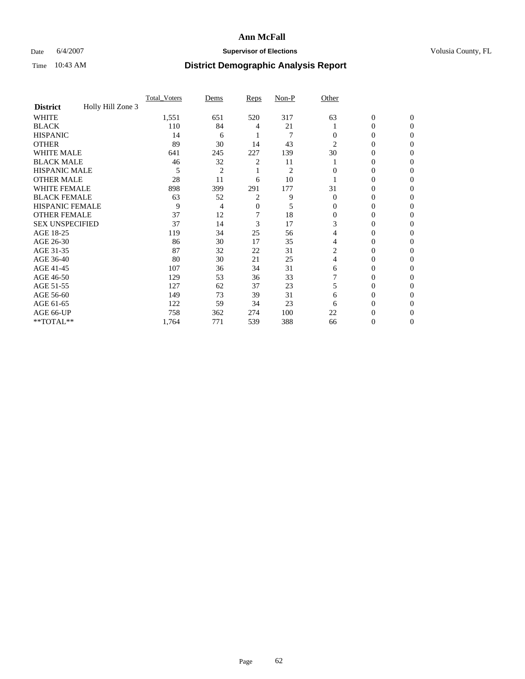### Date 6/4/2007 **Supervisor of Elections Supervisor of Elections** Volusia County, FL

|                        |                   | <b>Total Voters</b> | Dems           | Reps | Non-P          | Other    |                  |              |  |
|------------------------|-------------------|---------------------|----------------|------|----------------|----------|------------------|--------------|--|
| <b>District</b>        | Holly Hill Zone 3 |                     |                |      |                |          |                  |              |  |
| <b>WHITE</b>           |                   | 1,551               | 651            | 520  | 317            | 63       | $\boldsymbol{0}$ | $\mathbf{0}$ |  |
| <b>BLACK</b>           |                   | 110                 | 84             | 4    | 21             |          | 0                | $\mathbf{0}$ |  |
| <b>HISPANIC</b>        |                   | 14                  | 6              |      | 7              | 0        | 0                | $\Omega$     |  |
| <b>OTHER</b>           |                   | 89                  | 30             | 14   | 43             | 2        | $\theta$         | $\theta$     |  |
| <b>WHITE MALE</b>      |                   | 641                 | 245            | 227  | 139            | 30       | 0                | 0            |  |
| <b>BLACK MALE</b>      |                   | 46                  | 32             | 2    | 11             |          | 0                | 0            |  |
| <b>HISPANIC MALE</b>   |                   | 5                   | $\overline{2}$ |      | $\overline{2}$ |          | 0                |              |  |
| <b>OTHER MALE</b>      |                   | 28                  | 11             | 6    | 10             |          | 0                | 0            |  |
| WHITE FEMALE           |                   | 898                 | 399            | 291  | 177            | 31       | 0                | 0            |  |
| <b>BLACK FEMALE</b>    |                   | 63                  | 52             | 2    | 9              | $\Omega$ | 0                | 0            |  |
| <b>HISPANIC FEMALE</b> |                   | 9                   | 4              | 0    | 5              | 0        | 0                | $\Omega$     |  |
| <b>OTHER FEMALE</b>    |                   | 37                  | 12             |      | 18             | $\Omega$ | 0                | $\theta$     |  |
| <b>SEX UNSPECIFIED</b> |                   | 37                  | 14             | 3    | 17             | 3        | 0                | $\theta$     |  |
| AGE 18-25              |                   | 119                 | 34             | 25   | 56             | 4        | 0                | $_{0}$       |  |
| AGE 26-30              |                   | 86                  | 30             | 17   | 35             | 4        | 0                | 0            |  |
| AGE 31-35              |                   | 87                  | 32             | 22   | 31             | 2        | 0                |              |  |
| AGE 36-40              |                   | 80                  | 30             | 21   | 25             | 4        | 0                | 0            |  |
| AGE 41-45              |                   | 107                 | 36             | 34   | 31             | 6        | 0                | 0            |  |
| AGE 46-50              |                   | 129                 | 53             | 36   | 33             |          | 0                | $\Omega$     |  |
| AGE 51-55              |                   | 127                 | 62             | 37   | 23             | 5        | 0                | $\theta$     |  |
| AGE 56-60              |                   | 149                 | 73             | 39   | 31             | 6        | 0                | $\theta$     |  |
| AGE 61-65              |                   | 122                 | 59             | 34   | 23             | 6        | 0                | 0            |  |
| AGE 66-UP              |                   | 758                 | 362            | 274  | 100            | 22       | 0                |              |  |
| **TOTAL**              |                   | 1,764               | 771            | 539  | 388            | 66       | 0                | 0            |  |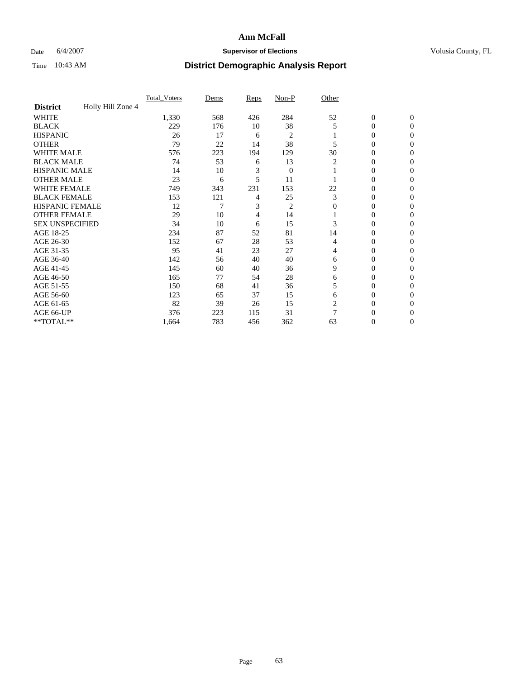### Date 6/4/2007 **Supervisor of Elections Supervisor of Elections** Volusia County, FL

|                        |                   | Total Voters | Dems | <b>Reps</b> | Non-P          | Other |                  |                |  |
|------------------------|-------------------|--------------|------|-------------|----------------|-------|------------------|----------------|--|
| <b>District</b>        | Holly Hill Zone 4 |              |      |             |                |       |                  |                |  |
| <b>WHITE</b>           |                   | 1,330        | 568  | 426         | 284            | 52    | $\boldsymbol{0}$ | $\mathbf{0}$   |  |
| <b>BLACK</b>           |                   | 229          | 176  | 10          | 38             | 5     | 0                | $\mathbf{0}$   |  |
| <b>HISPANIC</b>        |                   | 26           | 17   | 6           | 2              |       | 0                | $\Omega$       |  |
| <b>OTHER</b>           |                   | 79           | 22   | 14          | 38             |       | $\overline{0}$   | $\Omega$       |  |
| <b>WHITE MALE</b>      |                   | 576          | 223  | 194         | 129            | 30    | 0                | 0              |  |
| <b>BLACK MALE</b>      |                   | 74           | 53   | 6           | 13             | 2     | 0                | 0              |  |
| <b>HISPANIC MALE</b>   |                   | 14           | 10   | 3           | $\mathbf{0}$   |       | 0                | 0              |  |
| <b>OTHER MALE</b>      |                   | 23           | 6    | 5           | 11             |       | 0                | 0              |  |
| WHITE FEMALE           |                   | 749          | 343  | 231         | 153            | 22    | 0                | 0              |  |
| <b>BLACK FEMALE</b>    |                   | 153          | 121  | 4           | 25             | 3     | 0                | $\bf{0}$       |  |
| <b>HISPANIC FEMALE</b> |                   | 12           | 7    | 3           | $\overline{c}$ | 0     | 0                | $\Omega$       |  |
| <b>OTHER FEMALE</b>    |                   | 29           | 10   | 4           | 14             |       | 0                | $\Omega$       |  |
| <b>SEX UNSPECIFIED</b> |                   | 34           | 10   | 6           | 15             | 3     | 0                | $\Omega$       |  |
| AGE 18-25              |                   | 234          | 87   | 52          | 81             | 14    | 0                | 0              |  |
| AGE 26-30              |                   | 152          | 67   | 28          | 53             | 4     | 0                | $\Omega$       |  |
| AGE 31-35              |                   | 95           | 41   | 23          | 27             | 4     | 0                | 0              |  |
| AGE 36-40              |                   | 142          | 56   | 40          | 40             | 6     | $\overline{0}$   | 0              |  |
| AGE 41-45              |                   | 145          | 60   | 40          | 36             | 9     | 0                | 0              |  |
| AGE 46-50              |                   | 165          | 77   | 54          | 28             | 6     | 0                | $\Omega$       |  |
| AGE 51-55              |                   | 150          | 68   | 41          | 36             | 5     | 0                | $\Omega$       |  |
| AGE 56-60              |                   | 123          | 65   | 37          | 15             | 6     | 0                | $\Omega$       |  |
| AGE 61-65              |                   | 82           | 39   | 26          | 15             | 2     | 0                | 0              |  |
| AGE 66-UP              |                   | 376          | 223  | 115         | 31             | 7     | 0                | $\theta$       |  |
| **TOTAL**              |                   | 1,664        | 783  | 456         | 362            | 63    | 0                | $\overline{0}$ |  |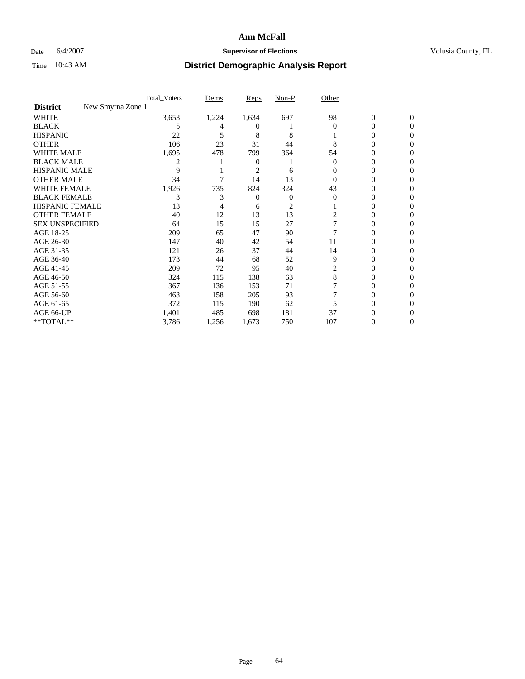### Date 6/4/2007 **Supervisor of Elections Supervisor of Elections** Volusia County, FL

|                                      | <b>Total Voters</b> | Dems  | Reps           | Non-P          | Other    |              |              |  |
|--------------------------------------|---------------------|-------|----------------|----------------|----------|--------------|--------------|--|
| New Smyrna Zone 1<br><b>District</b> |                     |       |                |                |          |              |              |  |
| <b>WHITE</b>                         | 3,653               | 1,224 | 1,634          | 697            | 98       | $\mathbf{0}$ | $\mathbf{0}$ |  |
| <b>BLACK</b>                         | 5                   |       | $_{0}$         |                | $\Omega$ | $\theta$     | $\Omega$     |  |
| <b>HISPANIC</b>                      | 22                  | 5     | 8              | 8              |          | 0            | $\theta$     |  |
| <b>OTHER</b>                         | 106                 | 23    | 31             | 44             | 8        | 0            | 0            |  |
| <b>WHITE MALE</b>                    | 1,695               | 478   | 799            | 364            | 54       | 0            |              |  |
| <b>BLACK MALE</b>                    | 2                   |       | 0              |                | $\theta$ | 0            | 0            |  |
| <b>HISPANIC MALE</b>                 | 9                   |       | $\overline{c}$ | 6              |          | 0            |              |  |
| <b>OTHER MALE</b>                    | 34                  |       | 14             | 13             | 0        | 0            | 0            |  |
| WHITE FEMALE                         | 1,926               | 735   | 824            | 324            | 43       | 0            | 0            |  |
| <b>BLACK FEMALE</b>                  | 3                   | 3     | 0              | 0              | $\Omega$ | 0            | 0            |  |
| <b>HISPANIC FEMALE</b>               | 13                  |       | 6              | $\overline{c}$ |          | 0            | 0            |  |
| <b>OTHER FEMALE</b>                  | 40                  | 12    | 13             | 13             | 2        | 0            | 0            |  |
| <b>SEX UNSPECIFIED</b>               | 64                  | 15    | 15             | 27             |          | 0            | 0            |  |
| AGE 18-25                            | 209                 | 65    | 47             | 90             |          | 0            |              |  |
| AGE 26-30                            | 147                 | 40    | 42             | 54             | 11       | 0            | $\theta$     |  |
| AGE 31-35                            | 121                 | 26    | 37             | 44             | 14       | 0            |              |  |
| AGE 36-40                            | 173                 | 44    | 68             | 52             | 9        | 0            | 0            |  |
| AGE 41-45                            | 209                 | 72    | 95             | 40             |          | 0            | 0            |  |
| AGE 46-50                            | 324                 | 115   | 138            | 63             | 8        | 0            | 0            |  |
| AGE 51-55                            | 367                 | 136   | 153            | 71             |          | 0            | $\theta$     |  |
| AGE 56-60                            | 463                 | 158   | 205            | 93             |          | 0            | 0            |  |
| AGE 61-65                            | 372                 | 115   | 190            | 62             |          | 0            |              |  |
| AGE 66-UP                            | 1,401               | 485   | 698            | 181            | 37       |              |              |  |
| **TOTAL**                            | 3,786               | 1,256 | 1,673          | 750            | 107      | 0            | 0            |  |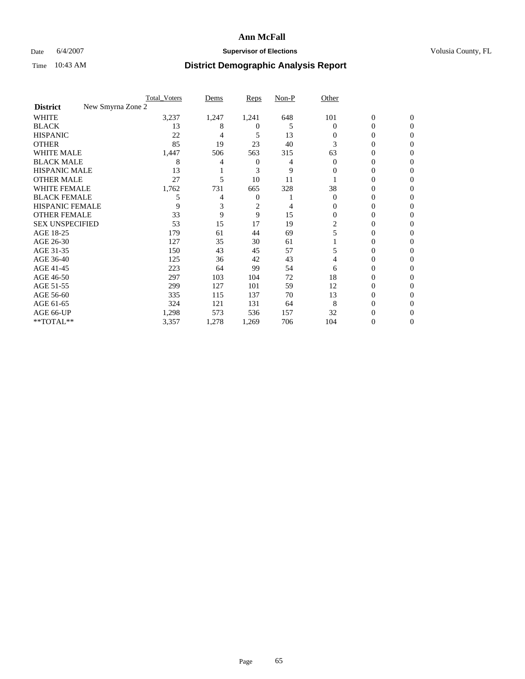### Date 6/4/2007 **Supervisor of Elections Supervisor of Elections** Volusia County, FL

|                                      | <b>Total Voters</b> | Dems  | Reps           | Non-P | Other    |                  |              |  |
|--------------------------------------|---------------------|-------|----------------|-------|----------|------------------|--------------|--|
| New Smyrna Zone 2<br><b>District</b> |                     |       |                |       |          |                  |              |  |
| <b>WHITE</b>                         | 3,237               | 1,247 | 1,241          | 648   | 101      | $\boldsymbol{0}$ | $\mathbf{0}$ |  |
| <b>BLACK</b>                         | 13                  | 8     | $_{0}$         | 5     | $\Omega$ | 0                | $\mathbf{0}$ |  |
| <b>HISPANIC</b>                      | 22                  | 4     | 5              | 13    | 0        | 0                | $\Omega$     |  |
| <b>OTHER</b>                         | 85                  | 19    | 23             | 40    | 3        | 0                | $\theta$     |  |
| <b>WHITE MALE</b>                    | 1,447               | 506   | 563            | 315   | 63       | 0                |              |  |
| <b>BLACK MALE</b>                    | 8                   |       | 0              | 4     | $\Omega$ | 0                | 0            |  |
| <b>HISPANIC MALE</b>                 | 13                  |       | 3              | 9     | $\theta$ | 0                |              |  |
| <b>OTHER MALE</b>                    | 27                  | 5     | 10             | 11    |          | 0                | 0            |  |
| WHITE FEMALE                         | 1,762               | 731   | 665            | 328   | 38       | 0                | 0            |  |
| <b>BLACK FEMALE</b>                  | 5                   | 4     | 0              |       | $\Omega$ | 0                | 0            |  |
| <b>HISPANIC FEMALE</b>               | 9                   |       | $\overline{c}$ |       | 0        | 0                | $\theta$     |  |
| <b>OTHER FEMALE</b>                  | 33                  | 9     | 9              | 15    | $\Omega$ | 0                | 0            |  |
| <b>SEX UNSPECIFIED</b>               | 53                  | 15    | 17             | 19    | 2        | 0                | 0            |  |
| AGE 18-25                            | 179                 | 61    | 44             | 69    | 5        | 0                |              |  |
| AGE 26-30                            | 127                 | 35    | 30             | 61    |          | 0                | 0            |  |
| AGE 31-35                            | 150                 | 43    | 45             | 57    |          | 0                |              |  |
| AGE 36-40                            | 125                 | 36    | 42             | 43    | 4        | 0                | 0            |  |
| AGE 41-45                            | 223                 | 64    | 99             | 54    | 6        | 0                | 0            |  |
| AGE 46-50                            | 297                 | 103   | 104            | 72    | 18       | 0                | 0            |  |
| AGE 51-55                            | 299                 | 127   | 101            | 59    | 12       | 0                | $\theta$     |  |
| AGE 56-60                            | 335                 | 115   | 137            | 70    | 13       | 0                | 0            |  |
| AGE 61-65                            | 324                 | 121   | 131            | 64    | 8        | 0                |              |  |
| AGE 66-UP                            | 1,298               | 573   | 536            | 157   | 32       | 0                |              |  |
| **TOTAL**                            | 3,357               | 1,278 | 1,269          | 706   | 104      | 0                | 0            |  |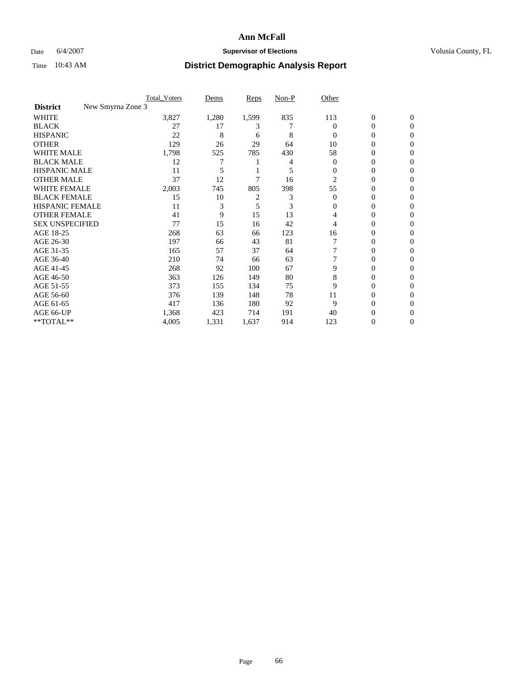### Date 6/4/2007 **Supervisor of Elections Supervisor of Elections** Volusia County, FL

|                                      | <b>Total Voters</b> | Dems  | Reps  | Non-P | Other    |                  |              |  |
|--------------------------------------|---------------------|-------|-------|-------|----------|------------------|--------------|--|
| New Smyrna Zone 3<br><b>District</b> |                     |       |       |       |          |                  |              |  |
| <b>WHITE</b>                         | 3,827               | 1,280 | 1,599 | 835   | 113      | $\boldsymbol{0}$ | $\mathbf{0}$ |  |
| <b>BLACK</b>                         | 27                  | 17    | 3     |       | $\Omega$ | 0                | $\mathbf{0}$ |  |
| <b>HISPANIC</b>                      | 22                  | 8     | 6     | 8     | $\Omega$ | 0                | $\Omega$     |  |
| <b>OTHER</b>                         | 129                 | 26    | 29    | 64    | 10       | $\overline{0}$   | $\theta$     |  |
| <b>WHITE MALE</b>                    | 1,798               | 525   | 785   | 430   | 58       | 0                | 0            |  |
| <b>BLACK MALE</b>                    | 12                  | 7     |       |       | $\Omega$ | 0                | 0            |  |
| <b>HISPANIC MALE</b>                 | 11                  |       |       | 5     | 0        | 0                |              |  |
| <b>OTHER MALE</b>                    | 37                  | 12    |       | 16    | 2        | 0                | 0            |  |
| WHITE FEMALE                         | 2,003               | 745   | 805   | 398   | 55       | 0                | 0            |  |
| <b>BLACK FEMALE</b>                  | 15                  | 10    | 2     | 3     | $\Omega$ | 0                | 0            |  |
| <b>HISPANIC FEMALE</b>               | 11                  | 3     | 5     | 3     | $\Omega$ | 0                | $\Omega$     |  |
| <b>OTHER FEMALE</b>                  | 41                  | 9     | 15    | 13    | 4        | 0                | $\theta$     |  |
| <b>SEX UNSPECIFIED</b>               | 77                  | 15    | 16    | 42    | 4        | 0                | $\theta$     |  |
| AGE 18-25                            | 268                 | 63    | 66    | 123   | 16       | 0                | $_{0}$       |  |
| AGE 26-30                            | 197                 | 66    | 43    | 81    |          | 0                | 0            |  |
| AGE 31-35                            | 165                 | 57    | 37    | 64    |          | 0                | 0            |  |
| AGE 36-40                            | 210                 | 74    | 66    | 63    |          | 0                | 0            |  |
| AGE 41-45                            | 268                 | 92    | 100   | 67    | 9        | 0                | 0            |  |
| AGE 46-50                            | 363                 | 126   | 149   | 80    | 8        | 0                | $\Omega$     |  |
| AGE 51-55                            | 373                 | 155   | 134   | 75    | 9        | 0                | $\theta$     |  |
| AGE 56-60                            | 376                 | 139   | 148   | 78    | 11       | 0                | $\theta$     |  |
| AGE 61-65                            | 417                 | 136   | 180   | 92    | 9        | 0                | 0            |  |
| AGE 66-UP                            | 1,368               | 423   | 714   | 191   | 40       | 0                |              |  |
| **TOTAL**                            | 4,005               | 1,331 | 1,637 | 914   | 123      | 0                | 0            |  |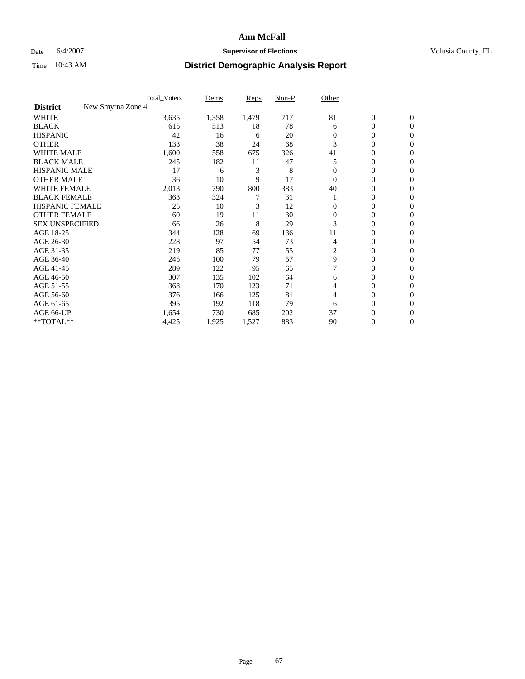### Date 6/4/2007 **Supervisor of Elections Supervisor of Elections** Volusia County, FL

|                                      | <b>Total_Voters</b> | Dems  | <b>Reps</b> | Non-P | Other    |                  |                |  |
|--------------------------------------|---------------------|-------|-------------|-------|----------|------------------|----------------|--|
| New Smyrna Zone 4<br><b>District</b> |                     |       |             |       |          |                  |                |  |
| <b>WHITE</b>                         | 3,635               | 1,358 | 1,479       | 717   | 81       | $\boldsymbol{0}$ | $\mathbf{0}$   |  |
| <b>BLACK</b>                         | 615                 | 513   | 18          | 78    | 6        | 0                | $\mathbf{0}$   |  |
| <b>HISPANIC</b>                      | 42                  | 16    | 6           | 20    | 0        | 0                | $\overline{0}$ |  |
| <b>OTHER</b>                         | 133                 | 38    | 24          | 68    | 3        | $\overline{0}$   | $\Omega$       |  |
| <b>WHITE MALE</b>                    | 1,600               | 558   | 675         | 326   | 41       | 0                | $\Omega$       |  |
| <b>BLACK MALE</b>                    | 245                 | 182   | 11          | 47    | 5        | 0                | $\Omega$       |  |
| <b>HISPANIC MALE</b>                 | 17                  | 6     | 3           | 8     |          | 0                | 0              |  |
| <b>OTHER MALE</b>                    | 36                  | 10    | 9           | 17    | $\Omega$ | 0                | 0              |  |
| <b>WHITE FEMALE</b>                  | 2,013               | 790   | 800         | 383   | 40       | 0                | 0              |  |
| <b>BLACK FEMALE</b>                  | 363                 | 324   |             | 31    |          | 0                | $\mathbf{0}$   |  |
| HISPANIC FEMALE                      | 25                  | 10    | 3           | 12    | 0        | 0                | $\Omega$       |  |
| <b>OTHER FEMALE</b>                  | 60                  | 19    | 11          | 30    | $\Omega$ | 0                | $\Omega$       |  |
| <b>SEX UNSPECIFIED</b>               | 66                  | 26    | 8           | 29    | 3        | 0                | $\Omega$       |  |
| AGE 18-25                            | 344                 | 128   | 69          | 136   | 11       | 0                | 0              |  |
| AGE 26-30                            | 228                 | 97    | 54          | 73    | 4        | 0                | $\Omega$       |  |
| AGE 31-35                            | 219                 | 85    | 77          | 55    | 2        | 0                | 0              |  |
| AGE 36-40                            | 245                 | 100   | 79          | 57    | 9        | 0                | 0              |  |
| AGE 41-45                            | 289                 | 122   | 95          | 65    |          | 0                | 0              |  |
| AGE 46-50                            | 307                 | 135   | 102         | 64    | 6        | 0                | $\mathbf{0}$   |  |
| AGE 51-55                            | 368                 | 170   | 123         | 71    | 4        | 0                | $\Omega$       |  |
| AGE 56-60                            | 376                 | 166   | 125         | 81    | 4        | 0                | $\Omega$       |  |
| AGE 61-65                            | 395                 | 192   | 118         | 79    | 6        | 0                | 0              |  |
| AGE 66-UP                            | 1,654               | 730   | 685         | 202   | 37       | 0                | $_{0}$         |  |
| **TOTAL**                            | 4,425               | 1,925 | 1,527       | 883   | 90       | 0                | $\overline{0}$ |  |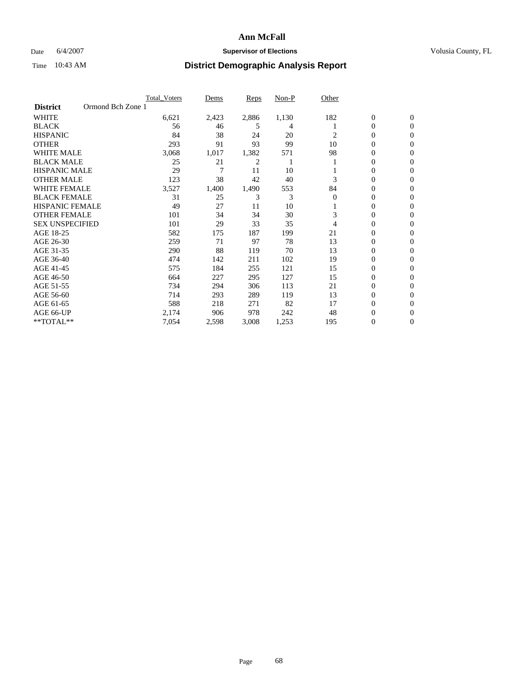### Date 6/4/2007 **Supervisor of Elections Supervisor of Elections** Volusia County, FL

|                        | <b>Total Voters</b> | Dems  | Reps  | Non-P | Other    |                  |                |  |
|------------------------|---------------------|-------|-------|-------|----------|------------------|----------------|--|
| <b>District</b>        | Ormond Bch Zone 1   |       |       |       |          |                  |                |  |
| <b>WHITE</b>           | 6,621               | 2,423 | 2,886 | 1,130 | 182      | $\boldsymbol{0}$ | $\mathbf{0}$   |  |
| <b>BLACK</b>           | 56                  | 46    | 5     | 4     |          | 0                | $\mathbf{0}$   |  |
| <b>HISPANIC</b>        | 84                  | 38    | 24    | 20    | 2        | 0                | $\mathbf{0}$   |  |
| <b>OTHER</b>           | 293                 | 91    | 93    | 99    | 10       | 0                | $\overline{0}$ |  |
| <b>WHITE MALE</b>      | 3,068               | 1,017 | 1,382 | 571   | 98       | 0                | $\mathbf{0}$   |  |
| <b>BLACK MALE</b>      | 25                  | 21    | 2     |       |          | 0                | $\mathbf{0}$   |  |
| <b>HISPANIC MALE</b>   | 29                  | 7     | 11    | 10    |          | 0                | $\Omega$       |  |
| <b>OTHER MALE</b>      | 123                 | 38    | 42    | 40    | 3        | 0                | 0              |  |
| <b>WHITE FEMALE</b>    | 3,527               | 1,400 | 1,490 | 553   | 84       | 0                | $\Omega$       |  |
| <b>BLACK FEMALE</b>    | 31                  | 25    | 3     | 3     | $\Omega$ | 0                | $\mathbf{0}$   |  |
| <b>HISPANIC FEMALE</b> | 49                  | 27    | 11    | 10    |          | 0                | $\mathbf{0}$   |  |
| <b>OTHER FEMALE</b>    | 101                 | 34    | 34    | 30    | 3        | 0                | $\mathbf{0}$   |  |
| <b>SEX UNSPECIFIED</b> | 101                 | 29    | 33    | 35    | 4        | 0                | $\mathbf{0}$   |  |
| AGE 18-25              | 582                 | 175   | 187   | 199   | 21       | 0                | 0              |  |
| AGE 26-30              | 259                 | 71    | 97    | 78    | 13       | 0                | $\Omega$       |  |
| AGE 31-35              | 290                 | 88    | 119   | 70    | 13       | 0                | 0              |  |
| AGE 36-40              | 474                 | 142   | 211   | 102   | 19       | 0                | $\mathbf{0}$   |  |
| AGE 41-45              | 575                 | 184   | 255   | 121   | 15       | 0                | $\mathbf{0}$   |  |
| AGE 46-50              | 664                 | 227   | 295   | 127   | 15       | 0                | $\mathbf{0}$   |  |
| AGE 51-55              | 734                 | 294   | 306   | 113   | 21       | 0                | $\mathbf{0}$   |  |
| AGE 56-60              | 714                 | 293   | 289   | 119   | 13       | 0                | $\mathbf{0}$   |  |
| AGE 61-65              | 588                 | 218   | 271   | 82    | 17       | 0                | $\Omega$       |  |
| AGE 66-UP              | 2,174               | 906   | 978   | 242   | 48       | 0                | 0              |  |
| **TOTAL**              | 7,054               | 2,598 | 3,008 | 1,253 | 195      | 0                | 0              |  |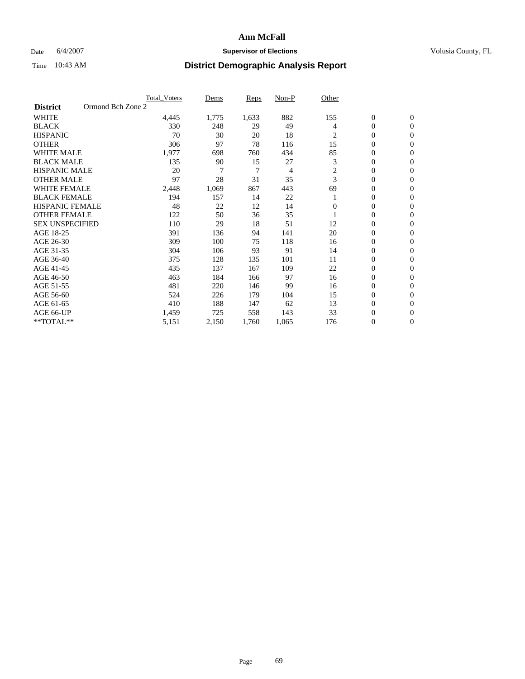### Date 6/4/2007 **Supervisor of Elections Supervisor of Elections** Volusia County, FL

|                        | <b>Total Voters</b> | Dems  | Reps  | Non-P | Other          |                  |                  |  |
|------------------------|---------------------|-------|-------|-------|----------------|------------------|------------------|--|
| <b>District</b>        | Ormond Bch Zone 2   |       |       |       |                |                  |                  |  |
| <b>WHITE</b>           | 4,445               | 1,775 | 1,633 | 882   | 155            | $\boldsymbol{0}$ | $\boldsymbol{0}$ |  |
| <b>BLACK</b>           | 330                 | 248   | 29    | 49    | 4              | $\mathbf{0}$     | $\mathbf{0}$     |  |
| <b>HISPANIC</b>        | 70                  | 30    | 20    | 18    | $\overline{c}$ | $\mathbf{0}$     | $\mathbf{0}$     |  |
| <b>OTHER</b>           | 306                 | 97    | 78    | 116   | 15             | 0                | $\overline{0}$   |  |
| <b>WHITE MALE</b>      | 1,977               | 698   | 760   | 434   | 85             | 0                | $\mathbf{0}$     |  |
| <b>BLACK MALE</b>      | 135                 | 90    | 15    | 27    | 3              | 0                | 0                |  |
| <b>HISPANIC MALE</b>   | 20                  | 7     | 7     | 4     | 2              | 0                | $\mathbf{0}$     |  |
| <b>OTHER MALE</b>      | 97                  | 28    | 31    | 35    | 3              | 0                | $\mathbf{0}$     |  |
| <b>WHITE FEMALE</b>    | 2,448               | 1,069 | 867   | 443   | 69             | 0                | $\mathbf{0}$     |  |
| <b>BLACK FEMALE</b>    | 194                 | 157   | 14    | 22    |                | $\mathbf{0}$     | $\mathbf{0}$     |  |
| <b>HISPANIC FEMALE</b> | 48                  | 22    | 12    | 14    | $\Omega$       | 0                | $\mathbf{0}$     |  |
| <b>OTHER FEMALE</b>    | 122                 | 50    | 36    | 35    |                | 0                | $\overline{0}$   |  |
| <b>SEX UNSPECIFIED</b> | 110                 | 29    | 18    | 51    | 12             | 0                | $\overline{0}$   |  |
| AGE 18-25              | 391                 | 136   | 94    | 141   | 20             | 0                | $\overline{0}$   |  |
| AGE 26-30              | 309                 | 100   | 75    | 118   | 16             | 0                | $\overline{0}$   |  |
| AGE 31-35              | 304                 | 106   | 93    | 91    | 14             | 0                | $\overline{0}$   |  |
| AGE 36-40              | 375                 | 128   | 135   | 101   | 11             | $\boldsymbol{0}$ | $\mathbf{0}$     |  |
| AGE 41-45              | 435                 | 137   | 167   | 109   | 22             | 0                | $\overline{0}$   |  |
| AGE 46-50              | 463                 | 184   | 166   | 97    | 16             | $\mathbf{0}$     | $\mathbf{0}$     |  |
| AGE 51-55              | 481                 | 220   | 146   | 99    | 16             | 0                | $\mathbf{0}$     |  |
| AGE 56-60              | 524                 | 226   | 179   | 104   | 15             | $\boldsymbol{0}$ | $\overline{0}$   |  |
| AGE 61-65              | 410                 | 188   | 147   | 62    | 13             | 0                | $\overline{0}$   |  |
| AGE 66-UP              | 1,459               | 725   | 558   | 143   | 33             | 0                | 0                |  |
| **TOTAL**              | 5,151               | 2,150 | 1,760 | 1,065 | 176            | 0                | $\boldsymbol{0}$ |  |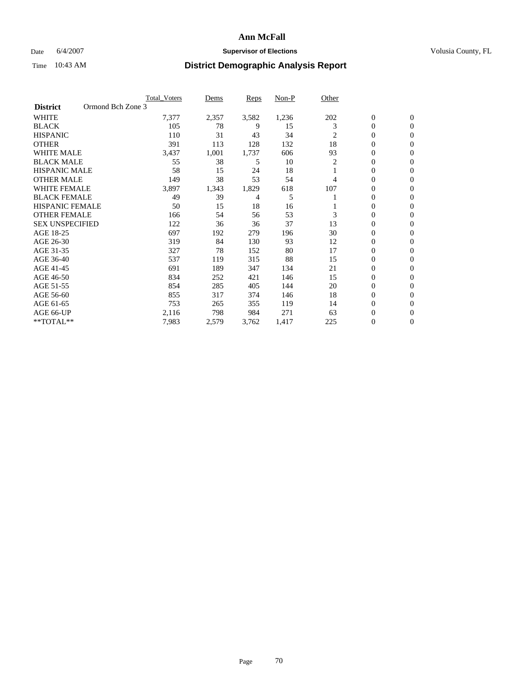### Date 6/4/2007 **Supervisor of Elections Supervisor of Elections** Volusia County, FL

|                                      | <b>Total_Voters</b> | Dems  | Reps  | Non-P | Other |                  |                  |  |
|--------------------------------------|---------------------|-------|-------|-------|-------|------------------|------------------|--|
| Ormond Bch Zone 3<br><b>District</b> |                     |       |       |       |       |                  |                  |  |
| <b>WHITE</b>                         | 7,377               | 2,357 | 3,582 | 1,236 | 202   | $\boldsymbol{0}$ | $\mathbf{0}$     |  |
| <b>BLACK</b>                         | 105                 | 78    | 9     | 15    | 3     | $\overline{0}$   | $\mathbf{0}$     |  |
| <b>HISPANIC</b>                      | 110                 | 31    | 43    | 34    | 2     | $\overline{0}$   | $\mathbf{0}$     |  |
| <b>OTHER</b>                         | 391                 | 113   | 128   | 132   | 18    | $\overline{0}$   | $\overline{0}$   |  |
| <b>WHITE MALE</b>                    | 3,437               | 1,001 | 1,737 | 606   | 93    | 0                | $\overline{0}$   |  |
| <b>BLACK MALE</b>                    | 55                  | 38    | 5     | 10    | 2     | 0                | $\overline{0}$   |  |
| <b>HISPANIC MALE</b>                 | 58                  | 15    | 24    | 18    |       | 0                | $\Omega$         |  |
| <b>OTHER MALE</b>                    | 149                 | 38    | 53    | 54    | 4     | 0                | 0                |  |
| <b>WHITE FEMALE</b>                  | 3,897               | 1,343 | 1,829 | 618   | 107   | 0                | $\Omega$         |  |
| <b>BLACK FEMALE</b>                  | 49                  | 39    | 4     | 5     |       | $\overline{0}$   | $\mathbf{0}$     |  |
| <b>HISPANIC FEMALE</b>               | 50                  | 15    | 18    | 16    |       | 0                | $\mathbf{0}$     |  |
| <b>OTHER FEMALE</b>                  | 166                 | 54    | 56    | 53    | 3     | 0                | $\overline{0}$   |  |
| <b>SEX UNSPECIFIED</b>               | 122                 | 36    | 36    | 37    | 13    | 0                | $\overline{0}$   |  |
| AGE 18-25                            | 697                 | 192   | 279   | 196   | 30    | 0                | $\Omega$         |  |
| AGE 26-30                            | 319                 | 84    | 130   | 93    | 12    | 0                | $\overline{0}$   |  |
| AGE 31-35                            | 327                 | 78    | 152   | 80    | 17    | 0                | 0                |  |
| AGE 36-40                            | 537                 | 119   | 315   | 88    | 15    | $\overline{0}$   | $\mathbf{0}$     |  |
| AGE 41-45                            | 691                 | 189   | 347   | 134   | 21    | 0                | $\mathbf{0}$     |  |
| AGE 46-50                            | 834                 | 252   | 421   | 146   | 15    | $\overline{0}$   | $\mathbf{0}$     |  |
| AGE 51-55                            | 854                 | 285   | 405   | 144   | 20    | 0                | $\mathbf{0}$     |  |
| AGE 56-60                            | 855                 | 317   | 374   | 146   | 18    | 0                | $\overline{0}$   |  |
| AGE 61-65                            | 753                 | 265   | 355   | 119   | 14    | 0                | $\mathbf{0}$     |  |
| AGE 66-UP                            | 2,116               | 798   | 984   | 271   | 63    | 0                | 0                |  |
| **TOTAL**                            | 7,983               | 2,579 | 3,762 | 1,417 | 225   | 0                | $\boldsymbol{0}$ |  |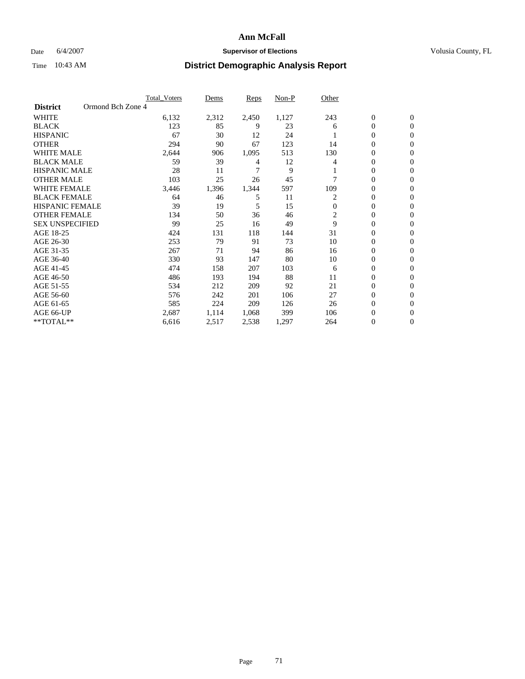### Date 6/4/2007 **Supervisor of Elections Supervisor of Elections** Volusia County, FL

|                                      | <b>Total_Voters</b> | Dems  | Reps  | Non-P | Other          |                  |                |  |
|--------------------------------------|---------------------|-------|-------|-------|----------------|------------------|----------------|--|
| Ormond Bch Zone 4<br><b>District</b> |                     |       |       |       |                |                  |                |  |
| <b>WHITE</b>                         | 6,132               | 2,312 | 2,450 | 1,127 | 243            | $\boldsymbol{0}$ | $\mathbf{0}$   |  |
| <b>BLACK</b>                         | 123                 | 85    | 9     | 23    | 6              | $\overline{0}$   | $\mathbf{0}$   |  |
| <b>HISPANIC</b>                      | 67                  | 30    | 12    | 24    |                | 0                | $\mathbf{0}$   |  |
| <b>OTHER</b>                         | 294                 | 90    | 67    | 123   | 14             | $\overline{0}$   | $\overline{0}$ |  |
| <b>WHITE MALE</b>                    | 2,644               | 906   | 1,095 | 513   | 130            | 0                | $\overline{0}$ |  |
| <b>BLACK MALE</b>                    | 59                  | 39    | 4     | 12    |                | 0                | $\mathbf{0}$   |  |
| <b>HISPANIC MALE</b>                 | 28                  | 11    | 7     | 9     |                | 0                | $\Omega$       |  |
| <b>OTHER MALE</b>                    | 103                 | 25    | 26    | 45    |                | 0                | 0              |  |
| <b>WHITE FEMALE</b>                  | 3,446               | 1,396 | 1,344 | 597   | 109            | 0                | $\Omega$       |  |
| <b>BLACK FEMALE</b>                  | 64                  | 46    | 5     | 11    | 2              | $\overline{0}$   | $\mathbf{0}$   |  |
| <b>HISPANIC FEMALE</b>               | 39                  | 19    | 5     | 15    | $\Omega$       | 0                | $\Omega$       |  |
| <b>OTHER FEMALE</b>                  | 134                 | 50    | 36    | 46    | $\overline{c}$ | 0                | $\overline{0}$ |  |
| <b>SEX UNSPECIFIED</b>               | 99                  | 25    | 16    | 49    | 9              | 0                | $\overline{0}$ |  |
| AGE 18-25                            | 424                 | 131   | 118   | 144   | 31             | 0                | 0              |  |
| AGE 26-30                            | 253                 | 79    | 91    | 73    | 10             | 0                | $\Omega$       |  |
| AGE 31-35                            | 267                 | 71    | 94    | 86    | 16             | 0                | 0              |  |
| AGE 36-40                            | 330                 | 93    | 147   | 80    | 10             | $\overline{0}$   | $\mathbf{0}$   |  |
| AGE 41-45                            | 474                 | 158   | 207   | 103   | 6              | 0                | $\mathbf{0}$   |  |
| AGE 46-50                            | 486                 | 193   | 194   | 88    | 11             | 0                | $\mathbf{0}$   |  |
| AGE 51-55                            | 534                 | 212   | 209   | 92    | 21             | 0                | $\Omega$       |  |
| AGE 56-60                            | 576                 | 242   | 201   | 106   | 27             | 0                | $\Omega$       |  |
| AGE 61-65                            | 585                 | 224   | 209   | 126   | 26             | 0                | $\Omega$       |  |
| AGE 66-UP                            | 2,687               | 1,114 | 1,068 | 399   | 106            | 0                | 0              |  |
| **TOTAL**                            | 6,616               | 2,517 | 2,538 | 1,297 | 264            | 0                | 0              |  |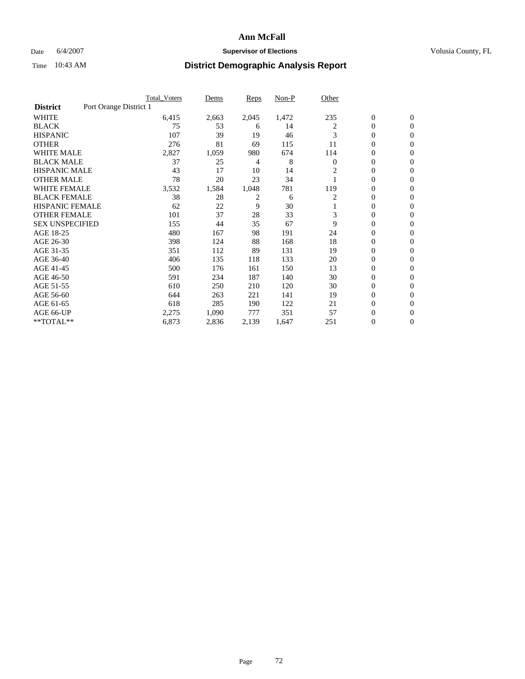### Date 6/4/2007 **Supervisor of Elections Supervisor of Elections** Volusia County, FL

|                        | <b>Total Voters</b>    | Dems  | <b>Reps</b> | Non-P | Other        |                  |                  |  |
|------------------------|------------------------|-------|-------------|-------|--------------|------------------|------------------|--|
| <b>District</b>        | Port Orange District 1 |       |             |       |              |                  |                  |  |
| <b>WHITE</b>           | 6,415                  | 2,663 | 2,045       | 1,472 | 235          | $\boldsymbol{0}$ | $\boldsymbol{0}$ |  |
| <b>BLACK</b>           | 75                     | 53    | 6           | 14    | 2            | $\mathbf{0}$     | $\mathbf{0}$     |  |
| <b>HISPANIC</b>        | 107                    | 39    | 19          | 46    | 3            | $\mathbf{0}$     | $\mathbf{0}$     |  |
| <b>OTHER</b>           | 276                    | 81    | 69          | 115   | 11           | 0                | $\overline{0}$   |  |
| <b>WHITE MALE</b>      | 2,827                  | 1,059 | 980         | 674   | 114          | 0                | $\mathbf{0}$     |  |
| <b>BLACK MALE</b>      | 37                     | 25    | 4           | 8     | $\mathbf{0}$ | 0                | $\mathbf{0}$     |  |
| <b>HISPANIC MALE</b>   | 43                     | 17    | 10          | 14    | 2            | 0                | $\Omega$         |  |
| <b>OTHER MALE</b>      | 78                     | 20    | 23          | 34    |              | 0                | $\mathbf{0}$     |  |
| WHITE FEMALE           | 3,532                  | 1,584 | 1,048       | 781   | 119          | 0                | $\Omega$         |  |
| <b>BLACK FEMALE</b>    | 38                     | 28    | 2           | 6     | 2            | $\mathbf{0}$     | $\mathbf{0}$     |  |
| <b>HISPANIC FEMALE</b> | 62                     | 22    | 9           | 30    |              | 0                | $\mathbf{0}$     |  |
| <b>OTHER FEMALE</b>    | 101                    | 37    | 28          | 33    | 3            | 0                | $\mathbf{0}$     |  |
| <b>SEX UNSPECIFIED</b> | 155                    | 44    | 35          | 67    | 9            | 0                | $\mathbf{0}$     |  |
| AGE 18-25              | 480                    | 167   | 98          | 191   | 24           | 0                | $\mathbf{0}$     |  |
| AGE 26-30              | 398                    | 124   | 88          | 168   | 18           | 0                | $\mathbf{0}$     |  |
| AGE 31-35              | 351                    | 112   | 89          | 131   | 19           | 0                | $\mathbf{0}$     |  |
| AGE 36-40              | 406                    | 135   | 118         | 133   | 20           | $\boldsymbol{0}$ | $\mathbf{0}$     |  |
| AGE 41-45              | 500                    | 176   | 161         | 150   | 13           | 0                | $\mathbf{0}$     |  |
| AGE 46-50              | 591                    | 234   | 187         | 140   | 30           | 0                | $\mathbf{0}$     |  |
| AGE 51-55              | 610                    | 250   | 210         | 120   | 30           | 0                | $\mathbf{0}$     |  |
| AGE 56-60              | 644                    | 263   | 221         | 141   | 19           | 0                | $\overline{0}$   |  |
| AGE 61-65              | 618                    | 285   | 190         | 122   | 21           | 0                | $\overline{0}$   |  |
| AGE 66-UP              | 2,275                  | 1,090 | 777         | 351   | 57           | 0                | 0                |  |
| **TOTAL**              | 6,873                  | 2,836 | 2,139       | 1,647 | 251          | 0                | $\boldsymbol{0}$ |  |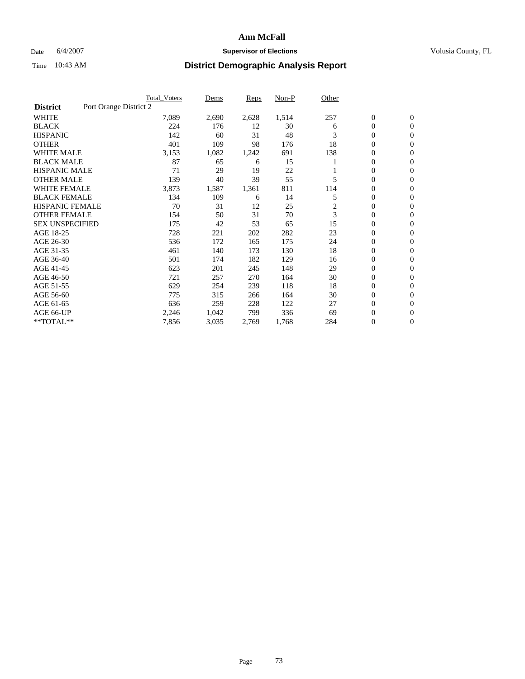#### **Ann McFall**

### Date 6/4/2007 **Supervisor of Elections Supervisor of Elections** Volusia County, FL

# Time 10:43 AM **District Demographic Analysis Report**

|                        | <b>Total Voters</b>    | Dems  | Reps  | Non-P | Other |                  |                  |  |
|------------------------|------------------------|-------|-------|-------|-------|------------------|------------------|--|
| <b>District</b>        | Port Orange District 2 |       |       |       |       |                  |                  |  |
| <b>WHITE</b>           | 7,089                  | 2,690 | 2,628 | 1,514 | 257   | $\boldsymbol{0}$ | $\boldsymbol{0}$ |  |
| <b>BLACK</b>           | 224                    | 176   | 12    | 30    | 6     | $\mathbf{0}$     | $\mathbf{0}$     |  |
| <b>HISPANIC</b>        | 142                    | 60    | 31    | 48    | 3     | $\mathbf{0}$     | $\mathbf{0}$     |  |
| <b>OTHER</b>           | 401                    | 109   | 98    | 176   | 18    | 0                | $\overline{0}$   |  |
| <b>WHITE MALE</b>      | 3,153                  | 1,082 | 1,242 | 691   | 138   | 0                | $\mathbf{0}$     |  |
| <b>BLACK MALE</b>      | 87                     | 65    | 6     | 15    |       | 0                | 0                |  |
| <b>HISPANIC MALE</b>   | 71                     | 29    | 19    | 22    |       | 0                | $\mathbf{0}$     |  |
| <b>OTHER MALE</b>      | 139                    | 40    | 39    | 55    | 5     | 0                | $\mathbf{0}$     |  |
| <b>WHITE FEMALE</b>    | 3,873                  | 1,587 | 1,361 | 811   | 114   | 0                | $\mathbf{0}$     |  |
| <b>BLACK FEMALE</b>    | 134                    | 109   | 6     | 14    | 5     | $\mathbf{0}$     | $\mathbf{0}$     |  |
| <b>HISPANIC FEMALE</b> | 70                     | 31    | 12    | 25    | 2     | 0                | $\mathbf{0}$     |  |
| <b>OTHER FEMALE</b>    | 154                    | 50    | 31    | 70    | 3     | $\overline{0}$   | $\mathbf{0}$     |  |
| <b>SEX UNSPECIFIED</b> | 175                    | 42    | 53    | 65    | 15    | $\boldsymbol{0}$ | $\mathbf{0}$     |  |
| AGE 18-25              | 728                    | 221   | 202   | 282   | 23    | 0                | $\mathbf{0}$     |  |
| AGE 26-30              | 536                    | 172   | 165   | 175   | 24    | 0                | $\mathbf{0}$     |  |
| AGE 31-35              | 461                    | 140   | 173   | 130   | 18    | 0                | $\mathbf{0}$     |  |
| AGE 36-40              | 501                    | 174   | 182   | 129   | 16    | $\boldsymbol{0}$ | $\mathbf{0}$     |  |
| AGE 41-45              | 623                    | 201   | 245   | 148   | 29    | 0                | $\mathbf{0}$     |  |
| AGE 46-50              | 721                    | 257   | 270   | 164   | 30    | $\mathbf{0}$     | $\mathbf{0}$     |  |
| AGE 51-55              | 629                    | 254   | 239   | 118   | 18    | 0                | $\mathbf{0}$     |  |
| AGE 56-60              | 775                    | 315   | 266   | 164   | 30    | $\boldsymbol{0}$ | $\mathbf{0}$     |  |
| AGE 61-65              | 636                    | 259   | 228   | 122   | 27    | 0                | $\mathbf{0}$     |  |
| AGE 66-UP              | 2,246                  | 1,042 | 799   | 336   | 69    | 0                | 0                |  |
| **TOTAL**              | 7,856                  | 3,035 | 2,769 | 1,768 | 284   | 0                | $\boldsymbol{0}$ |  |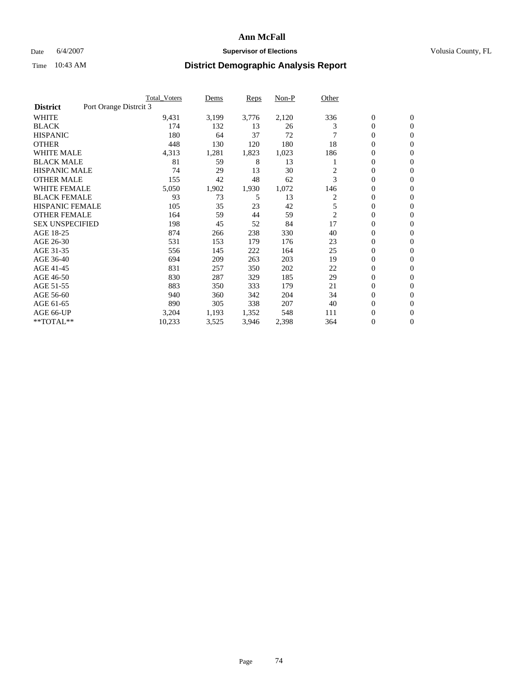#### **Ann McFall**

#### Date 6/4/2007 **Supervisor of Elections Supervisor of Elections** Volusia County, FL

# Time 10:43 AM **District Demographic Analysis Report**

|                        | <b>Total Voters</b>    | Dems  | Reps  | Non-P | Other          |                  |                  |  |
|------------------------|------------------------|-------|-------|-------|----------------|------------------|------------------|--|
| <b>District</b>        | Port Orange Distrcit 3 |       |       |       |                |                  |                  |  |
| <b>WHITE</b>           | 9,431                  | 3,199 | 3,776 | 2,120 | 336            | $\boldsymbol{0}$ | $\mathbf{0}$     |  |
| <b>BLACK</b>           | 174                    | 132   | 13    | 26    | 3              | $\mathbf{0}$     | $\mathbf{0}$     |  |
| <b>HISPANIC</b>        | 180                    | 64    | 37    | 72    |                | 0                | $\mathbf{0}$     |  |
| <b>OTHER</b>           | 448                    | 130   | 120   | 180   | 18             | 0                | $\mathbf{0}$     |  |
| <b>WHITE MALE</b>      | 4,313                  | 1,281 | 1,823 | 1,023 | 186            | 0                | $\mathbf{0}$     |  |
| <b>BLACK MALE</b>      | 81                     | 59    | 8     | 13    |                | 0                | $\boldsymbol{0}$ |  |
| <b>HISPANIC MALE</b>   | 74                     | 29    | 13    | 30    | 2              | 0                | $\mathbf{0}$     |  |
| <b>OTHER MALE</b>      | 155                    | 42    | 48    | 62    | 3              | $\mathbf{0}$     | $\mathbf{0}$     |  |
| <b>WHITE FEMALE</b>    | 5,050                  | 1,902 | 1,930 | 1,072 | 146            | 0                | $\mathbf{0}$     |  |
| <b>BLACK FEMALE</b>    | 93                     | 73    | 5     | 13    | 2              | $\boldsymbol{0}$ | $\mathbf{0}$     |  |
| <b>HISPANIC FEMALE</b> | 105                    | 35    | 23    | 42    | 5              | $\boldsymbol{0}$ | $\mathbf{0}$     |  |
| <b>OTHER FEMALE</b>    | 164                    | 59    | 44    | 59    | $\overline{c}$ | 0                | $\mathbf{0}$     |  |
| <b>SEX UNSPECIFIED</b> | 198                    | 45    | 52    | 84    | 17             | 0                | $\mathbf{0}$     |  |
| AGE 18-25              | 874                    | 266   | 238   | 330   | 40             | 0                | $\mathbf{0}$     |  |
| AGE 26-30              | 531                    | 153   | 179   | 176   | 23             | $\mathbf{0}$     | $\mathbf{0}$     |  |
| AGE 31-35              | 556                    | 145   | 222   | 164   | 25             | 0                | $\mathbf{0}$     |  |
| AGE 36-40              | 694                    | 209   | 263   | 203   | 19             | $\boldsymbol{0}$ | $\mathbf{0}$     |  |
| AGE 41-45              | 831                    | 257   | 350   | 202   | 22             | 0                | $\mathbf{0}$     |  |
| AGE 46-50              | 830                    | 287   | 329   | 185   | 29             | 0                | $\mathbf{0}$     |  |
| AGE 51-55              | 883                    | 350   | 333   | 179   | 21             | $\boldsymbol{0}$ | $\boldsymbol{0}$ |  |
| AGE 56-60              | 940                    | 360   | 342   | 204   | 34             | 0                | $\mathbf{0}$     |  |
| AGE 61-65              | 890                    | 305   | 338   | 207   | 40             | $\mathbf{0}$     | $\mathbf{0}$     |  |
| AGE 66-UP              | 3,204                  | 1,193 | 1,352 | 548   | 111            | 0                | $\boldsymbol{0}$ |  |
| **TOTAL**              | 10,233                 | 3,525 | 3,946 | 2,398 | 364            | 0                | $\boldsymbol{0}$ |  |
|                        |                        |       |       |       |                |                  |                  |  |